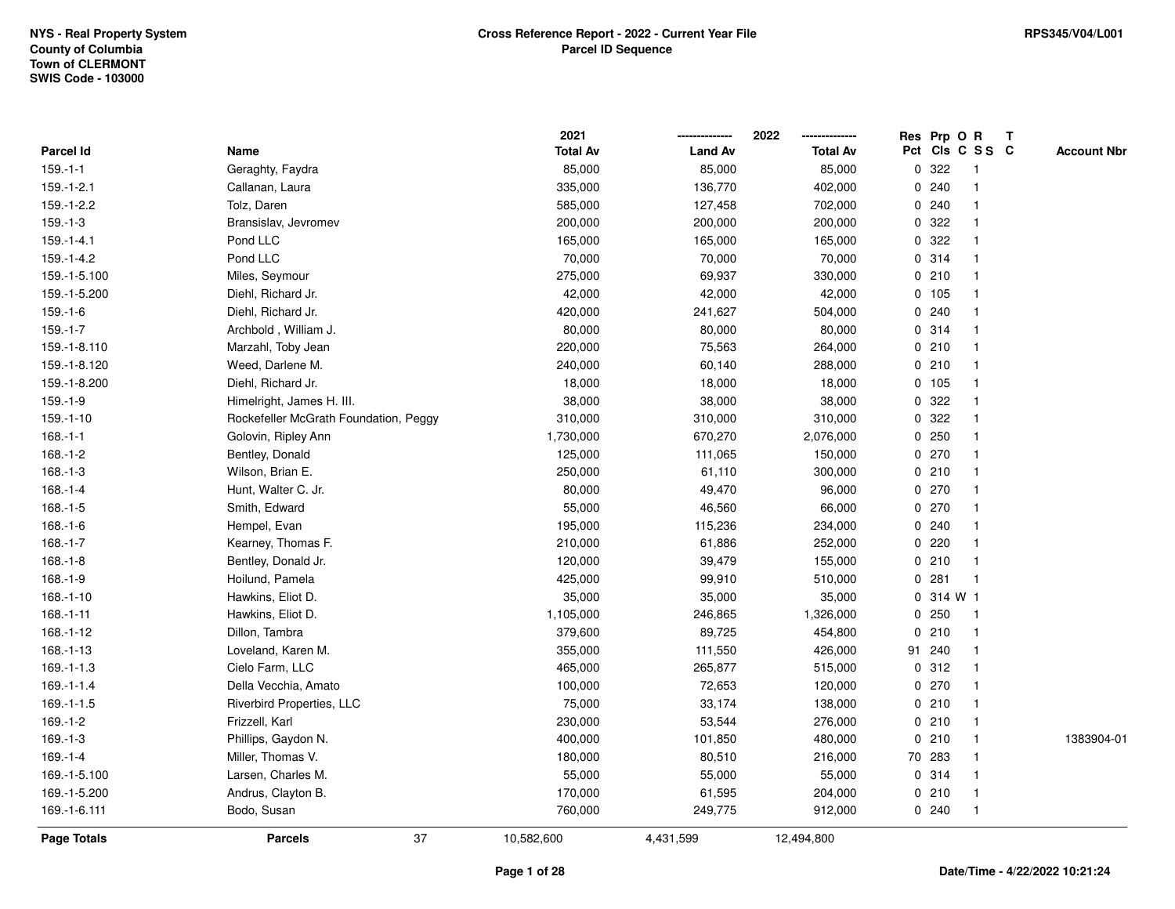|                    |                                       | 2021            |                | 2022            |   | Res Prp O R |                 | Т |                    |
|--------------------|---------------------------------------|-----------------|----------------|-----------------|---|-------------|-----------------|---|--------------------|
| <b>Parcel Id</b>   | Name                                  | <b>Total Av</b> | <b>Land Av</b> | <b>Total Av</b> |   |             | Pct Cls C S S C |   | <b>Account Nbr</b> |
| $159.-1-1$         | Geraghty, Faydra                      | 85,000          | 85,000         | 85,000          |   | 0.322       | $\mathbf{1}$    |   |                    |
| $159.-1-2.1$       | Callanan, Laura                       | 335,000         | 136,770        | 402,000         | 0 | 240         | $\mathbf{1}$    |   |                    |
| 159.-1-2.2         | Tolz, Daren                           | 585,000         | 127,458        | 702,000         |   | 0.240       | $\mathbf{1}$    |   |                    |
| $159.-1-3$         | Bransislav, Jevromev                  | 200,000         | 200,000        | 200,000         |   | 0 322       | $\mathbf{1}$    |   |                    |
| $159.-1-4.1$       | Pond LLC                              | 165,000         | 165,000        | 165,000         |   | 0 322       | $\mathbf 1$     |   |                    |
| 159.-1-4.2         | Pond LLC                              | 70,000          | 70,000         | 70,000          |   | 0.314       | $\mathbf{1}$    |   |                    |
| 159.-1-5.100       | Miles, Seymour                        | 275,000         | 69,937         | 330,000         |   | 0210        | $\mathbf{1}$    |   |                    |
| 159.-1-5.200       | Diehl, Richard Jr.                    | 42,000          | 42,000         | 42,000          |   | 0 105       | $\mathbf{1}$    |   |                    |
| 159.-1-6           | Diehl, Richard Jr.                    | 420,000         | 241,627        | 504,000         |   | 0.240       | $\mathbf{1}$    |   |                    |
| $159.-1-7$         | Archbold, William J.                  | 80,000          | 80,000         | 80,000          |   | 0.314       | $\mathbf{1}$    |   |                    |
| 159.-1-8.110       | Marzahl, Toby Jean                    | 220,000         | 75,563         | 264,000         |   | 0210        | $\mathbf{1}$    |   |                    |
| 159.-1-8.120       | Weed, Darlene M.                      | 240,000         | 60,140         | 288,000         |   | 0210        | $\mathbf 1$     |   |                    |
| 159.-1-8.200       | Diehl, Richard Jr.                    | 18,000          | 18,000         | 18,000          |   | 0 105       | -1              |   |                    |
| 159.-1-9           | Himelright, James H. III.             | 38,000          | 38,000         | 38,000          |   | 0 322       | $\mathbf{1}$    |   |                    |
| $159.-1-10$        | Rockefeller McGrath Foundation, Peggy | 310,000         | 310,000        | 310,000         |   | 0.322       | $\mathbf{1}$    |   |                    |
| $168.-1-1$         | Golovin, Ripley Ann                   | 1,730,000       | 670,270        | 2,076,000       |   | 0.250       | $\mathbf{1}$    |   |                    |
| $168.-1-2$         | Bentley, Donald                       | 125,000         | 111,065        | 150,000         |   | 0270        | $\mathbf{1}$    |   |                    |
| $168.-1-3$         | Wilson, Brian E.                      | 250,000         | 61,110         | 300,000         |   | 0210        | $\mathbf{1}$    |   |                    |
| $168.-1-4$         | Hunt, Walter C. Jr.                   | 80,000          | 49,470         | 96,000          |   | 0270        | $\mathbf{1}$    |   |                    |
| 168.-1-5           | Smith, Edward                         | 55,000          | 46,560         | 66,000          |   | 0270        | $\mathbf 1$     |   |                    |
| $168.-1-6$         | Hempel, Evan                          | 195,000         | 115,236        | 234,000         |   | 0.240       | $\mathbf{1}$    |   |                    |
| 168.-1-7           | Kearney, Thomas F.                    | 210,000         | 61,886         | 252,000         |   | $0$ 220     | $\mathbf{1}$    |   |                    |
| 168.-1-8           | Bentley, Donald Jr.                   | 120,000         | 39,479         | 155,000         |   | 0210        | $\mathbf{1}$    |   |                    |
| $168.-1-9$         | Hoilund, Pamela                       | 425,000         | 99,910         | 510,000         |   | 0.281       | $\mathbf{1}$    |   |                    |
| $168.-1-10$        | Hawkins, Eliot D.                     | 35,000          | 35,000         | 35,000          |   | 0 314 W 1   |                 |   |                    |
| 168.-1-11          | Hawkins, Eliot D.                     | 1,105,000       | 246,865        | 1,326,000       |   | 0.250       | $\mathbf{1}$    |   |                    |
| 168.-1-12          | Dillon, Tambra                        | 379,600         | 89,725         | 454,800         | 0 | 210         | -1              |   |                    |
| 168.-1-13          | Loveland, Karen M.                    | 355,000         | 111,550        | 426,000         |   | 91 240      | $\mathbf{1}$    |   |                    |
| 169.-1-1.3         | Cielo Farm, LLC                       | 465,000         | 265,877        | 515,000         |   | 0.312       | $\mathbf{1}$    |   |                    |
| $169.-1-1.4$       | Della Vecchia, Amato                  | 100,000         | 72,653         | 120,000         |   | 0270        | $\mathbf{1}$    |   |                    |
| 169.-1-1.5         | <b>Riverbird Properties, LLC</b>      | 75,000          | 33,174         | 138,000         |   | 0210        | $\mathbf{1}$    |   |                    |
| 169.-1-2           | Frizzell, Karl                        | 230,000         | 53,544         | 276,000         |   | 0210        | $\mathbf{1}$    |   |                    |
| $169.-1-3$         | Phillips, Gaydon N.                   | 400,000         | 101,850        | 480,000         |   | 0210        | $\mathbf{1}$    |   | 1383904-01         |
| $169.-1-4$         | Miller, Thomas V.                     | 180,000         | 80,510         | 216,000         |   | 70 283      | 1               |   |                    |
| 169.-1-5.100       | Larsen, Charles M.                    | 55,000          | 55,000         | 55,000          |   | 0.314       | $\mathbf{1}$    |   |                    |
| 169.-1-5.200       | Andrus, Clayton B.                    | 170,000         | 61,595         | 204,000         |   | 0210        | $\mathbf{1}$    |   |                    |
| 169.-1-6.111       | Bodo, Susan                           | 760,000         | 249,775        | 912,000         |   | 0.240       | $\mathbf{1}$    |   |                    |
| <b>Page Totals</b> | 37<br><b>Parcels</b>                  | 10,582,600      | 4,431,599      | 12,494,800      |   |             |                 |   |                    |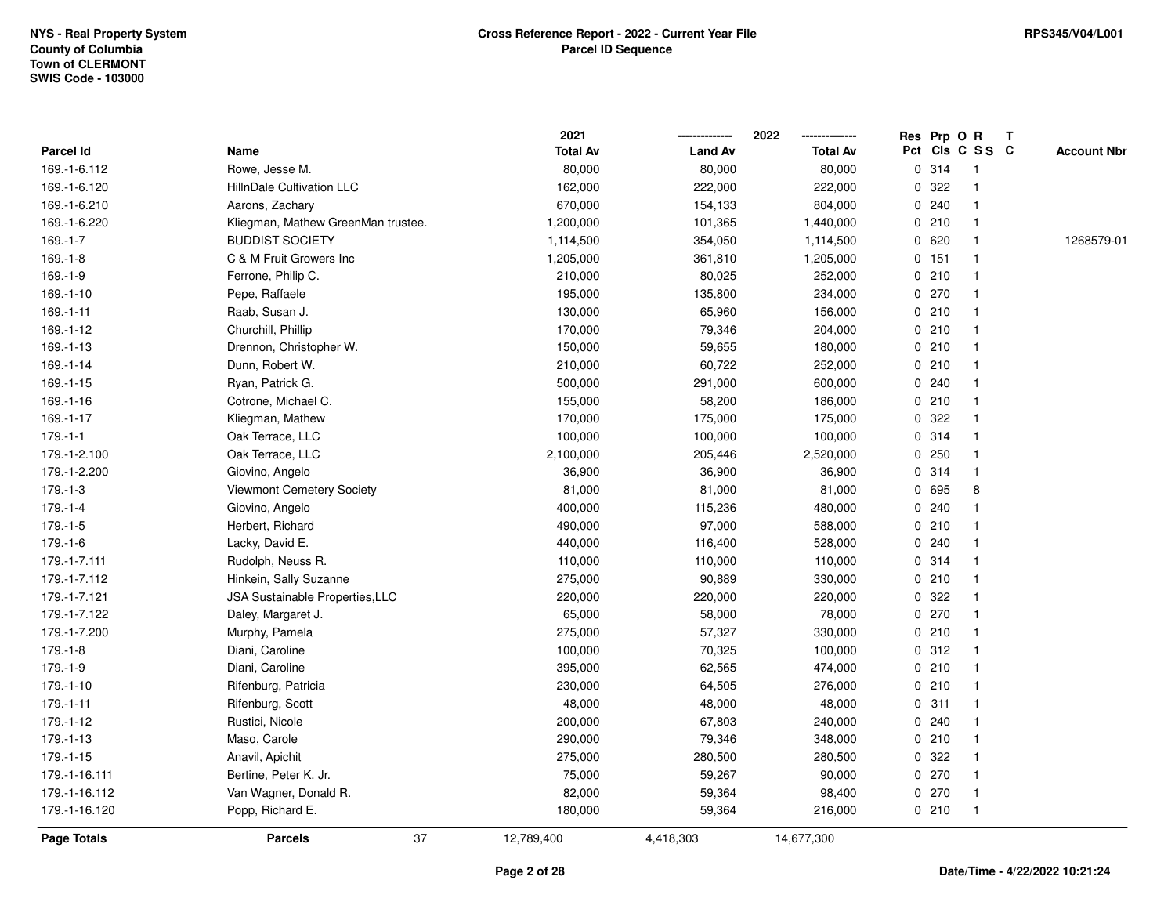|                    |                                    | 2021            |                | 2022            |   | Res Prp O R     |              |              | T |                    |
|--------------------|------------------------------------|-----------------|----------------|-----------------|---|-----------------|--------------|--------------|---|--------------------|
| Parcel Id          | Name                               | <b>Total Av</b> | <b>Land Av</b> | <b>Total Av</b> |   | Pct Cls C S S C |              |              |   | <b>Account Nbr</b> |
| 169.-1-6.112       | Rowe, Jesse M.                     | 80,000          | 80,000         | 80,000          |   | 0.314           |              | $\mathbf{1}$ |   |                    |
| 169.-1-6.120       | HillnDale Cultivation LLC          | 162,000         | 222,000        | 222,000         | 0 | 322             | -1           |              |   |                    |
| 169.-1-6.210       | Aarons, Zachary                    | 670,000         | 154,133        | 804,000         |   | 0.240           |              | $\mathbf{1}$ |   |                    |
| 169.-1-6.220       | Kliegman, Mathew GreenMan trustee. | 1,200,000       | 101,365        | 1,440,000       |   | 0210            |              | $\mathbf{1}$ |   |                    |
| $169 - 1 - 7$      | <b>BUDDIST SOCIETY</b>             | 1,114,500       | 354,050        | 1,114,500       |   | 0620            | $\mathbf 1$  |              |   | 1268579-01         |
| $169.-1-8$         | C & M Fruit Growers Inc            | 1,205,000       | 361,810        | 1,205,000       |   | $0$ 151         | $\mathbf 1$  |              |   |                    |
| $169.-1-9$         | Ferrone, Philip C.                 | 210,000         | 80,025         | 252,000         |   | 0210            |              | $\mathbf{1}$ |   |                    |
| $169.-1-10$        | Pepe, Raffaele                     | 195,000         | 135,800        | 234,000         |   | 0 270           |              | $\mathbf{1}$ |   |                    |
| 169.-1-11          | Raab, Susan J.                     | 130,000         | 65,960         | 156,000         |   | 0210            |              | $\mathbf{1}$ |   |                    |
| 169.-1-12          | Churchill, Phillip                 | 170,000         | 79,346         | 204,000         |   | 0210            |              | $\mathbf{1}$ |   |                    |
| $169. - 1 - 13$    | Drennon, Christopher W.            | 150,000         | 59,655         | 180,000         |   | 0210            |              | $\mathbf{1}$ |   |                    |
| $169. - 1 - 14$    | Dunn, Robert W.                    | 210,000         | 60,722         | 252,000         |   | 0210            |              |              |   |                    |
| $169. - 1 - 15$    | Ryan, Patrick G.                   | 500,000         | 291,000        | 600,000         |   | 0.240           |              |              |   |                    |
| 169.-1-16          | Cotrone, Michael C.                | 155,000         | 58,200         | 186,000         |   | 0210            | $\mathbf 1$  |              |   |                    |
| 169.-1-17          | Kliegman, Mathew                   | 170,000         | 175,000        | 175,000         | 0 | 322             |              | $\mathbf{1}$ |   |                    |
| $179. - 1 - 1$     | Oak Terrace, LLC                   | 100,000         | 100,000        | 100,000         |   | 0.314           |              | $\mathbf{1}$ |   |                    |
| 179.-1-2.100       | Oak Terrace, LLC                   | 2,100,000       | 205,446        | 2,520,000       |   | 0.250           |              | $\mathbf{1}$ |   |                    |
| 179.-1-2.200       | Giovino, Angelo                    | 36,900          | 36,900         | 36,900          |   | 0.314           |              | $\mathbf{1}$ |   |                    |
| $179.-1-3$         | <b>Viewmont Cemetery Society</b>   | 81,000          | 81,000         | 81,000          |   | 0 695           |              | 8            |   |                    |
| $179.-1-4$         | Giovino, Angelo                    | 400,000         | 115,236        | 480,000         |   | 0.240           |              |              |   |                    |
| $179.-1-5$         | Herbert, Richard                   | 490,000         | 97,000         | 588,000         |   | 0210            | $\mathbf{1}$ |              |   |                    |
| 179.-1-6           | Lacky, David E.                    | 440,000         | 116,400        | 528,000         |   | 0.240           | 1            |              |   |                    |
| 179.-1-7.111       | Rudolph, Neuss R.                  | 110,000         | 110,000        | 110,000         |   | 0.314           |              | $\mathbf{1}$ |   |                    |
| 179.-1-7.112       | Hinkein, Sally Suzanne             | 275,000         | 90,889         | 330,000         |   | 0210            |              | $\mathbf{1}$ |   |                    |
| 179.-1-7.121       | JSA Sustainable Properties, LLC    | 220,000         | 220,000        | 220,000         |   | 0 322           | 1            |              |   |                    |
| 179.-1-7.122       | Daley, Margaret J.                 | 65,000          | 58,000         | 78,000          |   | 0270            | 1            |              |   |                    |
| 179.-1-7.200       | Murphy, Pamela                     | 275,000         | 57,327         | 330,000         |   | 0210            |              |              |   |                    |
| 179.-1-8           | Diani, Caroline                    | 100,000         | 70,325         | 100,000         |   | 0.312           | $\mathbf{1}$ |              |   |                    |
| $179.-1-9$         | Diani, Caroline                    | 395,000         | 62,565         | 474,000         |   | 0210            | $\mathbf{1}$ |              |   |                    |
| 179.-1-10          | Rifenburg, Patricia                | 230,000         | 64,505         | 276,000         | 0 | 210             |              | $\mathbf{1}$ |   |                    |
| 179.-1-11          | Rifenburg, Scott                   | 48,000          | 48,000         | 48,000          | 0 | 311             |              | $\mathbf{1}$ |   |                    |
| 179.-1-12          | Rustici, Nicole                    | 200,000         | 67,803         | 240,000         |   | 0.240           |              | $\mathbf{1}$ |   |                    |
| 179.-1-13          | Maso, Carole                       | 290,000         | 79,346         | 348,000         |   | 0210            |              | $\mathbf{1}$ |   |                    |
| 179.-1-15          | Anavil, Apichit                    | 275,000         | 280,500        | 280,500         |   | 0 322           |              |              |   |                    |
| 179.-1-16.111      | Bertine, Peter K. Jr.              | 75,000          | 59,267         | 90,000          |   | 0270            | $\mathbf{1}$ |              |   |                    |
| 179.-1-16.112      | Van Wagner, Donald R.              | 82,000          | 59,364         | 98,400          |   | 0270            |              | $\mathbf{1}$ |   |                    |
| 179.-1-16.120      | Popp, Richard E.                   | 180,000         | 59,364         | 216,000         |   | 0210            |              | $\mathbf{1}$ |   |                    |
| <b>Page Totals</b> | 37<br><b>Parcels</b>               | 12,789,400      | 4,418,303      | 14,677,300      |   |                 |              |              |   |                    |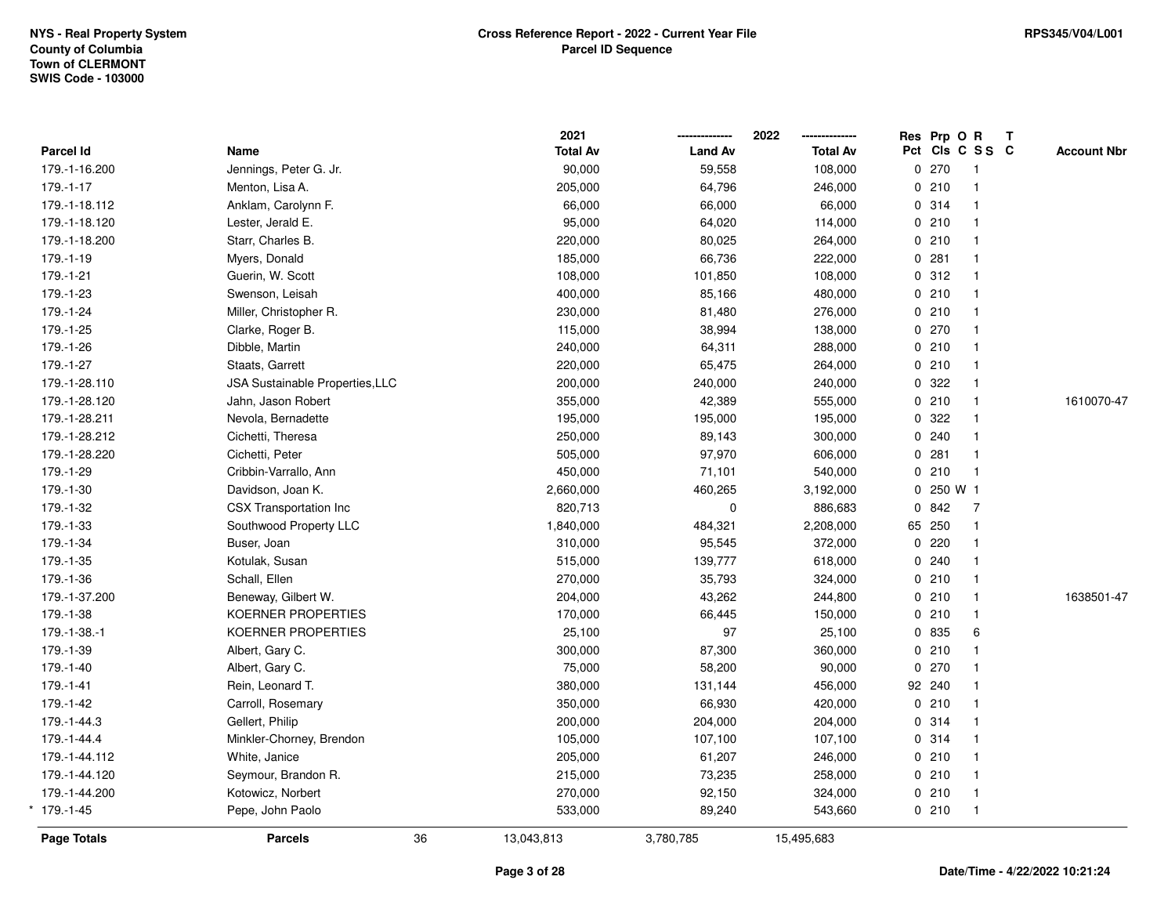|               |                                 |    | 2021            |                | 2022            | Res Prp O R |                 | Т |                    |
|---------------|---------------------------------|----|-----------------|----------------|-----------------|-------------|-----------------|---|--------------------|
| Parcel Id     | Name                            |    | <b>Total Av</b> | <b>Land Av</b> | <b>Total Av</b> |             | Pct Cls C S S C |   | <b>Account Nbr</b> |
| 179.-1-16.200 | Jennings, Peter G. Jr.          |    | 90,000          | 59,558         | 108,000         | 0270        | $\mathbf{1}$    |   |                    |
| 179.-1-17     | Menton, Lisa A.                 |    | 205,000         | 64,796         | 246,000         | 0210        | $\mathbf{1}$    |   |                    |
| 179.-1-18.112 | Anklam, Carolynn F.             |    | 66,000          | 66,000         | 66,000          | 0.314       | $\mathbf{1}$    |   |                    |
| 179.-1-18.120 | Lester, Jerald E.               |    | 95,000          | 64,020         | 114,000         | 0210        | $\mathbf{1}$    |   |                    |
| 179.-1-18.200 | Starr, Charles B.               |    | 220,000         | 80,025         | 264,000         | 0210        | $\mathbf{1}$    |   |                    |
| 179.-1-19     | Myers, Donald                   |    | 185,000         | 66,736         | 222,000         | 0.281       | $\mathbf{1}$    |   |                    |
| 179.-1-21     | Guerin, W. Scott                |    | 108,000         | 101,850        | 108,000         | 0.312       | $\mathbf{1}$    |   |                    |
| 179.-1-23     | Swenson, Leisah                 |    | 400,000         | 85,166         | 480,000         | 0210        | $\mathbf{1}$    |   |                    |
| 179.-1-24     | Miller, Christopher R.          |    | 230,000         | 81,480         | 276,000         | 0210        | $\mathbf{1}$    |   |                    |
| 179.-1-25     | Clarke, Roger B.                |    | 115,000         | 38,994         | 138,000         | 0.270       | $\mathbf{1}$    |   |                    |
| 179.-1-26     | Dibble, Martin                  |    | 240,000         | 64,311         | 288,000         | 0210        | $\mathbf{1}$    |   |                    |
| 179.-1-27     | Staats, Garrett                 |    | 220,000         | 65,475         | 264,000         | 0210        | $\mathbf{1}$    |   |                    |
| 179.-1-28.110 | JSA Sustainable Properties, LLC |    | 200,000         | 240,000        | 240,000         | 0 322       | $\mathbf{1}$    |   |                    |
| 179.-1-28.120 | Jahn, Jason Robert              |    | 355,000         | 42,389         | 555,000         | 0210        | $\mathbf{1}$    |   | 1610070-47         |
| 179.-1-28.211 | Nevola, Bernadette              |    | 195,000         | 195,000        | 195,000         | 0.322       | $\mathbf{1}$    |   |                    |
| 179.-1-28.212 | Cichetti, Theresa               |    | 250,000         | 89,143         | 300,000         | 0.240       | $\mathbf{1}$    |   |                    |
| 179.-1-28.220 | Cichetti, Peter                 |    | 505,000         | 97,970         | 606,000         | 0.281       | $\mathbf{1}$    |   |                    |
| 179.-1-29     | Cribbin-Varrallo, Ann           |    | 450,000         | 71,101         | 540,000         | 0210        | $\overline{1}$  |   |                    |
| 179.-1-30     | Davidson, Joan K.               |    | 2,660,000       | 460,265        | 3,192,000       | 0 250 W 1   |                 |   |                    |
| 179.-1-32     | CSX Transportation Inc          |    | 820,713         | $\mathbf 0$    | 886,683         | 0842        | $\overline{7}$  |   |                    |
| 179.-1-33     | Southwood Property LLC          |    | 1,840,000       | 484,321        | 2,208,000       | 65 250      | $\mathbf{1}$    |   |                    |
| 179.-1-34     | Buser, Joan                     |    | 310,000         | 95,545         | 372,000         | 0.220       | $\mathbf{1}$    |   |                    |
| 179.-1-35     | Kotulak, Susan                  |    | 515,000         | 139,777        | 618,000         | 0.240       | $\mathbf{1}$    |   |                    |
| 179.-1-36     | Schall, Ellen                   |    | 270,000         | 35,793         | 324,000         | 0210        | $\mathbf{1}$    |   |                    |
| 179.-1-37.200 | Beneway, Gilbert W.             |    | 204,000         | 43,262         | 244,800         | 0210        | $\mathbf{1}$    |   | 1638501-47         |
| 179.-1-38     | KOERNER PROPERTIES              |    | 170,000         | 66,445         | 150,000         | 0210        | $\mathbf{1}$    |   |                    |
| 179.-1-38.-1  | KOERNER PROPERTIES              |    | 25,100          | 97             | 25,100          | 0 835       | 6               |   |                    |
| 179.-1-39     | Albert, Gary C.                 |    | 300,000         | 87,300         | 360,000         | 0210        | $\mathbf{1}$    |   |                    |
| 179.-1-40     | Albert, Gary C.                 |    | 75,000          | 58,200         | 90,000          | 0270        | $\mathbf{1}$    |   |                    |
| 179.-1-41     | Rein, Leonard T.                |    | 380,000         | 131,144        | 456,000         | 92 240      | $\mathbf{1}$    |   |                    |
| 179.-1-42     | Carroll, Rosemary               |    | 350,000         | 66,930         | 420,000         | 0210        | $\mathbf{1}$    |   |                    |
| 179.-1-44.3   | Gellert, Philip                 |    | 200,000         | 204,000        | 204,000         | 0.314       | $\mathbf{1}$    |   |                    |
| 179.-1-44.4   | Minkler-Chorney, Brendon        |    | 105,000         | 107,100        | 107,100         | 0.314       | $\mathbf{1}$    |   |                    |
| 179.-1-44.112 | White, Janice                   |    | 205,000         | 61,207         | 246,000         | 0210        | $\mathbf{1}$    |   |                    |
| 179.-1-44.120 | Seymour, Brandon R.             |    | 215,000         | 73,235         | 258,000         | 0210        | $\mathbf{1}$    |   |                    |
| 179.-1-44.200 | Kotowicz, Norbert               |    | 270,000         | 92,150         | 324,000         | 0210        | $\mathbf{1}$    |   |                    |
| $*$ 179.-1-45 | Pepe, John Paolo                |    | 533,000         | 89,240         | 543,660         | 0210        | $\mathbf{1}$    |   |                    |
| Page Totals   | <b>Parcels</b>                  | 36 | 13,043,813      | 3,780,785      | 15,495,683      |             |                 |   |                    |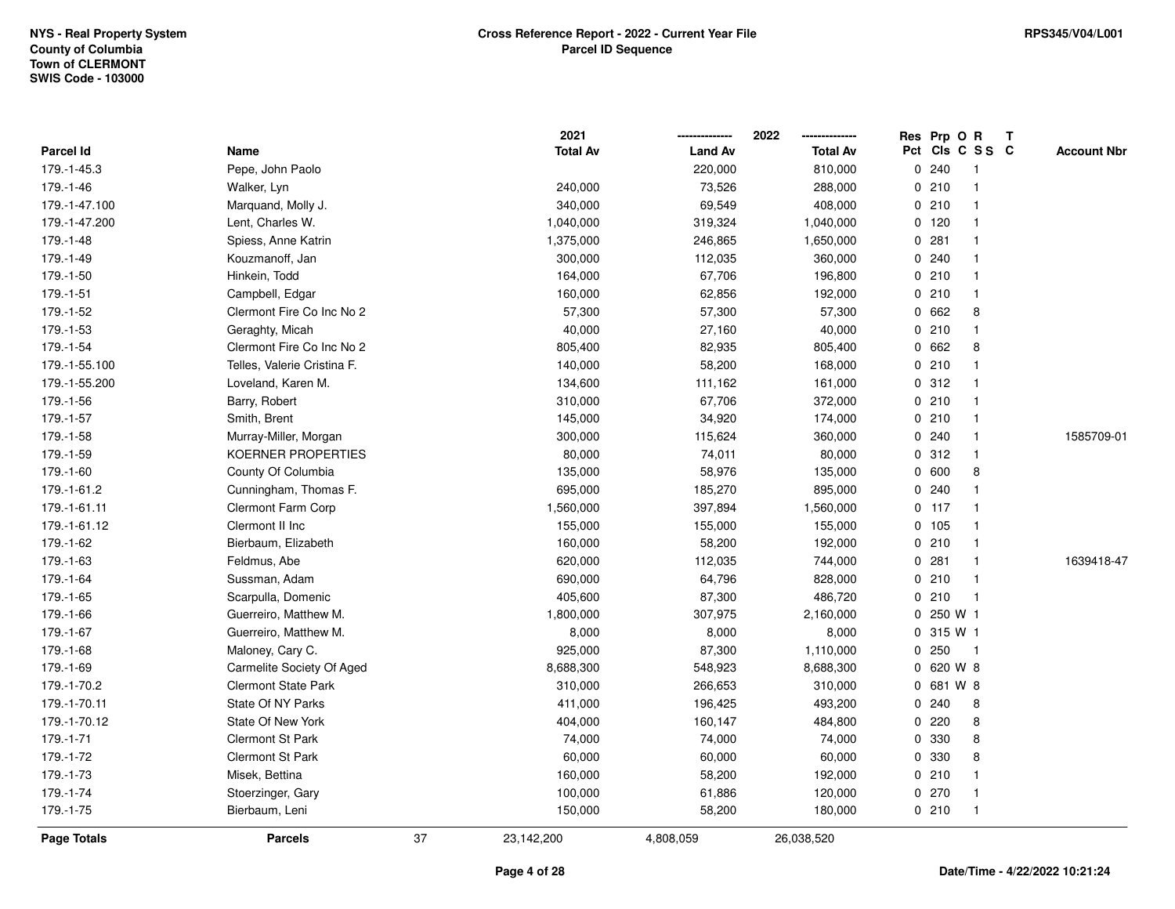|                    |                             |    | 2021            |                | 2022<br>-------------- |     |           | Res Prp O R  | T |                    |
|--------------------|-----------------------------|----|-----------------|----------------|------------------------|-----|-----------|--------------|---|--------------------|
| Parcel Id          | Name                        |    | <b>Total Av</b> | <b>Land Av</b> | <b>Total Av</b>        | Pct |           | CIS C S S C  |   | <b>Account Nbr</b> |
| 179.-1-45.3        | Pepe, John Paolo            |    |                 | 220,000        | 810,000                |     | 0.240     | $\mathbf{1}$ |   |                    |
| 179.-1-46          | Walker, Lyn                 |    | 240,000         | 73,526         | 288,000                |     | 0210      | $\mathbf{1}$ |   |                    |
| 179.-1-47.100      | Marquand, Molly J.          |    | 340,000         | 69,549         | 408,000                |     | 0210      | $\mathbf{1}$ |   |                    |
| 179.-1-47.200      | Lent, Charles W.            |    | 1,040,000       | 319,324        | 1,040,000              |     | 0, 120    | $\mathbf{1}$ |   |                    |
| 179.-1-48          | Spiess, Anne Katrin         |    | 1,375,000       | 246,865        | 1,650,000              |     | 0.281     | $\mathbf{1}$ |   |                    |
| 179.-1-49          | Kouzmanoff, Jan             |    | 300,000         | 112,035        | 360,000                |     | 0.240     | $\mathbf{1}$ |   |                    |
| 179.-1-50          | Hinkein, Todd               |    | 164,000         | 67,706         | 196,800                |     | 0210      | $\mathbf 1$  |   |                    |
| 179.-1-51          | Campbell, Edgar             |    | 160,000         | 62,856         | 192,000                |     | 0210      | $\mathbf{1}$ |   |                    |
| 179.-1-52          | Clermont Fire Co Inc No 2   |    | 57,300          | 57,300         | 57,300                 |     | 0 662     | 8            |   |                    |
| 179.-1-53          | Geraghty, Micah             |    | 40,000          | 27,160         | 40,000                 |     | 0210      | $\mathbf{1}$ |   |                    |
| 179.-1-54          | Clermont Fire Co Inc No 2   |    | 805,400         | 82,935         | 805,400                |     | 0 662     | 8            |   |                    |
| 179.-1-55.100      | Telles, Valerie Cristina F. |    | 140,000         | 58,200         | 168,000                |     | 0210      | $\mathbf{1}$ |   |                    |
| 179.-1-55.200      | Loveland, Karen M.          |    | 134,600         | 111,162        | 161,000                |     | 0.312     | $\mathbf{1}$ |   |                    |
| 179.-1-56          | Barry, Robert               |    | 310,000         | 67,706         | 372,000                |     | 0210      | $\mathbf 1$  |   |                    |
| 179.-1-57          | Smith, Brent                |    | 145,000         | 34,920         | 174,000                |     | 0210      | $\mathbf{1}$ |   |                    |
| 179.-1-58          | Murray-Miller, Morgan       |    | 300,000         | 115,624        | 360,000                |     | 0.240     | $\mathbf{1}$ |   | 1585709-01         |
| 179.-1-59          | <b>KOERNER PROPERTIES</b>   |    | 80,000          | 74,011         | 80,000                 |     | 0.312     | $\mathbf{1}$ |   |                    |
| 179.-1-60          | County Of Columbia          |    | 135,000         | 58,976         | 135,000                |     | 0 600     | 8            |   |                    |
| 179.-1-61.2        | Cunningham, Thomas F.       |    | 695,000         | 185,270        | 895,000                |     | 0.240     | $\mathbf{1}$ |   |                    |
| 179.-1-61.11       | <b>Clermont Farm Corp</b>   |    | 1,560,000       | 397,894        | 1,560,000              |     | $0$ 117   | $\mathbf{1}$ |   |                    |
| 179.-1-61.12       | Clermont II Inc             |    | 155,000         | 155,000        | 155,000                |     | 0 105     | $\mathbf 1$  |   |                    |
| 179.-1-62          | Bierbaum, Elizabeth         |    | 160,000         | 58,200         | 192,000                |     | 0210      | $\mathbf{1}$ |   |                    |
| 179.-1-63          | Feldmus, Abe                |    | 620,000         | 112,035        | 744,000                |     | 0.281     | $\mathbf{1}$ |   | 1639418-47         |
| 179.-1-64          | Sussman, Adam               |    | 690,000         | 64,796         | 828,000                |     | 0210      | $\mathbf{1}$ |   |                    |
| 179.-1-65          | Scarpulla, Domenic          |    | 405,600         | 87,300         | 486,720                |     | 0210      | $\mathbf{1}$ |   |                    |
| 179.-1-66          | Guerreiro, Matthew M.       |    | 1,800,000       | 307,975        | 2,160,000              |     | 0 250 W 1 |              |   |                    |
| 179.-1-67          | Guerreiro, Matthew M.       |    | 8,000           | 8,000          | 8,000                  |     | 0.315 W1  |              |   |                    |
| 179.-1-68          | Maloney, Cary C.            |    | 925,000         | 87,300         | 1,110,000              |     | 0250      | $\mathbf{1}$ |   |                    |
| 179.-1-69          | Carmelite Society Of Aged   |    | 8,688,300       | 548,923        | 8,688,300              |     | 0 620 W 8 |              |   |                    |
| 179.-1-70.2        | <b>Clermont State Park</b>  |    | 310,000         | 266,653        | 310,000                |     | 0 681 W 8 |              |   |                    |
| 179.-1-70.11       | State Of NY Parks           |    | 411,000         | 196,425        | 493,200                |     | 0.240     | 8            |   |                    |
| 179.-1-70.12       | State Of New York           |    | 404,000         | 160,147        | 484,800                |     | 0.220     | 8            |   |                    |
| 179.-1-71          | Clermont St Park            |    | 74,000          | 74,000         | 74,000                 |     | 0 330     | 8            |   |                    |
| 179.-1-72          | <b>Clermont St Park</b>     |    | 60,000          | 60,000         | 60,000                 |     | 0 330     | 8            |   |                    |
| 179.-1-73          | Misek, Bettina              |    | 160,000         | 58,200         | 192,000                |     | 0210      | $\mathbf{1}$ |   |                    |
| 179.-1-74          | Stoerzinger, Gary           |    | 100,000         | 61,886         | 120,000                |     | 0270      | 1            |   |                    |
| 179.-1-75          | Bierbaum, Leni              |    | 150,000         | 58,200         | 180,000                |     | 0210      | $\mathbf{1}$ |   |                    |
| <b>Page Totals</b> | <b>Parcels</b>              | 37 | 23,142,200      | 4,808,059      | 26,038,520             |     |           |              |   |                    |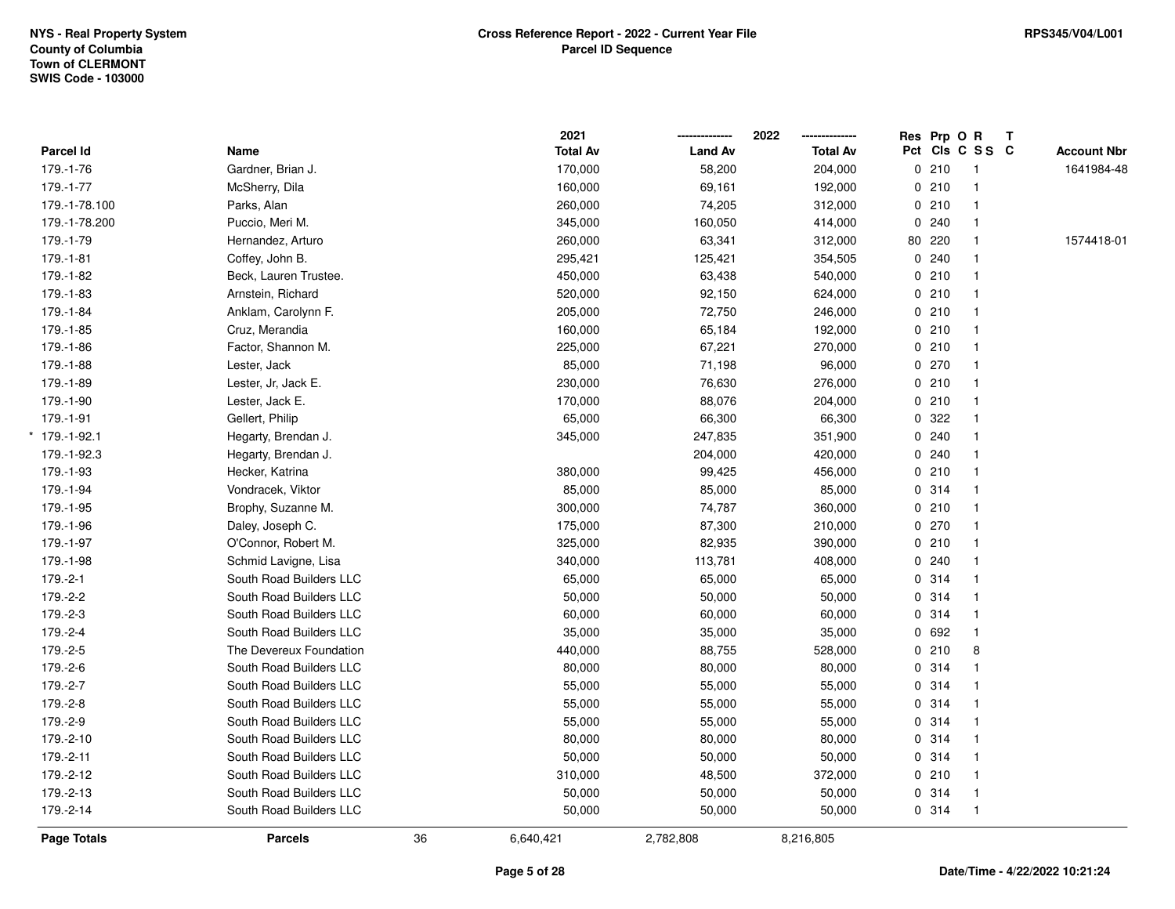|                 |                         |    | 2021            |                | 2022            |   | Res Prp O R |                 | Т |                    |
|-----------------|-------------------------|----|-----------------|----------------|-----------------|---|-------------|-----------------|---|--------------------|
| Parcel Id       | Name                    |    | <b>Total Av</b> | <b>Land Av</b> | <b>Total Av</b> |   |             | Pct Cls C S S C |   | <b>Account Nbr</b> |
| 179.-1-76       | Gardner, Brian J.       |    | 170,000         | 58,200         | 204,000         |   | 0210        | $\mathbf{1}$    |   | 1641984-48         |
| 179.-1-77       | McSherry, Dila          |    | 160,000         | 69,161         | 192,000         |   | 0210        |                 |   |                    |
| 179.-1-78.100   | Parks, Alan             |    | 260,000         | 74,205         | 312,000         |   | 0210        | $\mathbf{1}$    |   |                    |
| 179.-1-78.200   | Puccio, Meri M.         |    | 345,000         | 160,050        | 414,000         |   | 0.240       |                 |   |                    |
| 179.-1-79       | Hernandez, Arturo       |    | 260,000         | 63,341         | 312,000         |   | 80 220      |                 |   | 1574418-01         |
| 179.-1-81       | Coffey, John B.         |    | 295,421         | 125,421        | 354,505         |   | 0.240       |                 |   |                    |
| 179.-1-82       | Beck, Lauren Trustee.   |    | 450,000         | 63,438         | 540,000         |   | 0210        | $\mathbf{1}$    |   |                    |
| 179.-1-83       | Arnstein, Richard       |    | 520,000         | 92,150         | 624,000         |   | 0210        |                 |   |                    |
| 179.-1-84       | Anklam, Carolynn F.     |    | 205,000         | 72,750         | 246,000         |   | 0210        |                 |   |                    |
| 179.-1-85       | Cruz, Merandia          |    | 160,000         | 65,184         | 192,000         |   | 0210        |                 |   |                    |
| 179.-1-86       | Factor, Shannon M.      |    | 225,000         | 67,221         | 270,000         |   | 0210        |                 |   |                    |
| 179.-1-88       | Lester, Jack            |    | 85,000          | 71,198         | 96,000          |   | 0270        |                 |   |                    |
| 179.-1-89       | Lester, Jr, Jack E.     |    | 230,000         | 76,630         | 276,000         |   | 0210        |                 |   |                    |
| 179.-1-90       | Lester, Jack E.         |    | 170,000         | 88,076         | 204,000         |   | 0210        |                 |   |                    |
| 179.-1-91       | Gellert, Philip         |    | 65,000          | 66,300         | 66,300          | 0 | 322         |                 |   |                    |
| $*$ 179.-1-92.1 | Hegarty, Brendan J.     |    | 345,000         | 247,835        | 351,900         |   | 0.240       |                 |   |                    |
| 179.-1-92.3     | Hegarty, Brendan J.     |    |                 | 204,000        | 420,000         |   | 0.240       |                 |   |                    |
| 179.-1-93       | Hecker, Katrina         |    | 380,000         | 99,425         | 456,000         |   | 0210        |                 |   |                    |
| 179.-1-94       | Vondracek, Viktor       |    | 85,000          | 85,000         | 85,000          |   | 0.314       |                 |   |                    |
| 179.-1-95       | Brophy, Suzanne M.      |    | 300,000         | 74,787         | 360,000         |   | 0210        |                 |   |                    |
| 179.-1-96       | Daley, Joseph C.        |    | 175,000         | 87,300         | 210,000         |   | 0270        |                 |   |                    |
| 179.-1-97       | O'Connor, Robert M.     |    | 325,000         | 82,935         | 390,000         |   | 0210        |                 |   |                    |
| 179.-1-98       | Schmid Lavigne, Lisa    |    | 340,000         | 113,781        | 408,000         |   | 0.240       |                 |   |                    |
| $179.-2-1$      | South Road Builders LLC |    | 65,000          | 65,000         | 65,000          |   | 0.314       |                 |   |                    |
| 179.-2-2        | South Road Builders LLC |    | 50,000          | 50,000         | 50,000          |   | 0.314       |                 |   |                    |
| 179.-2-3        | South Road Builders LLC |    | 60,000          | 60,000         | 60,000          |   | 0.314       |                 |   |                    |
| 179.-2-4        | South Road Builders LLC |    | 35,000          | 35,000         | 35,000          |   | 0 692       |                 |   |                    |
| 179.-2-5        | The Devereux Foundation |    | 440,000         | 88,755         | 528,000         |   | 0210        | 8               |   |                    |
| 179.-2-6        | South Road Builders LLC |    | 80,000          | 80,000         | 80,000          |   | 0 314       |                 |   |                    |
| 179.-2-7        | South Road Builders LLC |    | 55,000          | 55,000         | 55,000          |   | 0.314       | $\mathbf{1}$    |   |                    |
| 179.-2-8        | South Road Builders LLC |    | 55,000          | 55,000         | 55,000          |   | 0.314       |                 |   |                    |
| 179.-2-9        | South Road Builders LLC |    | 55,000          | 55,000         | 55,000          |   | 0.314       |                 |   |                    |
| 179.-2-10       | South Road Builders LLC |    | 80,000          | 80,000         | 80,000          |   | 0.314       |                 |   |                    |
| 179.-2-11       | South Road Builders LLC |    | 50,000          | 50,000         | 50,000          |   | 0.314       |                 |   |                    |
| 179.-2-12       | South Road Builders LLC |    | 310,000         | 48,500         | 372,000         |   | 0210        |                 |   |                    |
| 179.-2-13       | South Road Builders LLC |    | 50,000          | 50,000         | 50,000          |   | 0.314       |                 |   |                    |
| 179.-2-14       | South Road Builders LLC |    | 50,000          | 50,000         | 50,000          |   | 0.314       | $\mathbf{1}$    |   |                    |
| Page Totals     | <b>Parcels</b>          | 36 | 6,640,421       | 2,782,808      | 8,216,805       |   |             |                 |   |                    |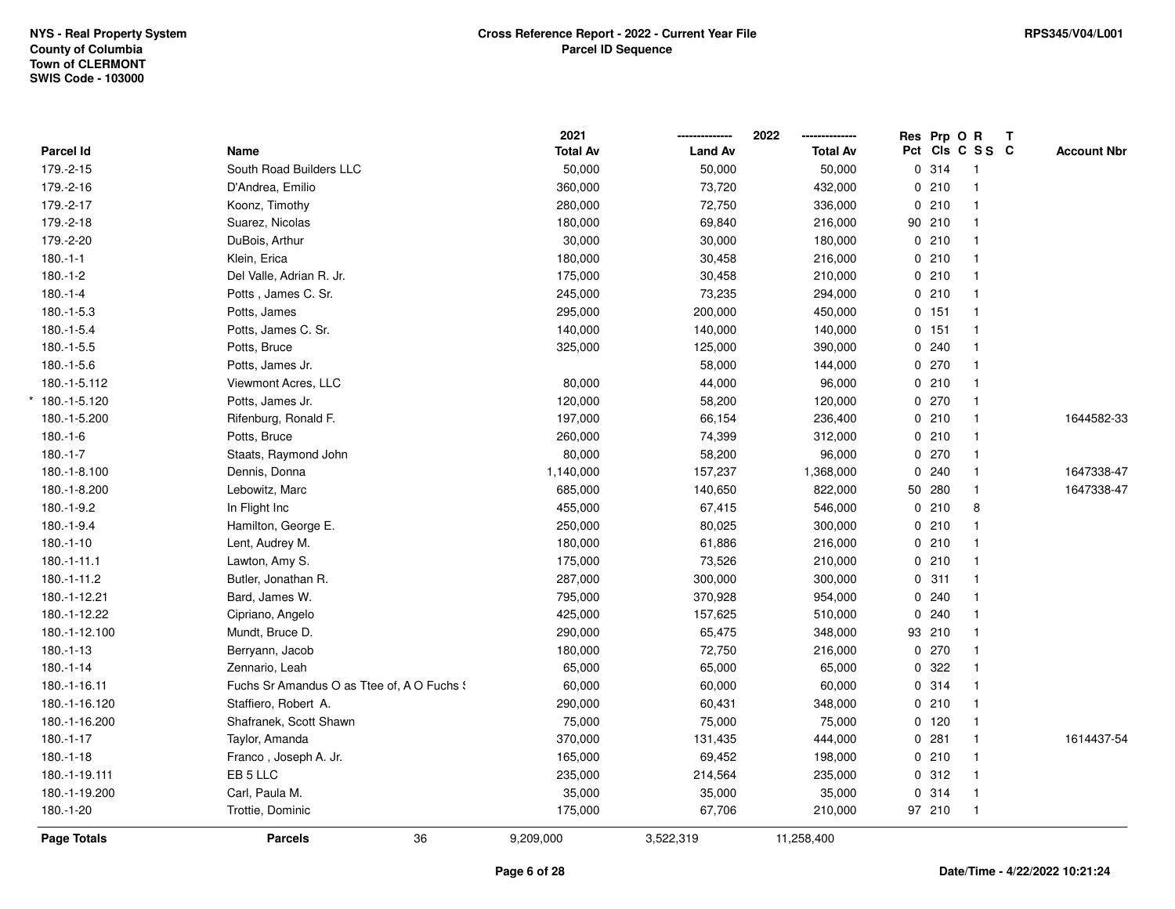|                    |                                            | 2021            |                | 2022<br>-------------- | Res Prp O R |         |                 | $\mathbf{T}$ |                    |
|--------------------|--------------------------------------------|-----------------|----------------|------------------------|-------------|---------|-----------------|--------------|--------------------|
| Parcel Id          | Name                                       | <b>Total Av</b> | <b>Land Av</b> | <b>Total Av</b>        |             |         | Pct Cls C S S C |              | <b>Account Nbr</b> |
| 179.-2-15          | South Road Builders LLC                    | 50,000          | 50,000         | 50,000                 |             | 0.314   | -1              |              |                    |
| 179.-2-16          | D'Andrea, Emilio                           | 360,000         | 73,720         | 432,000                |             | 0210    | -1              |              |                    |
| 179.-2-17          | Koonz, Timothy                             | 280,000         | 72,750         | 336,000                |             | 0210    | $\mathbf{1}$    |              |                    |
| 179.-2-18          | Suarez, Nicolas                            | 180,000         | 69,840         | 216,000                |             | 90 210  | $\mathbf{1}$    |              |                    |
| 179.-2-20          | DuBois, Arthur                             | 30,000          | 30,000         | 180,000                |             | 0210    | $\mathbf{1}$    |              |                    |
| $180.-1-1$         | Klein, Erica                               | 180,000         | 30,458         | 216,000                |             | 0210    | $\mathbf{1}$    |              |                    |
| $180.-1-2$         | Del Valle, Adrian R. Jr.                   | 175,000         | 30,458         | 210,000                |             | 0210    |                 |              |                    |
| $180.-1-4$         | Potts, James C. Sr.                        | 245,000         | 73,235         | 294,000                |             | 0210    | $\mathbf{1}$    |              |                    |
| $180.-1-5.3$       | Potts, James                               | 295,000         | 200,000        | 450,000                |             | 0 151   | $\overline{1}$  |              |                    |
| $180.-1-5.4$       | Potts, James C. Sr.                        | 140,000         | 140,000        | 140,000                |             | $0$ 151 | $\mathbf{1}$    |              |                    |
| $180.-1-5.5$       | Potts, Bruce                               | 325,000         | 125,000        | 390,000                |             | 0.240   | $\mathbf{1}$    |              |                    |
| $180.-1-5.6$       | Potts, James Jr.                           |                 | 58,000         | 144,000                |             | 0270    | $\mathbf{1}$    |              |                    |
| 180.-1-5.112       | Viewmont Acres, LLC                        | 80,000          | 44,000         | 96,000                 |             | 0210    | $\mathbf{1}$    |              |                    |
| $*$ 180.-1-5.120   | Potts, James Jr.                           | 120,000         | 58,200         | 120,000                |             | 0270    | $\mathbf{1}$    |              |                    |
| 180.-1-5.200       | Rifenburg, Ronald F.                       | 197,000         | 66,154         | 236,400                |             | 0210    | $\mathbf{1}$    |              | 1644582-33         |
| $180.-1-6$         | Potts, Bruce                               | 260,000         | 74,399         | 312,000                |             | 0210    | $\mathbf{1}$    |              |                    |
| $180.-1-7$         | Staats, Raymond John                       | 80,000          | 58,200         | 96,000                 |             | $0$ 270 | $\mathbf{1}$    |              |                    |
| 180.-1-8.100       | Dennis, Donna                              | 1,140,000       | 157,237        | 1,368,000              |             | 0.240   | $\overline{1}$  |              | 1647338-47         |
| 180.-1-8.200       | Lebowitz, Marc                             | 685,000         | 140,650        | 822,000                |             | 50 280  | $\mathbf{1}$    |              | 1647338-47         |
| 180.-1-9.2         | In Flight Inc                              | 455,000         | 67,415         | 546,000                |             | 0210    | 8               |              |                    |
| 180.-1-9.4         | Hamilton, George E.                        | 250,000         | 80,025         | 300,000                |             | 0210    | $\mathbf{1}$    |              |                    |
| $180.-1-10$        | Lent, Audrey M.                            | 180,000         | 61,886         | 216,000                |             | 0210    | $\mathbf{1}$    |              |                    |
| $180.-1-11.1$      | Lawton, Amy S.                             | 175,000         | 73,526         | 210,000                |             | 0210    | $\overline{1}$  |              |                    |
| 180.-1-11.2        | Butler, Jonathan R.                        | 287,000         | 300,000        | 300,000                |             | 0.311   | $\mathbf{1}$    |              |                    |
| 180.-1-12.21       | Bard, James W.                             | 795,000         | 370,928        | 954,000                |             | 0.240   | $\mathbf{1}$    |              |                    |
| 180.-1-12.22       | Cipriano, Angelo                           | 425,000         | 157,625        | 510,000                |             | 0.240   | $\mathbf{1}$    |              |                    |
| 180.-1-12.100      | Mundt, Bruce D.                            | 290,000         | 65,475         | 348,000                |             | 93 210  | $\overline{1}$  |              |                    |
| $180.-1-13$        | Berryann, Jacob                            | 180,000         | 72,750         | 216,000                |             | 0270    | $\mathbf{1}$    |              |                    |
| $180.-1-14$        | Zennario, Leah                             | 65,000          | 65,000         | 65,000                 |             | 0.322   | $\mathbf{1}$    |              |                    |
| 180.-1-16.11       | Fuchs Sr Amandus O as Ttee of, A O Fuchs ! | 60,000          | 60,000         | 60,000                 |             | 0.314   | $\mathbf{1}$    |              |                    |
| 180.-1-16.120      | Staffiero, Robert A.                       | 290,000         | 60,431         | 348,000                |             | 0210    | $\mathbf{1}$    |              |                    |
| 180.-1-16.200      | Shafranek, Scott Shawn                     | 75,000          | 75,000         | 75,000                 |             | $0$ 120 | $\mathbf{1}$    |              |                    |
| $180.-1-17$        | Taylor, Amanda                             | 370,000         | 131,435        | 444,000                |             | 0.281   | $\mathbf{1}$    |              | 1614437-54         |
| $180.-1-18$        | Franco, Joseph A. Jr.                      | 165,000         | 69,452         | 198,000                |             | 0210    | $\overline{1}$  |              |                    |
| 180.-1-19.111      | EB 5 LLC                                   | 235,000         | 214,564        | 235,000                |             | 0.312   | $\mathbf{1}$    |              |                    |
| 180.-1-19.200      | Carl, Paula M.                             | 35,000          | 35,000         | 35,000                 |             | 0.314   | $\mathbf{1}$    |              |                    |
| 180.-1-20          | Trottie, Dominic                           | 175,000         | 67,706         | 210,000                |             | 97 210  | $\mathbf{1}$    |              |                    |
| <b>Page Totals</b> | 36<br><b>Parcels</b>                       | 9,209,000       | 3,522,319      | 11,258,400             |             |         |                 |              |                    |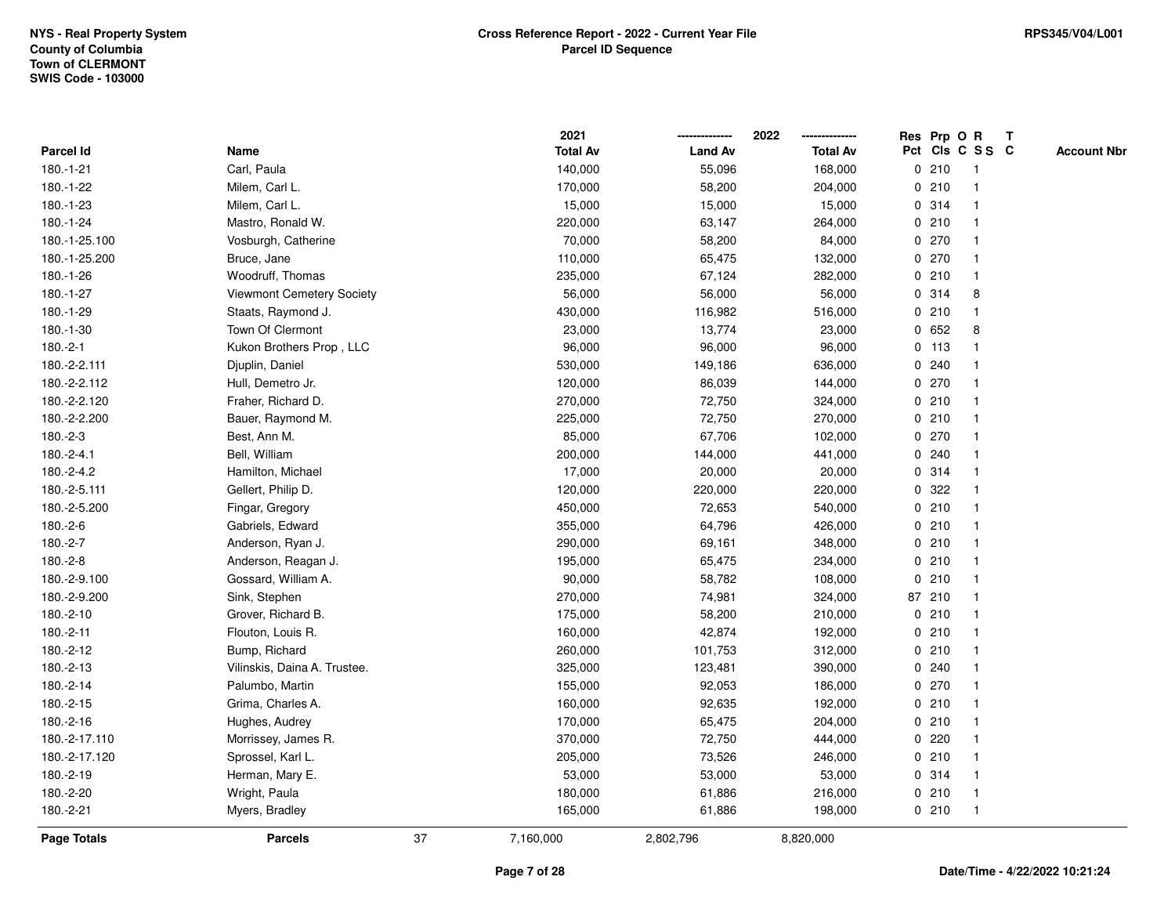|                    |                              |    | 2021            |                | 2022            |   |         | Res Prp O R     | Т |                    |
|--------------------|------------------------------|----|-----------------|----------------|-----------------|---|---------|-----------------|---|--------------------|
| Parcel Id          | Name                         |    | <b>Total Av</b> | <b>Land Av</b> | <b>Total Av</b> |   |         | Pct Cls C S S C |   | <b>Account Nbr</b> |
| 180.-1-21          | Carl, Paula                  |    | 140,000         | 55,096         | 168,000         |   | 0210    | $\mathbf{1}$    |   |                    |
| 180.-1-22          | Milem, Carl L.               |    | 170,000         | 58,200         | 204,000         | 0 | 210     | $\overline{1}$  |   |                    |
| 180.-1-23          | Milem, Carl L.               |    | 15,000          | 15,000         | 15,000          |   | 0.314   | $\mathbf{1}$    |   |                    |
| 180.-1-24          | Mastro, Ronald W.            |    | 220,000         | 63,147         | 264,000         |   | 0210    | -1              |   |                    |
| 180.-1-25.100      | Vosburgh, Catherine          |    | 70,000          | 58,200         | 84,000          |   | 0270    |                 |   |                    |
| 180.-1-25.200      | Bruce, Jane                  |    | 110,000         | 65,475         | 132,000         |   | 0270    |                 |   |                    |
| 180.-1-26          | Woodruff, Thomas             |    | 235,000         | 67,124         | 282,000         |   | 0210    | $\mathbf{1}$    |   |                    |
| 180.-1-27          | Viewmont Cemetery Society    |    | 56,000          | 56,000         | 56,000          | 0 | 314     | 8               |   |                    |
| 180.-1-29          | Staats, Raymond J.           |    | 430,000         | 116,982        | 516,000         |   | 0210    | $\mathbf{1}$    |   |                    |
| 180.-1-30          | Town Of Clermont             |    | 23,000          | 13,774         | 23,000          |   | 0 652   | 8               |   |                    |
| 180.-2-1           | Kukon Brothers Prop, LLC     |    | 96,000          | 96,000         | 96,000          |   | $0$ 113 |                 |   |                    |
| 180.-2-2.111       | Djuplin, Daniel              |    | 530,000         | 149,186        | 636,000         |   | 0.240   |                 |   |                    |
| 180.-2-2.112       | Hull, Demetro Jr.            |    | 120,000         | 86,039         | 144,000         |   | 0270    |                 |   |                    |
| 180.-2-2.120       | Fraher, Richard D.           |    | 270,000         | 72,750         | 324,000         |   | 0210    | $\mathbf 1$     |   |                    |
| 180.-2-2.200       | Bauer, Raymond M.            |    | 225,000         | 72,750         | 270,000         |   | 0210    | $\overline{1}$  |   |                    |
| 180.-2-3           | Best, Ann M.                 |    | 85,000          | 67,706         | 102,000         |   | 0270    | $\mathbf{1}$    |   |                    |
| $180.-2-4.1$       | Bell, William                |    | 200,000         | 144,000        | 441,000         |   | 0.240   | $\mathbf{1}$    |   |                    |
| 180.-2-4.2         | Hamilton, Michael            |    | 17,000          | 20,000         | 20,000          |   | 0.314   |                 |   |                    |
| 180.-2-5.111       | Gellert, Philip D.           |    | 120,000         | 220,000        | 220,000         |   | 0.322   |                 |   |                    |
| 180.-2-5.200       | Fingar, Gregory              |    | 450,000         | 72,653         | 540,000         |   | 0210    |                 |   |                    |
| 180.-2-6           | Gabriels, Edward             |    | 355,000         | 64,796         | 426,000         |   | 0210    |                 |   |                    |
| 180.-2-7           | Anderson, Ryan J.            |    | 290,000         | 69,161         | 348,000         |   | 0210    | -1              |   |                    |
| 180.-2-8           | Anderson, Reagan J.          |    | 195,000         | 65,475         | 234,000         |   | 0210    | $\overline{1}$  |   |                    |
| 180.-2-9.100       | Gossard, William A.          |    | 90,000          | 58,782         | 108,000         |   | 0210    | $\mathbf{1}$    |   |                    |
| 180.-2-9.200       | Sink, Stephen                |    | 270,000         | 74,981         | 324,000         |   | 87 210  | $\overline{1}$  |   |                    |
| 180.-2-10          | Grover, Richard B.           |    | 175,000         | 58,200         | 210,000         |   | 0210    |                 |   |                    |
| 180.-2-11          | Flouton, Louis R.            |    | 160,000         | 42,874         | 192,000         |   | 0210    |                 |   |                    |
| 180.-2-12          | Bump, Richard                |    | 260,000         | 101,753        | 312,000         |   | 0210    |                 |   |                    |
| 180.-2-13          | Vilinskis, Daina A. Trustee. |    | 325,000         | 123,481        | 390,000         |   | 0.240   |                 |   |                    |
| 180.-2-14          | Palumbo, Martin              |    | 155,000         | 92,053         | 186,000         | 0 | 270     | -1              |   |                    |
| 180.-2-15          | Grima, Charles A.            |    | 160,000         | 92,635         | 192,000         | 0 | 210     | $\mathbf 1$     |   |                    |
| 180.-2-16          | Hughes, Audrey               |    | 170,000         | 65,475         | 204,000         |   | 0210    | $\mathbf 1$     |   |                    |
| 180.-2-17.110      | Morrissey, James R.          |    | 370,000         | 72,750         | 444,000         |   | 0.220   |                 |   |                    |
| 180.-2-17.120      | Sprossel, Karl L.            |    | 205,000         | 73,526         | 246,000         |   | 0210    |                 |   |                    |
| 180.-2-19          | Herman, Mary E.              |    | 53,000          | 53,000         | 53,000          |   | 0.314   | 1               |   |                    |
| 180.-2-20          | Wright, Paula                |    | 180,000         | 61,886         | 216,000         |   | 0210    | $\overline{1}$  |   |                    |
| 180.-2-21          | Myers, Bradley               |    | 165,000         | 61,886         | 198,000         |   | 0210    | $\mathbf{1}$    |   |                    |
| <b>Page Totals</b> | <b>Parcels</b>               | 37 | 7,160,000       | 2,802,796      | 8,820,000       |   |         |                 |   |                    |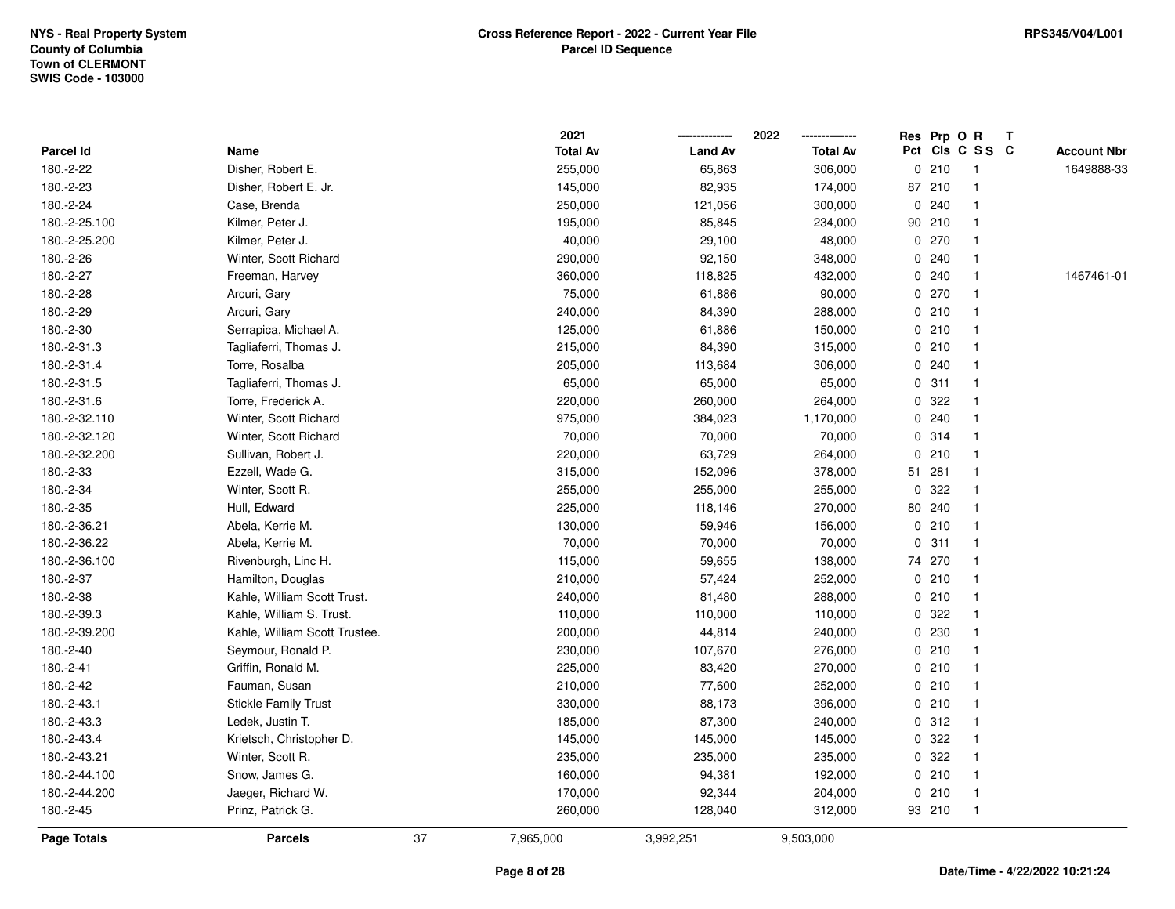|                    |                               |    | 2021            |                | 2022            |             | Res Prp O R |                 | Т |                    |
|--------------------|-------------------------------|----|-----------------|----------------|-----------------|-------------|-------------|-----------------|---|--------------------|
| Parcel Id          | Name                          |    | <b>Total Av</b> | <b>Land Av</b> | <b>Total Av</b> |             |             | Pct Cls C S S C |   | <b>Account Nbr</b> |
| 180.-2-22          | Disher, Robert E.             |    | 255,000         | 65,863         | 306,000         | 0           | 210         | $\mathbf{1}$    |   | 1649888-33         |
| 180.-2-23          | Disher, Robert E. Jr.         |    | 145,000         | 82,935         | 174,000         |             | 87 210      |                 |   |                    |
| 180.-2-24          | Case, Brenda                  |    | 250,000         | 121,056        | 300,000         |             | 0.240       |                 |   |                    |
| 180.-2-25.100      | Kilmer, Peter J.              |    | 195,000         | 85,845         | 234,000         |             | 90 210      |                 |   |                    |
| 180.-2-25.200      | Kilmer, Peter J.              |    | 40,000          | 29,100         | 48,000          |             | 0 270       |                 |   |                    |
| 180.-2-26          | Winter, Scott Richard         |    | 290,000         | 92,150         | 348,000         |             | 0.240       |                 |   |                    |
| 180.-2-27          | Freeman, Harvey               |    | 360,000         | 118,825        | 432,000         |             | 0.240       |                 |   | 1467461-01         |
| 180.-2-28          | Arcuri, Gary                  |    | 75,000          | 61,886         | 90,000          | 0           | 270         |                 |   |                    |
| 180.-2-29          | Arcuri, Gary                  |    | 240,000         | 84,390         | 288,000         |             | 0210        |                 |   |                    |
| 180.-2-30          | Serrapica, Michael A.         |    | 125,000         | 61,886         | 150,000         |             | 0210        |                 |   |                    |
| 180.-2-31.3        | Tagliaferri, Thomas J.        |    | 215,000         | 84,390         | 315,000         |             | 0210        |                 |   |                    |
| 180.-2-31.4        | Torre, Rosalba                |    | 205,000         | 113,684        | 306,000         |             | 0.240       |                 |   |                    |
| 180.-2-31.5        | Tagliaferri, Thomas J.        |    | 65,000          | 65,000         | 65,000          |             | 0.311       |                 |   |                    |
| 180.-2-31.6        | Torre, Frederick A.           |    | 220,000         | 260,000        | 264,000         |             | 0.322       |                 |   |                    |
| 180.-2-32.110      | Winter, Scott Richard         |    | 975,000         | 384,023        | 1,170,000       |             | 0.240       |                 |   |                    |
| 180.-2-32.120      | Winter, Scott Richard         |    | 70,000          | 70,000         | 70,000          |             | 0.314       |                 |   |                    |
| 180.-2-32.200      | Sullivan, Robert J.           |    | 220,000         | 63,729         | 264,000         | $\mathbf 0$ | 210         |                 |   |                    |
| 180.-2-33          | Ezzell, Wade G.               |    | 315,000         | 152,096        | 378,000         |             | 51 281      |                 |   |                    |
| 180.-2-34          | Winter, Scott R.              |    | 255,000         | 255,000        | 255,000         | 0           | 322         |                 |   |                    |
| 180.-2-35          | Hull, Edward                  |    | 225,000         | 118,146        | 270,000         |             | 80 240      |                 |   |                    |
| 180.-2-36.21       | Abela, Kerrie M.              |    | 130,000         | 59,946         | 156,000         |             | 0210        |                 |   |                    |
| 180.-2-36.22       | Abela, Kerrie M.              |    | 70,000          | 70,000         | 70,000          | 0           | 311         |                 |   |                    |
| 180.-2-36.100      | Rivenburgh, Linc H.           |    | 115,000         | 59,655         | 138,000         |             | 74 270      |                 |   |                    |
| 180.-2-37          | Hamilton, Douglas             |    | 210,000         | 57,424         | 252,000         |             | 0210        |                 |   |                    |
| 180.-2-38          | Kahle, William Scott Trust.   |    | 240,000         | 81,480         | 288,000         |             | 0210        |                 |   |                    |
| 180.-2-39.3        | Kahle, William S. Trust.      |    | 110,000         | 110,000        | 110,000         |             | 0 322       |                 |   |                    |
| 180.-2-39.200      | Kahle, William Scott Trustee. |    | 200,000         | 44,814         | 240,000         |             | 0 230       |                 |   |                    |
| 180.-2-40          | Seymour, Ronald P.            |    | 230,000         | 107,670        | 276,000         |             | 0210        |                 |   |                    |
| 180.-2-41          | Griffin, Ronald M.            |    | 225,000         | 83,420         | 270,000         |             | 0210        |                 |   |                    |
| 180.-2-42          | Fauman, Susan                 |    | 210,000         | 77,600         | 252,000         | 0           | 210         |                 |   |                    |
| 180.-2-43.1        | <b>Stickle Family Trust</b>   |    | 330,000         | 88,173         | 396,000         |             | 0210        |                 |   |                    |
| 180.-2-43.3        | Ledek, Justin T.              |    | 185,000         | 87,300         | 240,000         |             | 0.312       |                 |   |                    |
| 180.-2-43.4        | Krietsch, Christopher D.      |    | 145,000         | 145,000        | 145,000         |             | 0.322       |                 |   |                    |
| 180.-2-43.21       | Winter, Scott R.              |    | 235,000         | 235,000        | 235,000         |             | 0 322       |                 |   |                    |
| 180.-2-44.100      | Snow, James G.                |    | 160,000         | 94,381         | 192,000         |             | 0210        |                 |   |                    |
| 180.-2-44.200      | Jaeger, Richard W.            |    | 170,000         | 92,344         | 204,000         | 0           | 210         | $\mathbf{1}$    |   |                    |
| 180.-2-45          | Prinz, Patrick G.             |    | 260,000         | 128,040        | 312,000         |             | 93 210      | $\mathbf{1}$    |   |                    |
| <b>Page Totals</b> | <b>Parcels</b>                | 37 | 7,965,000       | 3,992,251      | 9,503,000       |             |             |                 |   |                    |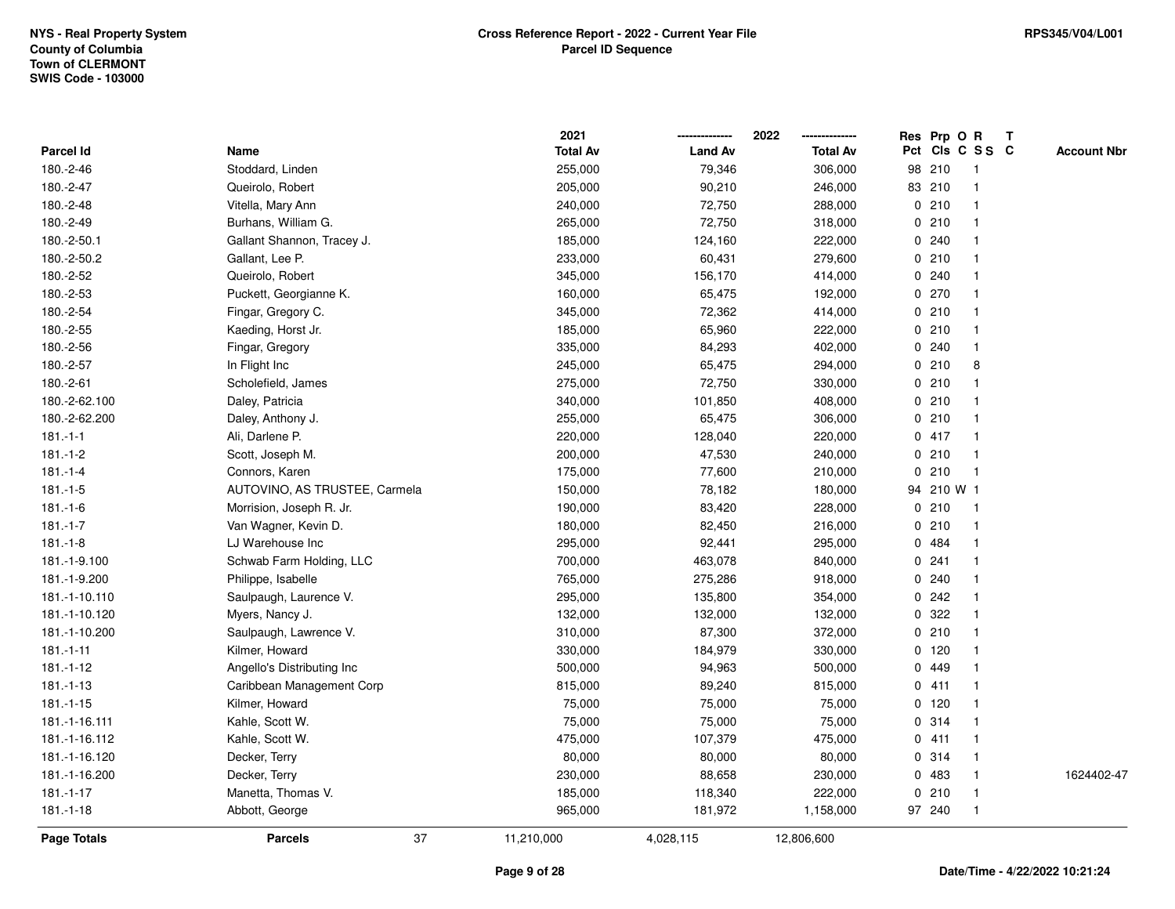|                    |                               | 2021            |                | 2022            | Res Prp O R |                 | Т |                    |
|--------------------|-------------------------------|-----------------|----------------|-----------------|-------------|-----------------|---|--------------------|
| Parcel Id          | Name                          | <b>Total Av</b> | <b>Land Av</b> | <b>Total Av</b> |             | Pct Cls C S S C |   | <b>Account Nbr</b> |
| 180.-2-46          | Stoddard, Linden              | 255,000         | 79,346         | 306,000         | 98 210      | $\overline{1}$  |   |                    |
| 180.-2-47          | Queirolo, Robert              | 205,000         | 90,210         | 246,000         | 83 210      | $\overline{1}$  |   |                    |
| 180.-2-48          | Vitella, Mary Ann             | 240,000         | 72,750         | 288,000         | 0210        | $\overline{1}$  |   |                    |
| 180.-2-49          | Burhans, William G.           | 265,000         | 72,750         | 318,000         | 0210        | $\overline{1}$  |   |                    |
| 180.-2-50.1        | Gallant Shannon, Tracey J.    | 185,000         | 124,160        | 222,000         | 0.240       | $\mathbf{1}$    |   |                    |
| 180.-2-50.2        | Gallant, Lee P.               | 233,000         | 60,431         | 279,600         | 0210        | $\mathbf 1$     |   |                    |
| 180.-2-52          | Queirolo, Robert              | 345,000         | 156,170        | 414,000         | 0.240       | $\mathbf{1}$    |   |                    |
| 180.-2-53          | Puckett, Georgianne K.        | 160,000         | 65,475         | 192,000         | 0270        | $\mathbf{1}$    |   |                    |
| 180.-2-54          | Fingar, Gregory C.            | 345,000         | 72,362         | 414,000         | 0210        | $\mathbf{1}$    |   |                    |
| 180.-2-55          | Kaeding, Horst Jr.            | 185,000         | 65,960         | 222,000         | 0210        | $\mathbf{1}$    |   |                    |
| 180.-2-56          | Fingar, Gregory               | 335,000         | 84,293         | 402,000         | 0.240       | $\mathbf{1}$    |   |                    |
| 180.-2-57          | In Flight Inc                 | 245,000         | 65,475         | 294,000         | 0210        | 8               |   |                    |
| 180.-2-61          | Scholefield, James            | 275,000         | 72,750         | 330,000         | 0210        | $\mathbf{1}$    |   |                    |
| 180.-2-62.100      | Daley, Patricia               | 340,000         | 101,850        | 408,000         | 0210        | $\overline{1}$  |   |                    |
| 180.-2-62.200      | Daley, Anthony J.             | 255,000         | 65,475         | 306,000         | 0210        | $\overline{1}$  |   |                    |
| $181 - 1 - 1$      | Ali, Darlene P.               | 220,000         | 128,040        | 220,000         | 0417        | $\mathbf{1}$    |   |                    |
| $181 - 1 - 2$      | Scott, Joseph M.              | 200,000         | 47,530         | 240,000         | 0210        | $\overline{1}$  |   |                    |
| $181 - 1 - 4$      | Connors, Karen                | 175,000         | 77,600         | 210,000         | 0210        | $\mathbf{1}$    |   |                    |
| $181 - 1 - 5$      | AUTOVINO, AS TRUSTEE, Carmela | 150,000         | 78,182         | 180,000         | 94 210 W 1  |                 |   |                    |
| $181 - 1 - 6$      | Morrision, Joseph R. Jr.      | 190,000         | 83,420         | 228,000         | 0210        | $\overline{1}$  |   |                    |
| $181.-1-7$         | Van Wagner, Kevin D.          | 180,000         | 82,450         | 216,000         | 0210        | $\overline{1}$  |   |                    |
| $181 - 1 - 8$      | LJ Warehouse Inc              | 295,000         | 92,441         | 295,000         | 0 484       | $\mathbf{1}$    |   |                    |
| 181.-1-9.100       | Schwab Farm Holding, LLC      | 700,000         | 463,078        | 840,000         | 0.241       | $\mathbf{1}$    |   |                    |
| 181.-1-9.200       | Philippe, Isabelle            | 765,000         | 275,286        | 918,000         | 0.240       | $\overline{1}$  |   |                    |
| 181.-1-10.110      | Saulpaugh, Laurence V.        | 295,000         | 135,800        | 354,000         | 0.242       | $\mathbf{1}$    |   |                    |
| 181.-1-10.120      | Myers, Nancy J.               | 132,000         | 132,000        | 132,000         | 0.322       | $\mathbf{1}$    |   |                    |
| 181.-1-10.200      | Saulpaugh, Lawrence V.        | 310,000         | 87,300         | 372,000         | 0210        | -1              |   |                    |
| $181 - 1 - 11$     | Kilmer, Howard                | 330,000         | 184,979        | 330,000         | 0 120       |                 |   |                    |
| $181 - 1 - 12$     | Angello's Distributing Inc    | 500,000         | 94,963         | 500,000         | 0 449       | $\mathbf{1}$    |   |                    |
| $181 - 1 - 13$     | Caribbean Management Corp     | 815,000         | 89,240         | 815,000         | 0411        | $\mathbf{1}$    |   |                    |
| $181 - 1 - 15$     | Kilmer, Howard                | 75,000          | 75,000         | 75,000          | $0$ 120     | $\mathbf{1}$    |   |                    |
| 181.-1-16.111      | Kahle, Scott W.               | 75,000          | 75,000         | 75,000          | 0 314       | $\mathbf{1}$    |   |                    |
| 181.-1-16.112      | Kahle, Scott W.               | 475,000         | 107,379        | 475,000         | 0411        | $\mathbf{1}$    |   |                    |
| 181.-1-16.120      | Decker, Terry                 | 80,000          | 80,000         | 80,000          | 0.314       | $\mathbf{1}$    |   |                    |
| 181.-1-16.200      | Decker, Terry                 | 230,000         | 88,658         | 230,000         | 0 483       | $\mathbf 1$     |   | 1624402-47         |
| $181 - 1 - 17$     | Manetta, Thomas V.            | 185,000         | 118,340        | 222,000         | 0210        | $\overline{1}$  |   |                    |
| $181 - 1 - 18$     | Abbott, George                | 965,000         | 181,972        | 1,158,000       | 97 240      | $\overline{1}$  |   |                    |
| <b>Page Totals</b> | 37<br><b>Parcels</b>          | 11,210,000      | 4,028,115      | 12,806,600      |             |                 |   |                    |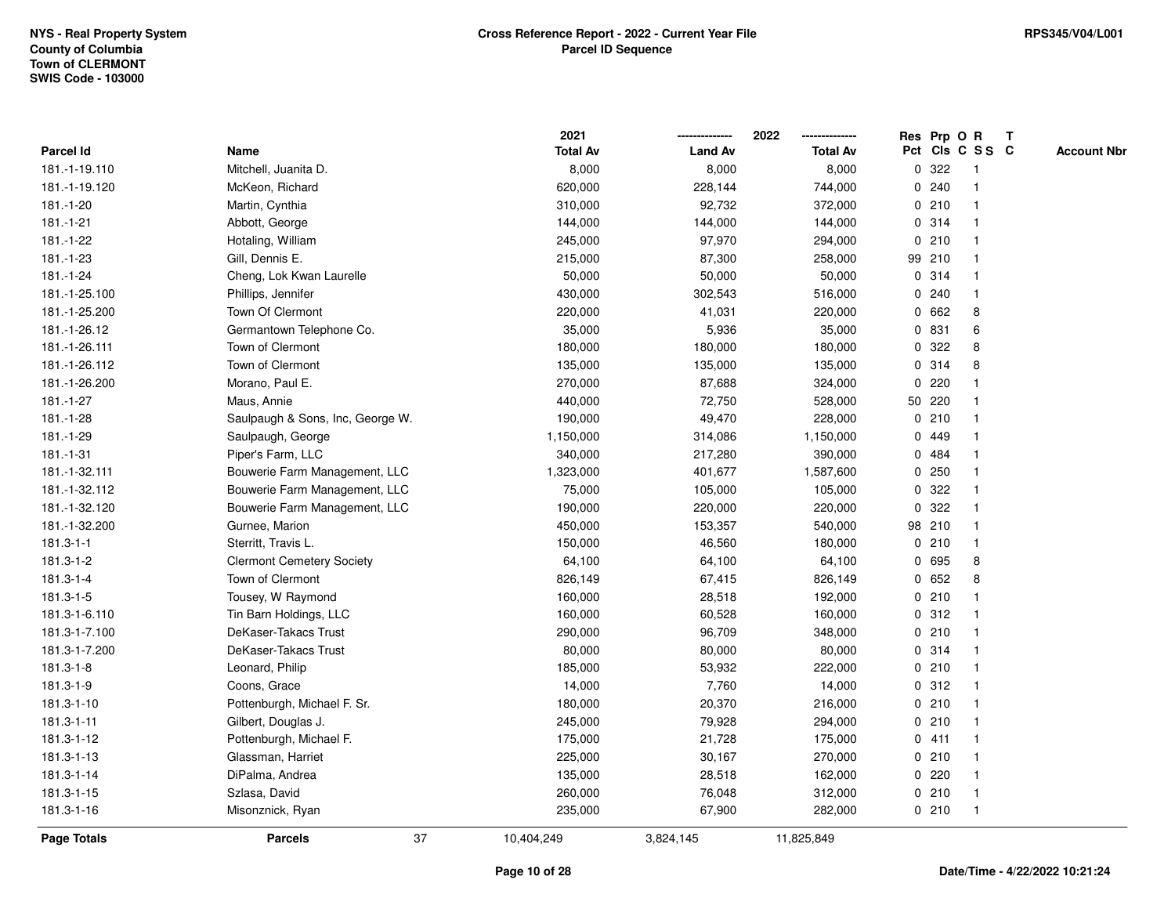**2021 -------------- 2022**

**--------------**

|                    |                                  | 2021            |                | 2022            | Res Prp O R  |        |                         | T |                    |
|--------------------|----------------------------------|-----------------|----------------|-----------------|--------------|--------|-------------------------|---|--------------------|
| Parcel Id          | Name                             | <b>Total Av</b> | <b>Land Av</b> | <b>Total Av</b> |              |        | Pct Cls C S S C         |   | <b>Account Nbr</b> |
| 181.-1-19.110      | Mitchell, Juanita D.             | 8,000           | 8,000          | 8,000           | $\mathbf 0$  | 322    | -1                      |   |                    |
| 181.-1-19.120      | McKeon, Richard                  | 620,000         | 228,144        | 744,000         |              | 0.240  |                         |   |                    |
| 181.-1-20          | Martin, Cynthia                  | 310,000         | 92,732         | 372,000         |              | 0210   |                         |   |                    |
| $181 - 1 - 21$     | Abbott, George                   | 144,000         | 144,000        | 144,000         |              | 0.314  |                         |   |                    |
| 181.-1-22          | Hotaling, William                | 245,000         | 97,970         | 294,000         |              | 0210   |                         |   |                    |
| 181.-1-23          | Gill, Dennis E.                  | 215,000         | 87,300         | 258,000         | 99 210       |        |                         |   |                    |
| $181.-1-24$        | Cheng, Lok Kwan Laurelle         | 50,000          | 50,000         | 50,000          |              | 0 314  |                         |   |                    |
| 181.-1-25.100      | Phillips, Jennifer               | 430,000         | 302,543        | 516,000         |              | 0.240  | -1                      |   |                    |
| 181.-1-25.200      | <b>Town Of Clermont</b>          | 220,000         | 41,031         | 220,000         | $\mathbf 0$  | 662    | 8                       |   |                    |
| 181.-1-26.12       | Germantown Telephone Co.         | 35,000          | 5,936          | 35,000          |              | 0 831  | 6                       |   |                    |
| 181.-1-26.111      | Town of Clermont                 | 180,000         | 180,000        | 180,000         |              | 0.322  | 8                       |   |                    |
| 181.-1-26.112      | Town of Clermont                 | 135,000         | 135,000        | 135,000         |              | 0 314  | 8                       |   |                    |
| 181.-1-26.200      | Morano, Paul E.                  | 270,000         | 87,688         | 324,000         | 0            | 220    |                         |   |                    |
| 181.-1-27          | Maus, Annie                      | 440,000         | 72,750         | 528,000         | 50 220       |        |                         |   |                    |
| 181.-1-28          | Saulpaugh & Sons, Inc, George W. | 190,000         | 49,470         | 228,000         | 0            | 210    |                         |   |                    |
| 181.-1-29          | Saulpaugh, George                | 1,150,000       | 314,086        | 1,150,000       | $\mathbf{0}$ | 449    |                         |   |                    |
| 181.-1-31          | Piper's Farm, LLC                | 340,000         | 217,280        | 390,000         |              | 0 484  |                         |   |                    |
| 181.-1-32.111      | Bouwerie Farm Management, LLC    | 1,323,000       | 401,677        | 1,587,600       |              | 0.250  |                         |   |                    |
| 181.-1-32.112      | Bouwerie Farm Management, LLC    | 75,000          | 105,000        | 105,000         |              | 0 322  |                         |   |                    |
| 181.-1-32.120      | Bouwerie Farm Management, LLC    | 190,000         | 220,000        | 220,000         | $\mathbf{0}$ | 322    |                         |   |                    |
| 181.-1-32.200      | Gurnee, Marion                   | 450,000         | 153,357        | 540,000         |              | 98 210 |                         |   |                    |
| $181.3 - 1 - 1$    | Sterritt, Travis L.              | 150,000         | 46,560         | 180,000         |              | 0210   | $\overline{\mathbf{1}}$ |   |                    |
| 181.3-1-2          | <b>Clermont Cemetery Society</b> | 64,100          | 64,100         | 64,100          | 0            | 695    | 8                       |   |                    |
| 181.3-1-4          | Town of Clermont                 | 826,149         | 67,415         | 826,149         | 0            | 652    | 8                       |   |                    |
| 181.3-1-5          | Tousey, W Raymond                | 160,000         | 28,518         | 192,000         |              | 0210   |                         |   |                    |
| 181.3-1-6.110      | Tin Barn Holdings, LLC           | 160,000         | 60,528         | 160,000         |              | 0.312  |                         |   |                    |
| 181.3-1-7.100      | DeKaser-Takacs Trust             | 290,000         | 96,709         | 348,000         |              | 0210   |                         |   |                    |
| 181.3-1-7.200      | DeKaser-Takacs Trust             | 80,000          | 80,000         | 80,000          |              | 0 314  |                         |   |                    |
| 181.3-1-8          | Leonard, Philip                  | 185,000         | 53,932         | 222,000         |              | 0210   |                         |   |                    |
| 181.3-1-9          | Coons, Grace                     | 14,000          | 7,760          | 14,000          | 0            | 312    | -1                      |   |                    |
| 181.3-1-10         | Pottenburgh, Michael F. Sr.      | 180,000         | 20,370         | 216,000         |              | 0210   | -1                      |   |                    |
| 181.3-1-11         | Gilbert, Douglas J.              | 245,000         | 79,928         | 294,000         |              | 0210   | -1                      |   |                    |
| 181.3-1-12         | Pottenburgh, Michael F.          | 175,000         | 21,728         | 175,000         |              | 0411   |                         |   |                    |
| 181.3-1-13         | Glassman, Harriet                | 225,000         | 30,167         | 270,000         |              | 0210   |                         |   |                    |
| 181.3-1-14         | DiPalma, Andrea                  | 135,000         | 28,518         | 162,000         |              | 0220   |                         |   |                    |
| 181.3-1-15         | Szlasa, David                    | 260,000         | 76,048         | 312,000         |              | 0210   | $\mathbf 1$             |   |                    |
| 181.3-1-16         | Misonznick, Ryan                 | 235,000         | 67,900         | 282,000         |              | 0210   | $\mathbf{1}$            |   |                    |
| <b>Page Totals</b> | 37<br><b>Parcels</b>             | 10,404,249      | 3,824,145      | 11,825,849      |              |        |                         |   |                    |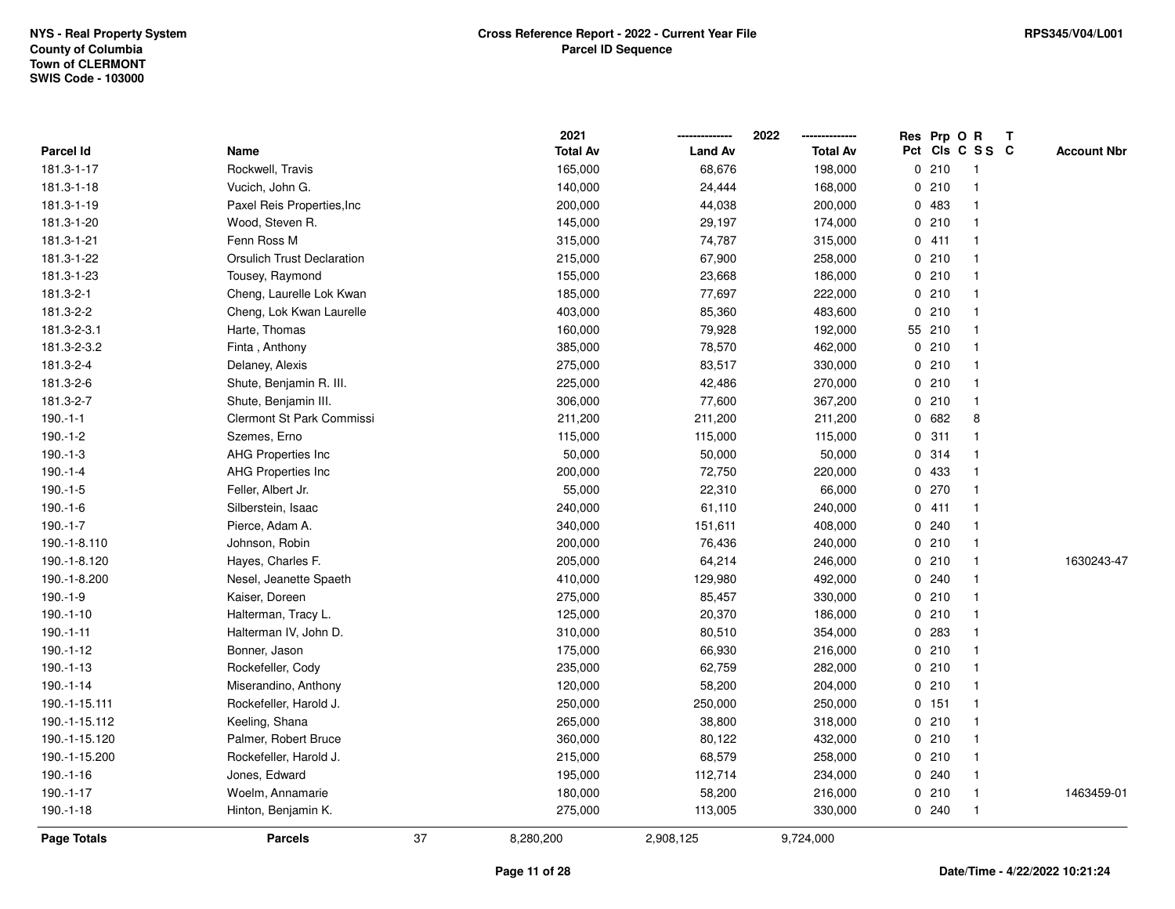|                  |                                   |    | 2021            |                | 2022            |             | Res Prp O R |                 | Т |                    |
|------------------|-----------------------------------|----|-----------------|----------------|-----------------|-------------|-------------|-----------------|---|--------------------|
| <b>Parcel Id</b> | Name                              |    | <b>Total Av</b> | <b>Land Av</b> | <b>Total Av</b> |             |             | Pct Cls C S S C |   | <b>Account Nbr</b> |
| 181.3-1-17       | Rockwell, Travis                  |    | 165,000         | 68,676         | 198,000         |             | 0210        | $\mathbf{1}$    |   |                    |
| 181.3-1-18       | Vucich, John G.                   |    | 140,000         | 24,444         | 168,000         | 0           | 210         | $\mathbf{1}$    |   |                    |
| 181.3-1-19       | Paxel Reis Properties, Inc        |    | 200,000         | 44,038         | 200,000         |             | 0483        | $\mathbf{1}$    |   |                    |
| 181.3-1-20       | Wood, Steven R.                   |    | 145,000         | 29,197         | 174,000         |             | 0210        | $\mathbf{1}$    |   |                    |
| 181.3-1-21       | Fenn Ross M                       |    | 315,000         | 74,787         | 315,000         |             | 0411        | -1              |   |                    |
| 181.3-1-22       | <b>Orsulich Trust Declaration</b> |    | 215,000         | 67,900         | 258,000         |             | 0210        | -1              |   |                    |
| 181.3-1-23       | Tousey, Raymond                   |    | 155,000         | 23,668         | 186,000         |             | 0210        | $\mathbf{1}$    |   |                    |
| 181.3-2-1        | Cheng, Laurelle Lok Kwan          |    | 185,000         | 77,697         | 222,000         |             | 0210        | $\mathbf{1}$    |   |                    |
| 181.3-2-2        | Cheng, Lok Kwan Laurelle          |    | 403,000         | 85,360         | 483,600         | 0           | 210         | $\mathbf{1}$    |   |                    |
| 181.3-2-3.1      | Harte, Thomas                     |    | 160,000         | 79,928         | 192,000         |             | 55 210      | $\mathbf{1}$    |   |                    |
| 181.3-2-3.2      | Finta, Anthony                    |    | 385,000         | 78,570         | 462,000         |             | 0210        | $\mathbf{1}$    |   |                    |
| 181.3-2-4        | Delaney, Alexis                   |    | 275,000         | 83,517         | 330,000         |             | 0210        | $\mathbf 1$     |   |                    |
| 181.3-2-6        | Shute, Benjamin R. III.           |    | 225,000         | 42,486         | 270,000         |             | 0210        | 1               |   |                    |
| 181.3-2-7        | Shute, Benjamin III.              |    | 306,000         | 77,600         | 367,200         |             | 0210        | -1              |   |                    |
| $190.-1-1$       | <b>Clermont St Park Commissi</b>  |    | 211,200         | 211,200        | 211,200         | $\mathbf 0$ | 682         | 8               |   |                    |
| $190.-1-2$       | Szemes, Erno                      |    | 115,000         | 115,000        | 115,000         |             | 0.311       | $\mathbf{1}$    |   |                    |
| $190.-1-3$       | AHG Properties Inc                |    | 50,000          | 50,000         | 50,000          |             | 0.314       | $\mathbf{1}$    |   |                    |
| 190.-1-4         | <b>AHG Properties Inc</b>         |    | 200,000         | 72,750         | 220,000         |             | 0 433       | $\mathbf{1}$    |   |                    |
| $190.-1-5$       | Feller, Albert Jr.                |    | 55,000          | 22,310         | 66,000          |             | 0270        | $\mathbf 1$     |   |                    |
| 190.-1-6         | Silberstein, Isaac                |    | 240,000         | 61,110         | 240,000         |             | 0411        | 1               |   |                    |
| $190.-1-7$       | Pierce, Adam A.                   |    | 340,000         | 151,611        | 408,000         |             | 0.240       | $\overline{1}$  |   |                    |
| 190.-1-8.110     | Johnson, Robin                    |    | 200,000         | 76,436         | 240,000         |             | 0210        | $\mathbf{1}$    |   |                    |
| 190.-1-8.120     | Hayes, Charles F.                 |    | 205,000         | 64,214         | 246,000         |             | 0210        | $\mathbf{1}$    |   | 1630243-47         |
| 190.-1-8.200     | Nesel, Jeanette Spaeth            |    | 410,000         | 129,980        | 492,000         |             | 0.240       | $\mathbf{1}$    |   |                    |
| $190.-1-9$       | Kaiser, Doreen                    |    | 275,000         | 85,457         | 330,000         |             | 0210        | $\mathbf{1}$    |   |                    |
| $190.-1-10$      | Halterman, Tracy L.               |    | 125,000         | 20,370         | 186,000         |             | 0210        | 1               |   |                    |
| 190.-1-11        | Halterman IV, John D.             |    | 310,000         | 80,510         | 354,000         |             | 0 283       |                 |   |                    |
| 190.-1-12        | Bonner, Jason                     |    | 175,000         | 66,930         | 216,000         |             | 0210        | $\mathbf{1}$    |   |                    |
| 190.-1-13        | Rockefeller, Cody                 |    | 235,000         | 62,759         | 282,000         |             | 0210        | $\mathbf{1}$    |   |                    |
| 190.-1-14        | Miserandino, Anthony              |    | 120,000         | 58,200         | 204,000         |             | 0210        | $\mathbf{1}$    |   |                    |
| 190.-1-15.111    | Rockefeller, Harold J.            |    | 250,000         | 250,000        | 250,000         |             | $0$ 151     | $\mathbf{1}$    |   |                    |
| 190.-1-15.112    | Keeling, Shana                    |    | 265,000         | 38,800         | 318,000         |             | 0210        | $\mathbf{1}$    |   |                    |
| 190.-1-15.120    | Palmer, Robert Bruce              |    | 360,000         | 80,122         | 432,000         |             | 0210        | $\mathbf{1}$    |   |                    |
| 190.-1-15.200    | Rockefeller, Harold J.            |    | 215,000         | 68,579         | 258,000         |             | 0210        | $\mathbf{1}$    |   |                    |
| 190.-1-16        | Jones, Edward                     |    | 195,000         | 112,714        | 234,000         |             | 0.240       | $\mathbf 1$     |   |                    |
| 190.-1-17        | Woelm, Annamarie                  |    | 180,000         | 58,200         | 216,000         |             | 0210        | $\mathbf{1}$    |   | 1463459-01         |
| $190.-1-18$      | Hinton, Benjamin K.               |    | 275,000         | 113,005        | 330,000         |             | 0.240       | $\mathbf{1}$    |   |                    |
| Page Totals      | <b>Parcels</b>                    | 37 | 8,280,200       | 2,908,125      | 9,724,000       |             |             |                 |   |                    |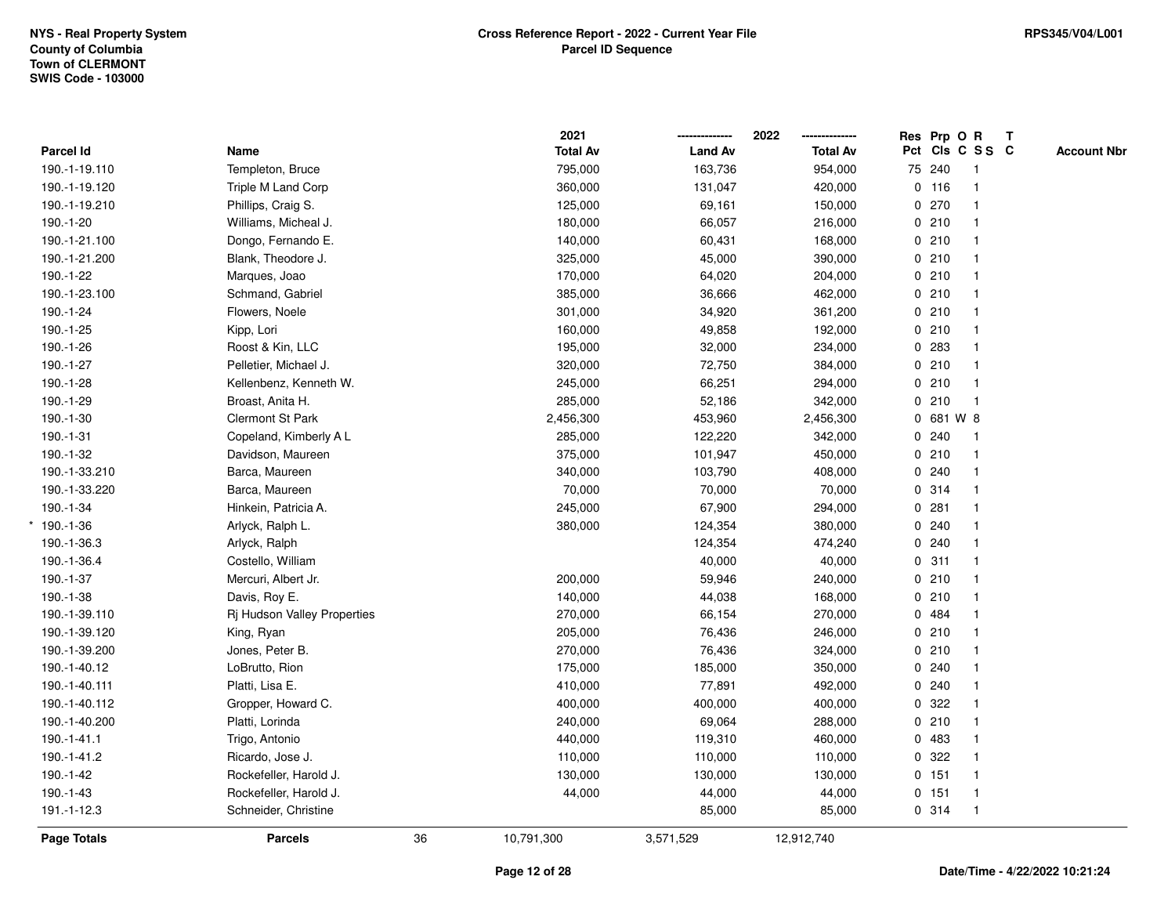|               |                             |    | 2021            |                | 2022<br>-------------- | Res Prp O R |                 |              | $\mathbf{T}$ |                    |
|---------------|-----------------------------|----|-----------------|----------------|------------------------|-------------|-----------------|--------------|--------------|--------------------|
| Parcel Id     | Name                        |    | <b>Total Av</b> | <b>Land Av</b> | <b>Total Av</b>        |             | Pct Cls C S S C |              |              | <b>Account Nbr</b> |
| 190.-1-19.110 | Templeton, Bruce            |    | 795,000         | 163,736        | 954,000                |             | 75 240          | -1           |              |                    |
| 190.-1-19.120 | Triple M Land Corp          |    | 360,000         | 131,047        | 420,000                |             | $0$ 116         |              |              |                    |
| 190.-1-19.210 | Phillips, Craig S.          |    | 125,000         | 69,161         | 150,000                |             | 0270            |              |              |                    |
| 190.-1-20     | Williams, Micheal J.        |    | 180,000         | 66,057         | 216,000                |             | 0210            | $\mathbf{1}$ |              |                    |
| 190.-1-21.100 | Dongo, Fernando E.          |    | 140,000         | 60,431         | 168,000                |             | 0210            |              |              |                    |
| 190.-1-21.200 | Blank, Theodore J.          |    | 325,000         | 45,000         | 390,000                |             | 0210            |              |              |                    |
| 190.-1-22     | Marques, Joao               |    | 170,000         | 64,020         | 204,000                |             | 0210            |              |              |                    |
| 190.-1-23.100 | Schmand, Gabriel            |    | 385,000         | 36,666         | 462,000                |             | 0210            |              |              |                    |
| 190.-1-24     | Flowers, Noele              |    | 301,000         | 34,920         | 361,200                |             | 0210            |              |              |                    |
| 190.-1-25     | Kipp, Lori                  |    | 160,000         | 49,858         | 192,000                |             | 0210            |              |              |                    |
| 190.-1-26     | Roost & Kin, LLC            |    | 195,000         | 32,000         | 234,000                |             | 0.283           | -1           |              |                    |
| 190.-1-27     | Pelletier, Michael J.       |    | 320,000         | 72,750         | 384,000                |             | 0210            |              |              |                    |
| 190.-1-28     | Kellenbenz, Kenneth W.      |    | 245,000         | 66,251         | 294,000                |             | 0210            |              |              |                    |
| 190.-1-29     | Broast, Anita H.            |    | 285,000         | 52,186         | 342,000                |             | 0210            |              |              |                    |
| 190.-1-30     | Clermont St Park            |    | 2,456,300       | 453,960        | 2,456,300              |             | 0 681 W 8       |              |              |                    |
| 190.-1-31     | Copeland, Kimberly A L      |    | 285,000         | 122,220        | 342,000                |             | 0.240           |              |              |                    |
| 190.-1-32     | Davidson, Maureen           |    | 375,000         | 101,947        | 450,000                |             | 0210            | $\mathbf{1}$ |              |                    |
| 190.-1-33.210 | Barca, Maureen              |    | 340,000         | 103,790        | 408,000                |             | 0.240           | $\mathbf{1}$ |              |                    |
| 190.-1-33.220 | Barca, Maureen              |    | 70,000          | 70,000         | 70,000                 |             | 0.314           | $\mathbf{1}$ |              |                    |
| 190.-1-34     | Hinkein, Patricia A.        |    | 245,000         | 67,900         | 294,000                |             | 0.281           |              |              |                    |
| $*190.-1-36$  | Arlyck, Ralph L.            |    | 380,000         | 124,354        | 380,000                |             | 0.240           |              |              |                    |
| 190.-1-36.3   | Arlyck, Ralph               |    |                 | 124,354        | 474,240                |             | 0.240           |              |              |                    |
| 190.-1-36.4   | Costello, William           |    |                 | 40,000         | 40,000                 |             | 0.311           |              |              |                    |
| 190.-1-37     | Mercuri, Albert Jr.         |    | 200,000         | 59,946         | 240,000                |             | 0210            | $\mathbf{1}$ |              |                    |
| 190.-1-38     | Davis, Roy E.               |    | 140,000         | 44,038         | 168,000                |             | 0210            |              |              |                    |
| 190.-1-39.110 | Rj Hudson Valley Properties |    | 270,000         | 66,154         | 270,000                |             | 0 484           |              |              |                    |
| 190.-1-39.120 | King, Ryan                  |    | 205,000         | 76,436         | 246,000                |             | 0210            |              |              |                    |
| 190.-1-39.200 | Jones, Peter B.             |    | 270,000         | 76,436         | 324,000                |             | 0210            |              |              |                    |
| 190.-1-40.12  | LoBrutto, Rion              |    | 175,000         | 185,000        | 350,000                |             | 0.240           |              |              |                    |
| 190.-1-40.111 | Platti, Lisa E.             |    | 410,000         | 77,891         | 492,000                |             | 0.240           |              |              |                    |
| 190.-1-40.112 | Gropper, Howard C.          |    | 400,000         | 400,000        | 400,000                |             | 0.322           |              |              |                    |
| 190.-1-40.200 | Platti, Lorinda             |    | 240,000         | 69,064         | 288,000                |             | 0210            | $\mathbf{1}$ |              |                    |
| 190.-1-41.1   | Trigo, Antonio              |    | 440,000         | 119,310        | 460,000                |             | 0 483           |              |              |                    |
| 190.-1-41.2   | Ricardo, Jose J.            |    | 110,000         | 110,000        | 110,000                |             | 0 322           |              |              |                    |
| 190.-1-42     | Rockefeller, Harold J.      |    | 130,000         | 130,000        | 130,000                |             | 0 151           |              |              |                    |
| 190.-1-43     | Rockefeller, Harold J.      |    | 44,000          | 44,000         | 44,000                 |             | 0 151           | $\mathbf{1}$ |              |                    |
| 191.-1-12.3   | Schneider, Christine        |    |                 | 85,000         | 85,000                 |             | 0.314           | $\mathbf{1}$ |              |                    |
| Page Totals   | <b>Parcels</b>              | 36 | 10,791,300      | 3,571,529      | 12,912,740             |             |                 |              |              |                    |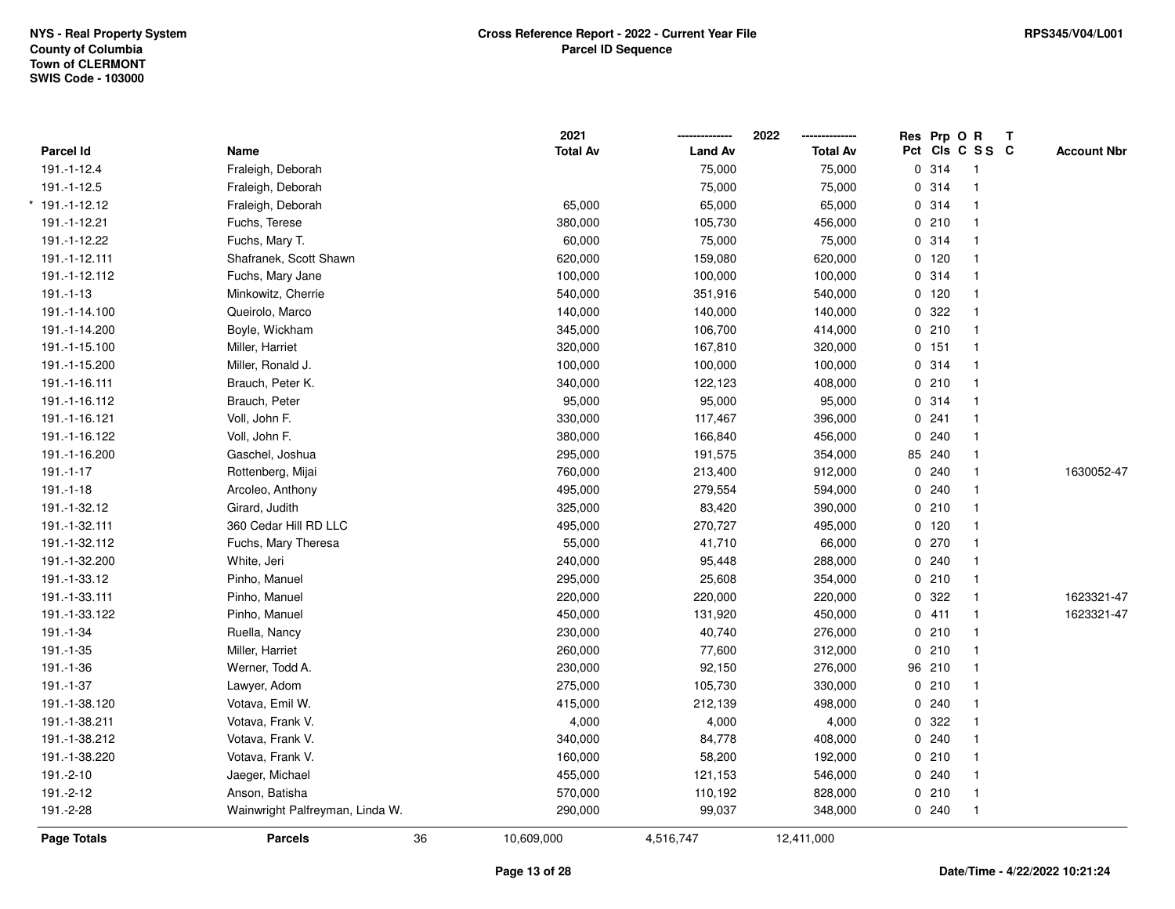|                |                                 | 2021            |                | 2022            | Res Prp O R |                         | T |                    |
|----------------|---------------------------------|-----------------|----------------|-----------------|-------------|-------------------------|---|--------------------|
| Parcel Id      | Name                            | <b>Total Av</b> | <b>Land Av</b> | <b>Total Av</b> |             | Pct Cls C S S C         |   | <b>Account Nbr</b> |
| 191.-1-12.4    | Fraleigh, Deborah               |                 | 75,000         | 75,000          | 0.314       | $\overline{1}$          |   |                    |
| 191.-1-12.5    | Fraleigh, Deborah               |                 | 75,000         | 75,000          | 0.314       | $\mathbf{1}$            |   |                    |
| * 191.-1-12.12 | Fraleigh, Deborah               | 65,000          | 65,000         | 65,000          | 0.314       | $\mathbf{1}$            |   |                    |
| 191.-1-12.21   | Fuchs, Terese                   | 380,000         | 105,730        | 456,000         | 0210        | $\mathbf{1}$            |   |                    |
| 191.-1-12.22   | Fuchs, Mary T.                  | 60,000          | 75,000         | 75,000          | 0.314       | 1                       |   |                    |
| 191.-1-12.111  | Shafranek, Scott Shawn          | 620,000         | 159,080        | 620,000         | $0$ 120     | $\mathbf{1}$            |   |                    |
| 191.-1-12.112  | Fuchs, Mary Jane                | 100,000         | 100,000        | 100,000         | 0.314       | $\mathbf{1}$            |   |                    |
| $191.-1-13$    | Minkowitz, Cherrie              | 540,000         | 351,916        | 540,000         | 0 120       | $\mathbf{1}$            |   |                    |
| 191.-1-14.100  | Queirolo, Marco                 | 140,000         | 140,000        | 140,000         | 0.322       | $\mathbf{1}$            |   |                    |
| 191.-1-14.200  | Boyle, Wickham                  | 345,000         | 106,700        | 414,000         | 0210        | $\mathbf{1}$            |   |                    |
| 191.-1-15.100  | Miller, Harriet                 | 320,000         | 167,810        | 320,000         | 0 151       | $\overline{\mathbf{1}}$ |   |                    |
| 191.-1-15.200  | Miller, Ronald J.               | 100,000         | 100,000        | 100,000         | 0.314       | 1                       |   |                    |
| 191.-1-16.111  | Brauch, Peter K.                | 340,000         | 122,123        | 408,000         | 0210        | $\mathbf 1$             |   |                    |
| 191.-1-16.112  | Brauch, Peter                   | 95,000          | 95,000         | 95,000          | 0.314       | $\mathbf{1}$            |   |                    |
| 191.-1-16.121  | Voll, John F.                   | 330,000         | 117,467        | 396,000         | 0.241       | $\overline{1}$          |   |                    |
| 191.-1-16.122  | Voll, John F.                   | 380,000         | 166,840        | 456,000         | 0.240       | $\mathbf{1}$            |   |                    |
| 191.-1-16.200  | Gaschel, Joshua                 | 295,000         | 191,575        | 354,000         | 85 240      | $\mathbf{1}$            |   |                    |
| $191.-1-17$    | Rottenberg, Mijai               | 760,000         | 213,400        | 912,000         | 0.240       | $\mathbf{1}$            |   | 1630052-47         |
| $191.-1-18$    | Arcoleo, Anthony                | 495,000         | 279,554        | 594,000         | 0.240       | $\mathbf 1$             |   |                    |
| 191.-1-32.12   | Girard, Judith                  | 325,000         | 83,420         | 390,000         | 0210        | $\mathbf 1$             |   |                    |
| 191.-1-32.111  | 360 Cedar Hill RD LLC           | 495,000         | 270,727        | 495,000         | $0$ 120     | $\mathbf 1$             |   |                    |
| 191.-1-32.112  | Fuchs, Mary Theresa             | 55,000          | 41,710         | 66,000          | 0270        | $\overline{1}$          |   |                    |
| 191.-1-32.200  | White, Jeri                     | 240,000         | 95,448         | 288,000         | 0.240       | $\mathbf{1}$            |   |                    |
| 191.-1-33.12   | Pinho, Manuel                   | 295,000         | 25,608         | 354,000         | 0210        | $\mathbf{1}$            |   |                    |
| 191.-1-33.111  | Pinho, Manuel                   | 220,000         | 220,000        | 220,000         | 0.322       | $\overline{1}$          |   | 1623321-47         |
| 191.-1-33.122  | Pinho, Manuel                   | 450,000         | 131,920        | 450,000         | 0411        | $\overline{1}$          |   | 1623321-47         |
| 191.-1-34      | Ruella, Nancy                   | 230,000         | 40,740         | 276,000         | 0210        | $\mathbf{1}$            |   |                    |
| 191.-1-35      | Miller, Harriet                 | 260,000         | 77,600         | 312,000         | 0210        | $\mathbf 1$             |   |                    |
| 191.-1-36      | Werner, Todd A.                 | 230,000         | 92,150         | 276,000         | 96 210      | $\mathbf{1}$            |   |                    |
| 191.-1-37      | Lawyer, Adom                    | 275,000         | 105,730        | 330,000         | 0210        | $\mathbf{1}$            |   |                    |
| 191.-1-38.120  | Votava, Emil W.                 | 415,000         | 212,139        | 498,000         | 0.240       | $\mathbf{1}$            |   |                    |
| 191.-1-38.211  | Votava, Frank V.                | 4,000           | 4,000          | 4,000           | 0.322       | 1                       |   |                    |
| 191.-1-38.212  | Votava, Frank V.                | 340,000         | 84,778         | 408,000         | 0.240       | 1                       |   |                    |
| 191.-1-38.220  | Votava, Frank V.                | 160,000         | 58,200         | 192,000         | 0210        | $\mathbf{1}$            |   |                    |
| 191.-2-10      | Jaeger, Michael                 | 455,000         | 121,153        | 546,000         | 0.240       | $\mathbf{1}$            |   |                    |
| 191.-2-12      | Anson, Batisha                  | 570,000         | 110,192        | 828,000         | 0210        | $\overline{\mathbf{1}}$ |   |                    |
| 191.-2-28      | Wainwright Palfreyman, Linda W. | 290,000         | 99,037         | 348,000         | 0240        | $\mathbf{1}$            |   |                    |
| Page Totals    | 36<br><b>Parcels</b>            | 10,609,000      | 4,516,747      | 12,411,000      |             |                         |   |                    |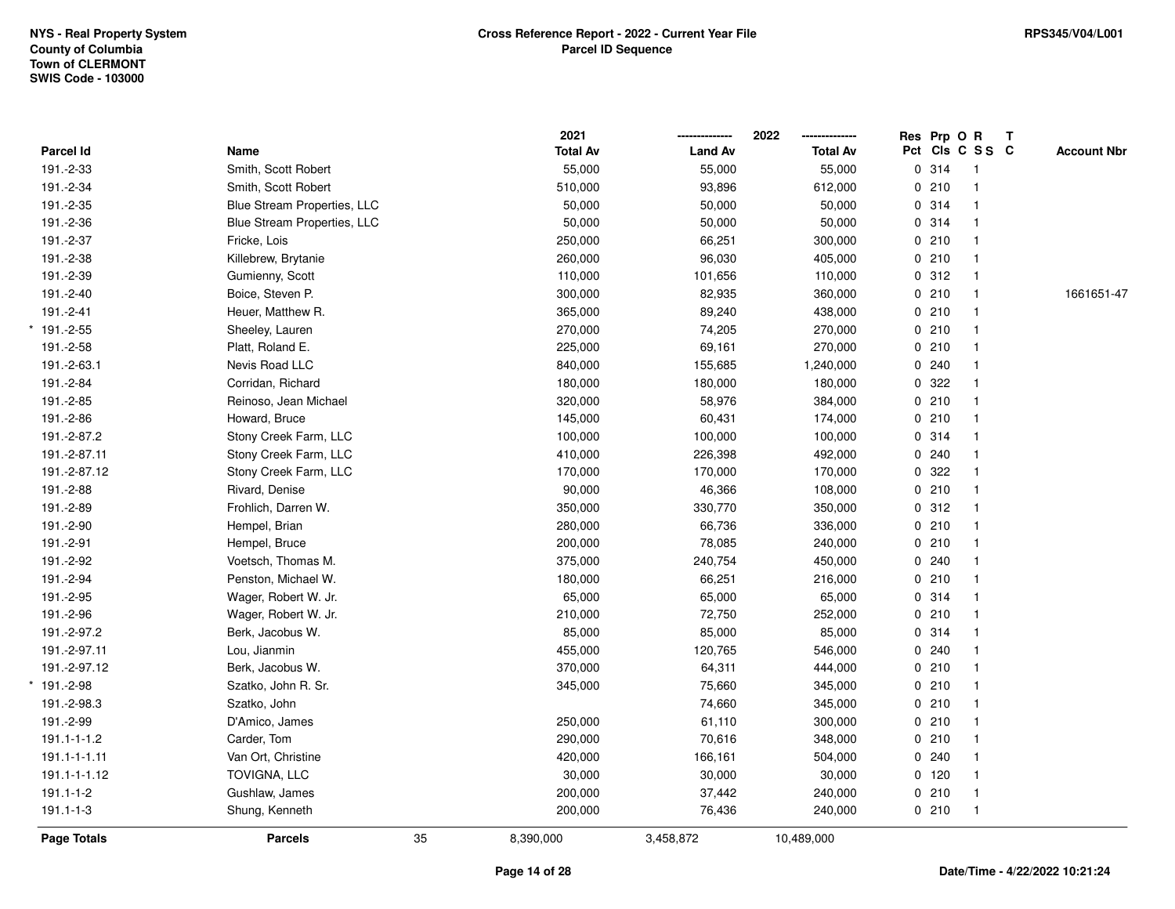|                 |                             |    | 2021            |                | 2022            |         | Res Prp O R     | $\mathbf{T}$ |                    |
|-----------------|-----------------------------|----|-----------------|----------------|-----------------|---------|-----------------|--------------|--------------------|
| Parcel Id       | Name                        |    | <b>Total Av</b> | <b>Land Av</b> | <b>Total Av</b> |         | Pct Cls C S S C |              | <b>Account Nbr</b> |
| 191.-2-33       | Smith, Scott Robert         |    | 55,000          | 55,000         | 55,000          | 0.314   | $\overline{1}$  |              |                    |
| 191.-2-34       | Smith, Scott Robert         |    | 510,000         | 93,896         | 612,000         | 0210    | $\mathbf{1}$    |              |                    |
| 191.-2-35       | Blue Stream Properties, LLC |    | 50,000          | 50,000         | 50,000          | 0 314   | $\mathbf{1}$    |              |                    |
| 191.-2-36       | Blue Stream Properties, LLC |    | 50,000          | 50,000         | 50,000          | 0 314   | $\mathbf{1}$    |              |                    |
| 191.-2-37       | Fricke, Lois                |    | 250,000         | 66,251         | 300,000         | 0210    | $\mathbf{1}$    |              |                    |
| 191.-2-38       | Killebrew, Brytanie         |    | 260,000         | 96,030         | 405,000         | 0210    | $\mathbf{1}$    |              |                    |
| 191.-2-39       | Gumienny, Scott             |    | 110,000         | 101,656        | 110,000         | 0.312   | $\mathbf{1}$    |              |                    |
| 191.-2-40       | Boice, Steven P.            |    | 300,000         | 82,935         | 360,000         | 0210    | $\mathbf{1}$    |              | 1661651-47         |
| 191.-2-41       | Heuer, Matthew R.           |    | 365,000         | 89,240         | 438,000         | 0210    | $\mathbf{1}$    |              |                    |
| $*191.-2-55$    | Sheeley, Lauren             |    | 270,000         | 74,205         | 270,000         | 0210    | $\mathbf{1}$    |              |                    |
| 191.-2-58       | Platt, Roland E.            |    | 225,000         | 69,161         | 270,000         | 0210    | $\mathbf 1$     |              |                    |
| 191.-2-63.1     | Nevis Road LLC              |    | 840,000         | 155,685        | 1,240,000       | 0.240   |                 |              |                    |
| 191.-2-84       | Corridan, Richard           |    | 180,000         | 180,000        | 180,000         | 0.322   |                 |              |                    |
| 191.-2-85       | Reinoso, Jean Michael       |    | 320,000         | 58,976         | 384,000         | 0210    | $\mathbf{1}$    |              |                    |
| 191.-2-86       | Howard, Bruce               |    | 145,000         | 60,431         | 174,000         | 0210    | $\mathbf{1}$    |              |                    |
| 191.-2-87.2     | Stony Creek Farm, LLC       |    | 100,000         | 100,000        | 100,000         | 0 314   | $\mathbf{1}$    |              |                    |
| 191.-2-87.11    | Stony Creek Farm, LLC       |    | 410,000         | 226,398        | 492,000         | 0.240   | $\mathbf{1}$    |              |                    |
| 191.-2-87.12    | Stony Creek Farm, LLC       |    | 170,000         | 170,000        | 170,000         | 0 322   | $\mathbf 1$     |              |                    |
| 191.-2-88       | Rivard, Denise              |    | 90,000          | 46,366         | 108,000         | 0210    |                 |              |                    |
| 191.-2-89       | Frohlich, Darren W.         |    | 350,000         | 330,770        | 350,000         | 0.312   | $\mathbf{1}$    |              |                    |
| 191.-2-90       | Hempel, Brian               |    | 280,000         | 66,736         | 336,000         | 0210    | $\mathbf{1}$    |              |                    |
| 191.-2-91       | Hempel, Bruce               |    | 200,000         | 78,085         | 240,000         | 0210    | $\mathbf{1}$    |              |                    |
| 191.-2-92       | Voetsch, Thomas M.          |    | 375,000         | 240,754        | 450,000         | 0.240   | $\mathbf{1}$    |              |                    |
| 191.-2-94       | Penston, Michael W.         |    | 180,000         | 66,251         | 216,000         | 0210    | $\mathbf{1}$    |              |                    |
| 191.-2-95       | Wager, Robert W. Jr.        |    | 65,000          | 65,000         | 65,000          | 0.314   |                 |              |                    |
| 191.-2-96       | Wager, Robert W. Jr.        |    | 210,000         | 72,750         | 252,000         | 0210    |                 |              |                    |
| 191.-2-97.2     | Berk, Jacobus W.            |    | 85,000          | 85,000         | 85,000          | 0 314   |                 |              |                    |
| 191.-2-97.11    | Lou, Jianmin                |    | 455,000         | 120,765        | 546,000         | 0.240   | $\mathbf{1}$    |              |                    |
| 191.-2-97.12    | Berk, Jacobus W.            |    | 370,000         | 64,311         | 444,000         | 0210    | $\mathbf{1}$    |              |                    |
| $* 191.-2-98$   | Szatko, John R. Sr.         |    | 345,000         | 75,660         | 345,000         | 0210    | $\mathbf{1}$    |              |                    |
| 191.-2-98.3     | Szatko, John                |    |                 | 74,660         | 345,000         | 0210    | $\mathbf{1}$    |              |                    |
| 191.-2-99       | D'Amico, James              |    | 250,000         | 61,110         | 300,000         | 0210    | $\mathbf{1}$    |              |                    |
| 191.1-1-1.2     | Carder, Tom                 |    | 290,000         | 70,616         | 348,000         | 0210    | 1               |              |                    |
| 191.1-1-1.11    | Van Ort, Christine          |    | 420,000         | 166,161        | 504,000         | 0.240   | $\mathbf{1}$    |              |                    |
| 191.1-1-1.12    | TOVIGNA, LLC                |    | 30,000          | 30,000         | 30,000          | $0$ 120 | $\mathbf{1}$    |              |                    |
| $191.1 - 1 - 2$ | Gushlaw, James              |    | 200,000         | 37,442         | 240,000         | 0210    | $\mathbf{1}$    |              |                    |
| $191.1 - 1 - 3$ | Shung, Kenneth              |    | 200,000         | 76,436         | 240,000         | 0210    | $\mathbf{1}$    |              |                    |
| Page Totals     | <b>Parcels</b>              | 35 | 8,390,000       | 3,458,872      | 10,489,000      |         |                 |              |                    |
|                 |                             |    |                 |                |                 |         |                 |              |                    |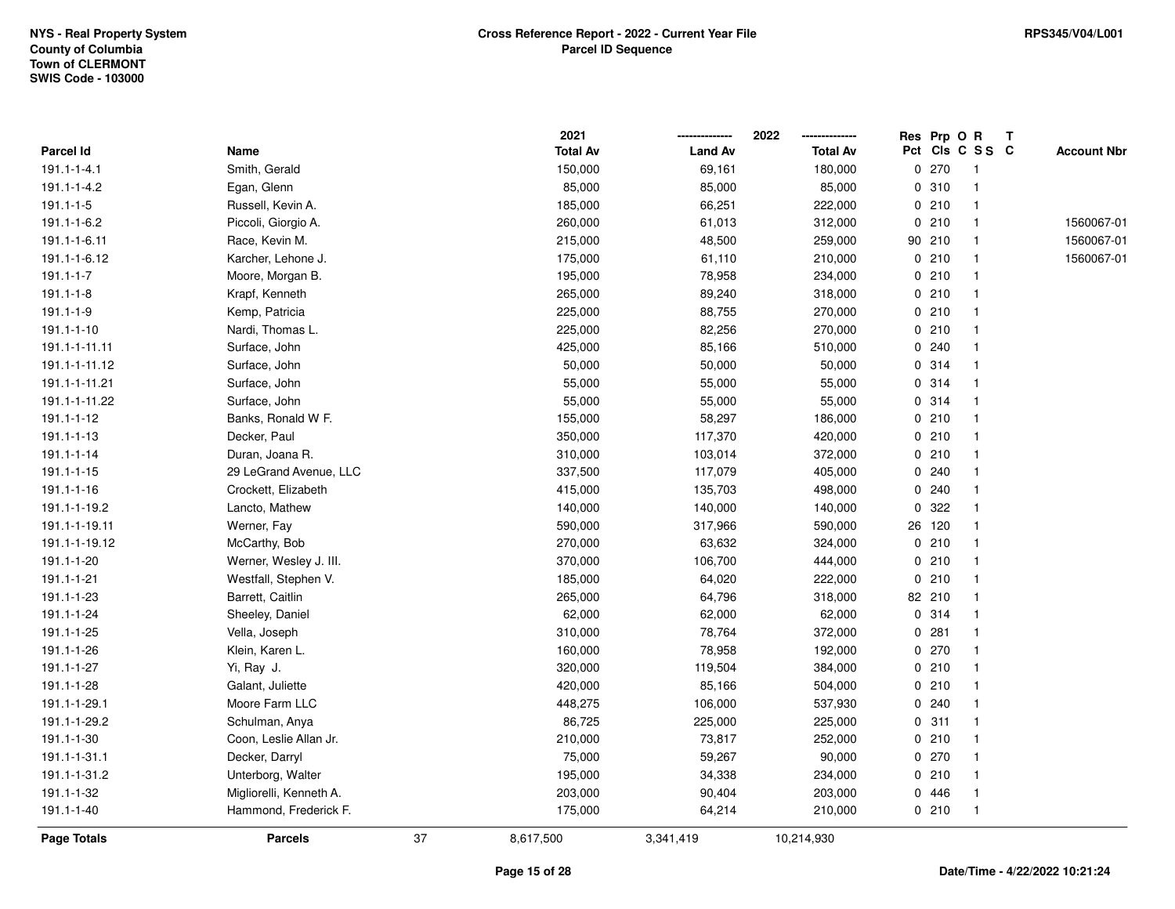|                 |                         |    | 2021            |                | 2022            |   | Res Prp O R |                 | Т |                    |
|-----------------|-------------------------|----|-----------------|----------------|-----------------|---|-------------|-----------------|---|--------------------|
| Parcel Id       | Name                    |    | <b>Total Av</b> | <b>Land Av</b> | <b>Total Av</b> |   |             | Pct Cls C S S C |   | <b>Account Nbr</b> |
| 191.1-1-4.1     | Smith, Gerald           |    | 150,000         | 69,161         | 180,000         | 0 | 270         | $\overline{1}$  |   |                    |
| 191.1-1-4.2     | Egan, Glenn             |    | 85,000          | 85,000         | 85,000          |   | 0.310       | $\mathbf{1}$    |   |                    |
| $191.1 - 1 - 5$ | Russell, Kevin A.       |    | 185,000         | 66,251         | 222,000         |   | 0210        | $\mathbf{1}$    |   |                    |
| 191.1-1-6.2     | Piccoli, Giorgio A.     |    | 260,000         | 61,013         | 312,000         |   | 0210        | $\mathbf 1$     |   | 1560067-01         |
| 191.1-1-6.11    | Race, Kevin M.          |    | 215,000         | 48,500         | 259,000         |   | 90 210      |                 |   | 1560067-01         |
| 191.1-1-6.12    | Karcher, Lehone J.      |    | 175,000         | 61,110         | 210,000         |   | 0210        |                 |   | 1560067-01         |
| $191.1 - 1 - 7$ | Moore, Morgan B.        |    | 195,000         | 78,958         | 234,000         |   | 0210        | -1              |   |                    |
| $191.1 - 1 - 8$ | Krapf, Kenneth          |    | 265,000         | 89,240         | 318,000         | 0 | 210         | $\mathbf{1}$    |   |                    |
| 191.1-1-9       | Kemp, Patricia          |    | 225,000         | 88,755         | 270,000         |   | 0210        | $\overline{1}$  |   |                    |
| 191.1-1-10      | Nardi, Thomas L.        |    | 225,000         | 82,256         | 270,000         |   | 0210        | $\mathbf{1}$    |   |                    |
| 191.1-1-11.11   | Surface, John           |    | 425,000         | 85,166         | 510,000         |   | 0.240       |                 |   |                    |
| 191.1-1-11.12   | Surface, John           |    | 50,000          | 50,000         | 50,000          |   | 0.314       |                 |   |                    |
| 191.1-1-11.21   | Surface, John           |    | 55,000          | 55,000         | 55,000          |   | 0.314       |                 |   |                    |
| 191.1-1-11.22   | Surface, John           |    | 55,000          | 55,000         | 55,000          |   | 0.314       | -1              |   |                    |
| 191.1-1-12      | Banks, Ronald W F.      |    | 155,000         | 58,297         | 186,000         | 0 | 210         | -1              |   |                    |
| 191.1-1-13      | Decker, Paul            |    | 350,000         | 117,370        | 420,000         |   | 0210        | $\overline{1}$  |   |                    |
| 191.1-1-14      | Duran, Joana R.         |    | 310,000         | 103,014        | 372,000         |   | 0210        |                 |   |                    |
| 191.1-1-15      | 29 LeGrand Avenue, LLC  |    | 337,500         | 117,079        | 405,000         |   | 0.240       |                 |   |                    |
| 191.1-1-16      | Crockett, Elizabeth     |    | 415,000         | 135,703        | 498,000         |   | 0.240       |                 |   |                    |
| 191.1-1-19.2    | Lancto, Mathew          |    | 140,000         | 140,000        | 140,000         | 0 | 322         |                 |   |                    |
| 191.1-1-19.11   | Werner, Fay             |    | 590,000         | 317,966        | 590,000         |   | 26 120      | -1              |   |                    |
| 191.1-1-19.12   | McCarthy, Bob           |    | 270,000         | 63,632         | 324,000         | 0 | 210         | -1              |   |                    |
| 191.1-1-20      | Werner, Wesley J. III.  |    | 370,000         | 106,700        | 444,000         |   | 0210        | $\overline{1}$  |   |                    |
| 191.1-1-21      | Westfall, Stephen V.    |    | 185,000         | 64,020         | 222,000         |   | 0210        | $\mathbf{1}$    |   |                    |
| 191.1-1-23      | Barrett, Caitlin        |    | 265,000         | 64,796         | 318,000         |   | 82 210      |                 |   |                    |
| 191.1-1-24      | Sheeley, Daniel         |    | 62,000          | 62,000         | 62,000          |   | 0.314       |                 |   |                    |
| 191.1-1-25      | Vella, Joseph           |    | 310,000         | 78,764         | 372,000         |   | 0.281       |                 |   |                    |
| 191.1-1-26      | Klein, Karen L.         |    | 160,000         | 78,958         | 192,000         |   | 0270        | $\overline{1}$  |   |                    |
| 191.1-1-27      | Yi, Ray J.              |    | 320,000         | 119,504        | 384,000         | 0 | 210         | -1              |   |                    |
| 191.1-1-28      | Galant, Juliette        |    | 420,000         | 85,166         | 504,000         |   | 0210        | $\overline{1}$  |   |                    |
| 191.1-1-29.1    | Moore Farm LLC          |    | 448,275         | 106,000        | 537,930         |   | 0.240       | $\mathbf{1}$    |   |                    |
| 191.1-1-29.2    | Schulman, Anya          |    | 86,725          | 225,000        | 225,000         |   | 0.311       |                 |   |                    |
| 191.1-1-30      | Coon, Leslie Allan Jr.  |    | 210,000         | 73,817         | 252,000         |   | 0210        |                 |   |                    |
| 191.1-1-31.1    | Decker, Darryl          |    | 75,000          | 59,267         | 90,000          |   | 0270        |                 |   |                    |
| 191.1-1-31.2    | Unterborg, Walter       |    | 195,000         | 34,338         | 234,000         |   | 0210        | $\overline{1}$  |   |                    |
| 191.1-1-32      | Migliorelli, Kenneth A. |    | 203,000         | 90,404         | 203,000         | 0 | 446         | -1              |   |                    |
| 191.1-1-40      | Hammond, Frederick F.   |    | 175,000         | 64,214         | 210,000         |   | 0210        | $\overline{1}$  |   |                    |
| Page Totals     | <b>Parcels</b>          | 37 | 8,617,500       | 3,341,419      | 10,214,930      |   |             |                 |   |                    |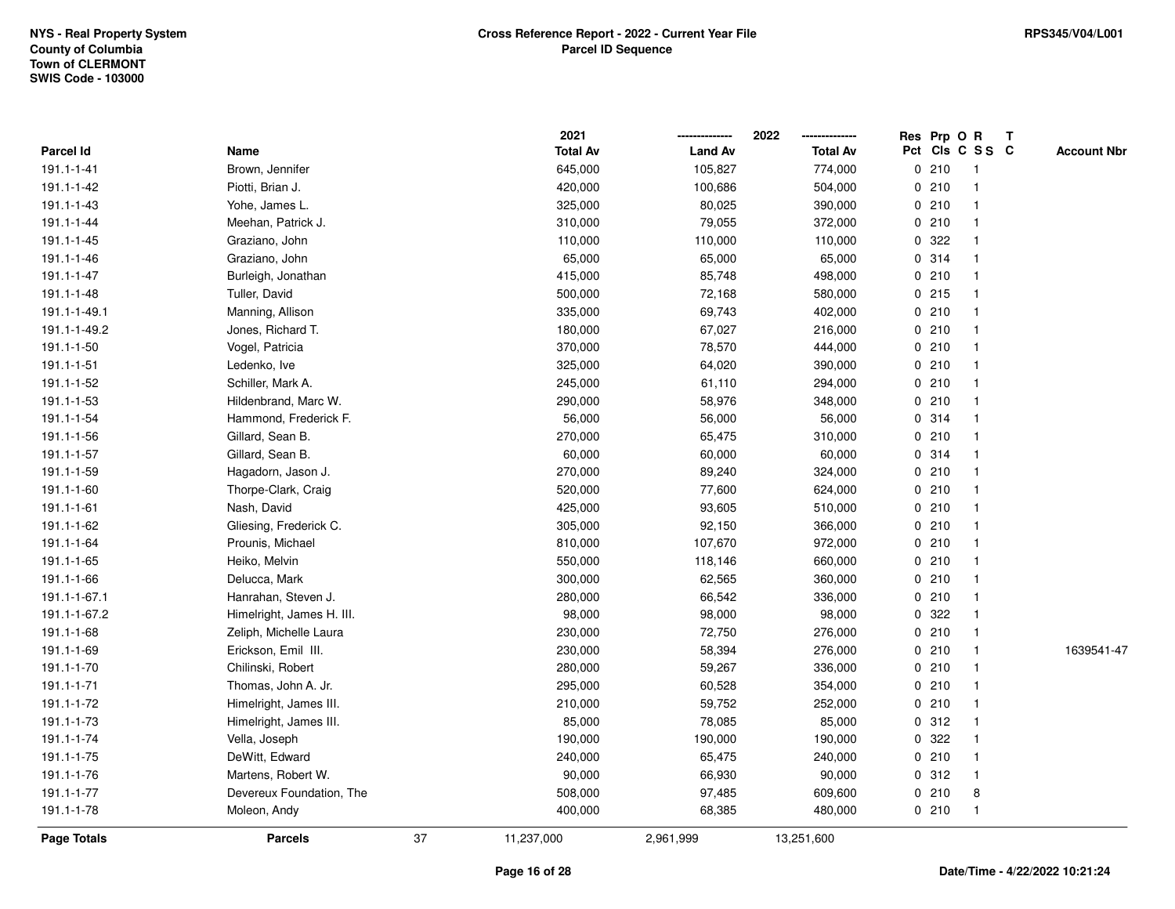|                    |                           |    | 2021            |                | 2022            | Res Prp O R |                 | Т |                    |
|--------------------|---------------------------|----|-----------------|----------------|-----------------|-------------|-----------------|---|--------------------|
| Parcel Id          | Name                      |    | <b>Total Av</b> | <b>Land Av</b> | <b>Total Av</b> |             | Pct Cls C S S C |   | <b>Account Nbr</b> |
| 191.1-1-41         | Brown, Jennifer           |    | 645,000         | 105,827        | 774,000         | 0210        | $\mathbf{1}$    |   |                    |
| 191.1-1-42         | Piotti, Brian J.          |    | 420,000         | 100,686        | 504,000         | 0210        | $\mathbf 1$     |   |                    |
| 191.1-1-43         | Yohe, James L.            |    | 325,000         | 80,025         | 390,000         | 0210        | $\mathbf 1$     |   |                    |
| 191.1-1-44         | Meehan, Patrick J.        |    | 310,000         | 79,055         | 372,000         | 0210        | -1              |   |                    |
| 191.1-1-45         | Graziano, John            |    | 110,000         | 110,000        | 110,000         | 0.322       |                 |   |                    |
| 191.1-1-46         | Graziano, John            |    | 65,000          | 65,000         | 65,000          | 0 314       |                 |   |                    |
| 191.1-1-47         | Burleigh, Jonathan        |    | 415,000         | 85,748         | 498,000         | 0210        | -1              |   |                    |
| 191.1-1-48         | Tuller, David             |    | 500,000         | 72,168         | 580,000         | $0$ 215     | $\mathbf 1$     |   |                    |
| 191.1-1-49.1       | Manning, Allison          |    | 335,000         | 69,743         | 402,000         | 0210        | $\mathbf 1$     |   |                    |
| 191.1-1-49.2       | Jones, Richard T.         |    | 180,000         | 67,027         | 216,000         | 0210        | $\mathbf 1$     |   |                    |
| 191.1-1-50         | Vogel, Patricia           |    | 370,000         | 78,570         | 444,000         | 0210        | -1              |   |                    |
| 191.1-1-51         | Ledenko, Ive              |    | 325,000         | 64,020         | 390,000         | 0210        |                 |   |                    |
| 191.1-1-52         | Schiller, Mark A.         |    | 245,000         | 61,110         | 294,000         | 0210        |                 |   |                    |
| 191.1-1-53         | Hildenbrand, Marc W.      |    | 290,000         | 58,976         | 348,000         | 0210        | -1              |   |                    |
| 191.1-1-54         | Hammond, Frederick F.     |    | 56,000          | 56,000         | 56,000          | 0.314       | -1              |   |                    |
| 191.1-1-56         | Gillard, Sean B.          |    | 270,000         | 65,475         | 310,000         | 0210        | $\mathbf 1$     |   |                    |
| 191.1-1-57         | Gillard, Sean B.          |    | 60,000          | 60,000         | 60,000          | 0.314       | -1              |   |                    |
| 191.1-1-59         | Hagadorn, Jason J.        |    | 270,000         | 89,240         | 324,000         | 0210        | -1              |   |                    |
| 191.1-1-60         | Thorpe-Clark, Craig       |    | 520,000         | 77,600         | 624,000         | 0210        |                 |   |                    |
| 191.1-1-61         | Nash, David               |    | 425,000         | 93,605         | 510,000         | 0210        |                 |   |                    |
| 191.1-1-62         | Gliesing, Frederick C.    |    | 305,000         | 92,150         | 366,000         | 0210        | $\mathbf 1$     |   |                    |
| 191.1-1-64         | Prounis, Michael          |    | 810,000         | 107,670        | 972,000         | 0210        |                 |   |                    |
| 191.1-1-65         | Heiko, Melvin             |    | 550,000         | 118,146        | 660,000         | 0210        | $\mathbf 1$     |   |                    |
| 191.1-1-66         | Delucca, Mark             |    | 300,000         | 62,565         | 360,000         | 0210        | $\mathbf 1$     |   |                    |
| 191.1-1-67.1       | Hanrahan, Steven J.       |    | 280,000         | 66,542         | 336,000         | 0210        | -1              |   |                    |
| 191.1-1-67.2       | Himelright, James H. III. |    | 98,000          | 98,000         | 98,000          | 0.322       |                 |   |                    |
| 191.1-1-68         | Zeliph, Michelle Laura    |    | 230,000         | 72,750         | 276,000         | 0210        |                 |   |                    |
| 191.1-1-69         | Erickson, Emil III.       |    | 230,000         | 58,394         | 276,000         | 0210        |                 |   | 1639541-47         |
| 191.1-1-70         | Chilinski, Robert         |    | 280,000         | 59,267         | 336,000         | 0210        | $\mathbf 1$     |   |                    |
| 191.1-1-71         | Thomas, John A. Jr.       |    | 295,000         | 60,528         | 354,000         | 0210        | $\mathbf 1$     |   |                    |
| 191.1-1-72         | Himelright, James III.    |    | 210,000         | 59,752         | 252,000         | 0210        | $\mathbf 1$     |   |                    |
| 191.1-1-73         | Himelright, James III.    |    | 85,000          | 78,085         | 85,000          | 0.312       | $\mathbf 1$     |   |                    |
| 191.1-1-74         | Vella, Joseph             |    | 190,000         | 190,000        | 190,000         | 0.322       |                 |   |                    |
| 191.1-1-75         | DeWitt, Edward            |    | 240,000         | 65,475         | 240,000         | 0210        | -1              |   |                    |
| 191.1-1-76         | Martens, Robert W.        |    | 90,000          | 66,930         | 90,000          | 0.312       |                 |   |                    |
| 191.1-1-77         | Devereux Foundation, The  |    | 508,000         | 97,485         | 609,600         | 0210        | 8               |   |                    |
| 191.1-1-78         | Moleon, Andy              |    | 400,000         | 68,385         | 480,000         | 0210        | $\mathbf{1}$    |   |                    |
| <b>Page Totals</b> | <b>Parcels</b>            | 37 | 11,237,000      | 2,961,999      | 13,251,600      |             |                 |   |                    |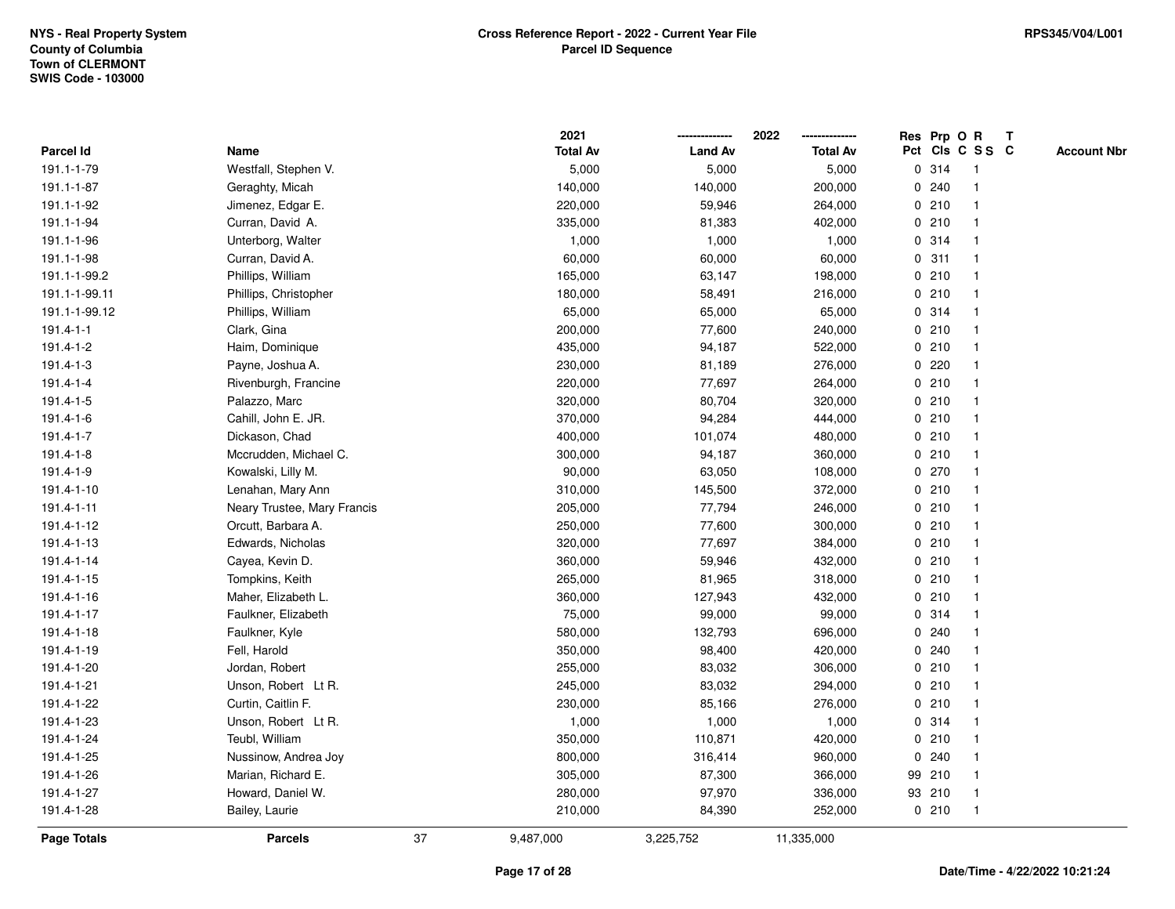|                 |                             |    | 2021            |                | 2022            |             |         | Res Prp O R             | $\mathbf{T}$ |                    |
|-----------------|-----------------------------|----|-----------------|----------------|-----------------|-------------|---------|-------------------------|--------------|--------------------|
| Parcel Id       | Name                        |    | <b>Total Av</b> | <b>Land Av</b> | <b>Total Av</b> |             |         | Pct Cls C S S C         |              | <b>Account Nbr</b> |
| 191.1-1-79      | Westfall, Stephen V.        |    | 5,000           | 5,000          | 5,000           |             | 0 314   |                         |              |                    |
| 191.1-1-87      | Geraghty, Micah             |    | 140,000         | 140,000        | 200,000         | 0           | 240     |                         |              |                    |
| 191.1-1-92      | Jimenez, Edgar E.           |    | 220,000         | 59,946         | 264,000         |             | 0210    | -1                      |              |                    |
| 191.1-1-94      | Curran, David A.            |    | 335,000         | 81,383         | 402,000         | $\mathbf 0$ | 210     | $\mathbf{1}$            |              |                    |
| 191.1-1-96      | Unterborg, Walter           |    | 1,000           | 1,000          | 1,000           |             | 0 314   | $\mathbf{1}$            |              |                    |
| 191.1-1-98      | Curran, David A.            |    | 60,000          | 60,000         | 60,000          |             | 0.311   | -1                      |              |                    |
| 191.1-1-99.2    | Phillips, William           |    | 165,000         | 63,147         | 198,000         |             | 0210    |                         |              |                    |
| 191.1-1-99.11   | Phillips, Christopher       |    | 180,000         | 58,491         | 216,000         |             | 0210    |                         |              |                    |
| 191.1-1-99.12   | Phillips, William           |    | 65,000          | 65,000         | 65,000          |             | 0.314   |                         |              |                    |
| $191.4 - 1 - 1$ | Clark, Gina                 |    | 200,000         | 77,600         | 240,000         |             | 0210    |                         |              |                    |
| 191.4-1-2       | Haim, Dominique             |    | 435,000         | 94,187         | 522,000         |             | 0210    | $\mathbf{1}$            |              |                    |
| 191.4-1-3       | Payne, Joshua A.            |    | 230,000         | 81,189         | 276,000         |             | $0$ 220 | $\mathbf{1}$            |              |                    |
| $191.4 - 1 - 4$ | Rivenburgh, Francine        |    | 220,000         | 77,697         | 264,000         |             | 0210    | -1                      |              |                    |
| 191.4-1-5       | Palazzo, Marc               |    | 320,000         | 80,704         | 320,000         |             | 0210    |                         |              |                    |
| 191.4-1-6       | Cahill, John E. JR.         |    | 370,000         | 94,284         | 444,000         |             | 0210    |                         |              |                    |
| 191.4-1-7       | Dickason, Chad              |    | 400,000         | 101,074        | 480,000         |             | 0210    | -1                      |              |                    |
| 191.4-1-8       | Mccrudden, Michael C.       |    | 300,000         | 94,187         | 360,000         | $\mathbf 0$ | 210     | $\overline{\mathbf{1}}$ |              |                    |
| 191.4-1-9       | Kowalski, Lilly M.          |    | 90,000          | 63,050         | 108,000         |             | 0270    | -1                      |              |                    |
| 191.4-1-10      | Lenahan, Mary Ann           |    | 310,000         | 145,500        | 372,000         |             | 0210    | $\mathbf{1}$            |              |                    |
| 191.4-1-11      | Neary Trustee, Mary Francis |    | 205,000         | 77,794         | 246,000         |             | 0210    |                         |              |                    |
| 191.4-1-12      | Orcutt, Barbara A.          |    | 250,000         | 77,600         | 300,000         |             | 0210    |                         |              |                    |
| 191.4-1-13      | Edwards, Nicholas           |    | 320,000         | 77,697         | 384,000         |             | 0210    |                         |              |                    |
| 191.4-1-14      | Cayea, Kevin D.             |    | 360,000         | 59,946         | 432,000         |             | 0210    |                         |              |                    |
| 191.4-1-15      | Tompkins, Keith             |    | 265,000         | 81,965         | 318,000         |             | 0210    | $\mathbf{1}$            |              |                    |
| 191.4-1-16      | Maher, Elizabeth L.         |    | 360,000         | 127,943        | 432,000         |             | 0210    | -1                      |              |                    |
| 191.4-1-17      | Faulkner, Elizabeth         |    | 75,000          | 99,000         | 99,000          |             | 0.314   | $\mathbf 1$             |              |                    |
| 191.4-1-18      | Faulkner, Kyle              |    | 580,000         | 132,793        | 696,000         |             | 0.240   |                         |              |                    |
| 191.4-1-19      | Fell, Harold                |    | 350,000         | 98,400         | 420,000         |             | 0.240   |                         |              |                    |
| 191.4-1-20      | Jordan, Robert              |    | 255,000         | 83,032         | 306,000         |             | 0210    |                         |              |                    |
| 191.4-1-21      | Unson, Robert Lt R.         |    | 245,000         | 83,032         | 294,000         |             | 0210    | -1                      |              |                    |
| 191.4-1-22      | Curtin, Caitlin F.          |    | 230,000         | 85,166         | 276,000         |             | 0210    | $\mathbf{1}$            |              |                    |
| 191.4-1-23      | Unson, Robert Lt R.         |    | 1,000           | 1,000          | 1,000           |             | 0.314   | $\mathbf 1$             |              |                    |
| 191.4-1-24      | Teubl, William              |    | 350,000         | 110,871        | 420,000         |             | 0210    |                         |              |                    |
| 191.4-1-25      | Nussinow, Andrea Joy        |    | 800,000         | 316,414        | 960,000         |             | 0.240   |                         |              |                    |
| 191.4-1-26      | Marian, Richard E.          |    | 305,000         | 87,300         | 366,000         |             | 99 210  |                         |              |                    |
| 191.4-1-27      | Howard, Daniel W.           |    | 280,000         | 97,970         | 336,000         |             | 93 210  | $\mathbf{1}$            |              |                    |
| 191.4-1-28      | Bailey, Laurie              |    | 210,000         | 84,390         | 252,000         |             | 0210    | -1                      |              |                    |
| Page Totals     | <b>Parcels</b>              | 37 | 9,487,000       | 3,225,752      | 11,335,000      |             |         |                         |              |                    |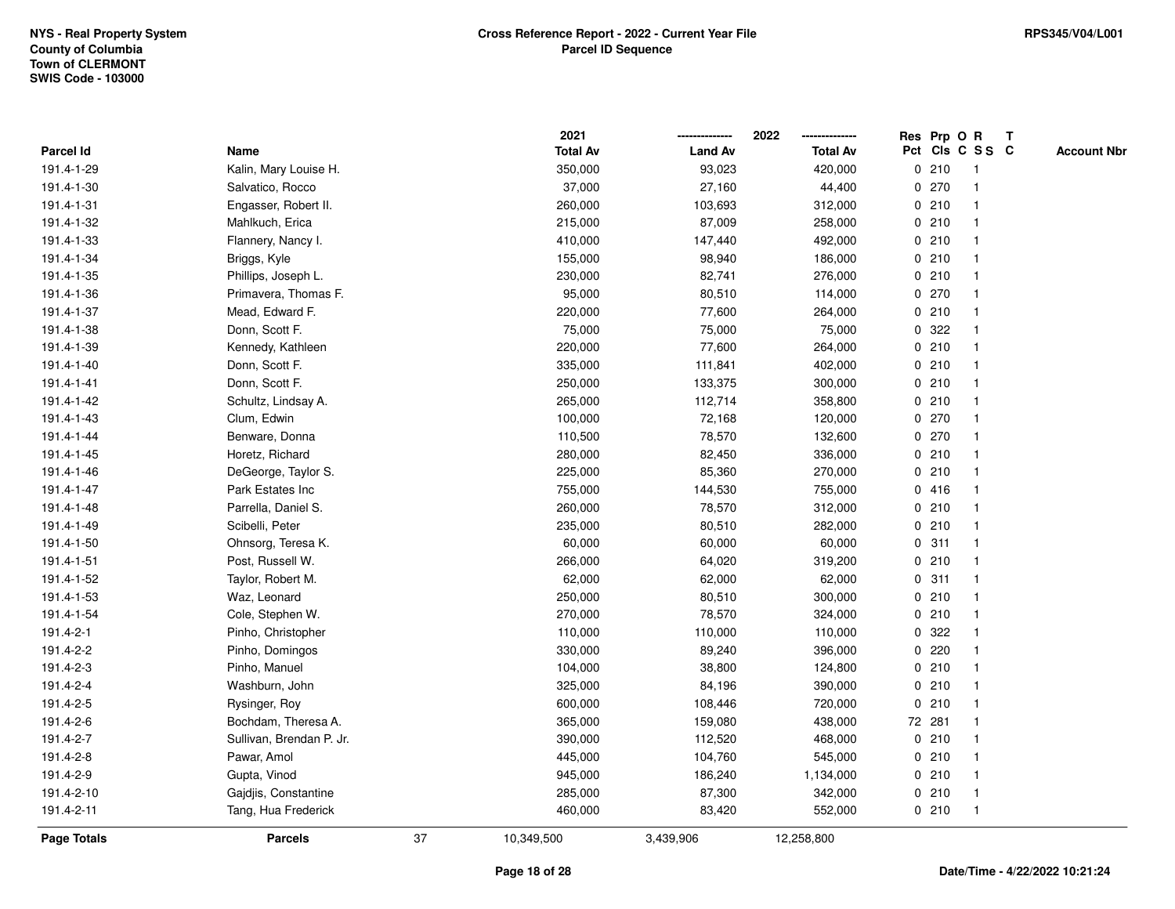|                    |                          |    | 2021            |                | 2022            |             | Res Prp O R |                 | T |                    |
|--------------------|--------------------------|----|-----------------|----------------|-----------------|-------------|-------------|-----------------|---|--------------------|
| Parcel Id          | Name                     |    | <b>Total Av</b> | <b>Land Av</b> | <b>Total Av</b> |             |             | Pct Cls C S S C |   | <b>Account Nbr</b> |
| 191.4-1-29         | Kalin, Mary Louise H.    |    | 350,000         | 93,023         | 420,000         |             | 0210        | $\mathbf{1}$    |   |                    |
| 191.4-1-30         | Salvatico, Rocco         |    | 37,000          | 27,160         | 44,400          | 0           | 270         | -1              |   |                    |
| 191.4-1-31         | Engasser, Robert II.     |    | 260,000         | 103,693        | 312,000         |             | 0210        | $\mathbf{1}$    |   |                    |
| 191.4-1-32         | Mahlkuch, Erica          |    | 215,000         | 87,009         | 258,000         |             | 0210        |                 |   |                    |
| 191.4-1-33         | Flannery, Nancy I.       |    | 410,000         | 147,440        | 492,000         |             | 0210        |                 |   |                    |
| 191.4-1-34         | Briggs, Kyle             |    | 155,000         | 98,940         | 186,000         |             | 0210        |                 |   |                    |
| 191.4-1-35         | Phillips, Joseph L.      |    | 230,000         | 82,741         | 276,000         |             | 0210        |                 |   |                    |
| 191.4-1-36         | Primavera, Thomas F.     |    | 95,000          | 80,510         | 114,000         | 0           | 270         |                 |   |                    |
| 191.4-1-37         | Mead, Edward F.          |    | 220,000         | 77,600         | 264,000         |             | 0210        | -1              |   |                    |
| 191.4-1-38         | Donn, Scott F.           |    | 75,000          | 75,000         | 75,000          |             | 0 322       |                 |   |                    |
| 191.4-1-39         | Kennedy, Kathleen        |    | 220,000         | 77,600         | 264,000         |             | 0210        |                 |   |                    |
| 191.4-1-40         | Donn, Scott F.           |    | 335,000         | 111,841        | 402,000         |             | 0210        |                 |   |                    |
| 191.4-1-41         | Donn, Scott F.           |    | 250,000         | 133,375        | 300,000         |             | 0210        |                 |   |                    |
| 191.4-1-42         | Schultz, Lindsay A.      |    | 265,000         | 112,714        | 358,800         |             | 0210        |                 |   |                    |
| 191.4-1-43         | Clum, Edwin              |    | 100,000         | 72,168         | 120,000         | 0           | 270         |                 |   |                    |
| 191.4-1-44         | Benware, Donna           |    | 110,500         | 78,570         | 132,600         |             | 0 270       | -1              |   |                    |
| 191.4-1-45         | Horetz, Richard          |    | 280,000         | 82,450         | 336,000         |             | 0210        | -1              |   |                    |
| 191.4-1-46         | DeGeorge, Taylor S.      |    | 225,000         | 85,360         | 270,000         |             | 0210        |                 |   |                    |
| 191.4-1-47         | Park Estates Inc         |    | 755,000         | 144,530        | 755,000         |             | 0416        |                 |   |                    |
| 191.4-1-48         | Parrella, Daniel S.      |    | 260,000         | 78,570         | 312,000         |             | 0210        |                 |   |                    |
| 191.4-1-49         | Scibelli, Peter          |    | 235,000         | 80,510         | 282,000         |             | 0210        |                 |   |                    |
| 191.4-1-50         | Ohnsorg, Teresa K.       |    | 60,000          | 60,000         | 60,000          | $\mathbf 0$ | 311         | $\mathbf{1}$    |   |                    |
| 191.4-1-51         | Post, Russell W.         |    | 266,000         | 64,020         | 319,200         |             | 0210        | $\mathbf{1}$    |   |                    |
| 191.4-1-52         | Taylor, Robert M.        |    | 62,000          | 62,000         | 62,000          |             | 0.311       | -1              |   |                    |
| 191.4-1-53         | Waz, Leonard             |    | 250,000         | 80,510         | 300,000         |             | 0210        |                 |   |                    |
| 191.4-1-54         | Cole, Stephen W.         |    | 270,000         | 78,570         | 324,000         |             | 0210        |                 |   |                    |
| 191.4-2-1          | Pinho, Christopher       |    | 110,000         | 110,000        | 110,000         |             | 0 322       |                 |   |                    |
| 191.4-2-2          | Pinho, Domingos          |    | 330,000         | 89,240         | 396,000         |             | 0.220       |                 |   |                    |
| 191.4-2-3          | Pinho, Manuel            |    | 104,000         | 38,800         | 124,800         | $\mathbf 0$ | 210         |                 |   |                    |
| 191.4-2-4          | Washburn, John           |    | 325,000         | 84,196         | 390,000         |             | 0210        | $\mathbf{1}$    |   |                    |
| 191.4-2-5          | Rysinger, Roy            |    | 600,000         | 108,446        | 720,000         |             | 0210        | $\overline{1}$  |   |                    |
| 191.4-2-6          | Bochdam, Theresa A.      |    | 365,000         | 159,080        | 438,000         |             | 72 281      |                 |   |                    |
| 191.4-2-7          | Sullivan, Brendan P. Jr. |    | 390,000         | 112,520        | 468,000         |             | 0210        |                 |   |                    |
| 191.4-2-8          | Pawar, Amol              |    | 445,000         | 104,760        | 545,000         |             | 0210        |                 |   |                    |
| 191.4-2-9          | Gupta, Vinod             |    | 945,000         | 186,240        | 1,134,000       |             | 0210        |                 |   |                    |
| 191.4-2-10         | Gajdjis, Constantine     |    | 285,000         | 87,300         | 342,000         |             | 0210        | -1              |   |                    |
| 191.4-2-11         | Tang, Hua Frederick      |    | 460,000         | 83,420         | 552,000         |             | 0210        | $\mathbf{1}$    |   |                    |
| <b>Page Totals</b> | <b>Parcels</b>           | 37 | 10,349,500      | 3,439,906      | 12,258,800      |             |             |                 |   |                    |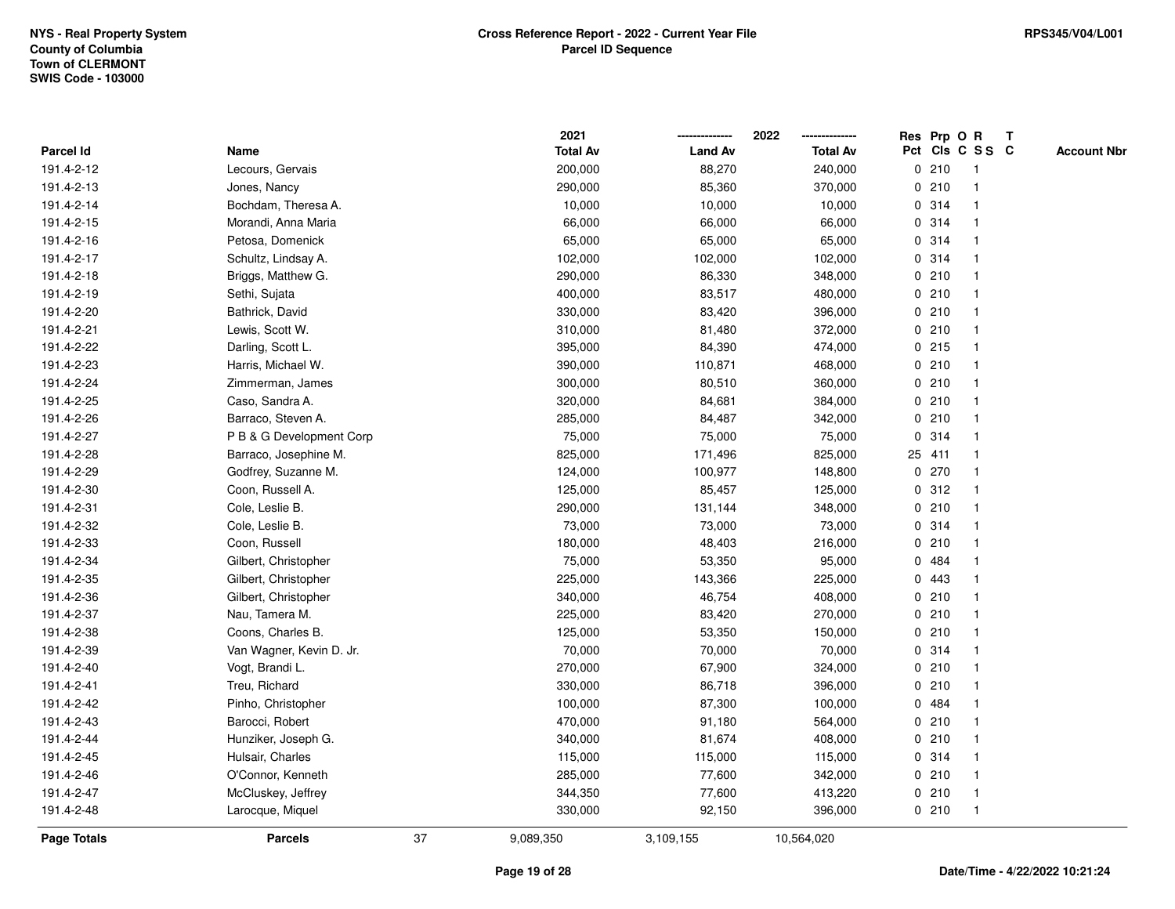|                    |                          |    | 2021            |                | 2022            |             |         | Res Prp O R     | Т |                    |
|--------------------|--------------------------|----|-----------------|----------------|-----------------|-------------|---------|-----------------|---|--------------------|
| Parcel Id          | Name                     |    | <b>Total Av</b> | <b>Land Av</b> | <b>Total Av</b> |             |         | Pct Cls C S S C |   | <b>Account Nbr</b> |
| 191.4-2-12         | Lecours, Gervais         |    | 200,000         | 88,270         | 240,000         |             | 0210    | $\mathbf{1}$    |   |                    |
| 191.4-2-13         | Jones, Nancy             |    | 290,000         | 85,360         | 370,000         |             | 0210    | $\mathbf 1$     |   |                    |
| 191.4-2-14         | Bochdam, Theresa A.      |    | 10,000          | 10,000         | 10,000          |             | 0.314   | $\mathbf 1$     |   |                    |
| 191.4-2-15         | Morandi, Anna Maria      |    | 66,000          | 66,000         | 66,000          |             | 0.314   |                 |   |                    |
| 191.4-2-16         | Petosa, Domenick         |    | 65,000          | 65,000         | 65,000          |             | 0.314   |                 |   |                    |
| 191.4-2-17         | Schultz, Lindsay A.      |    | 102,000         | 102,000        | 102,000         |             | 0.314   |                 |   |                    |
| 191.4-2-18         | Briggs, Matthew G.       |    | 290,000         | 86,330         | 348,000         |             | 0210    |                 |   |                    |
| 191.4-2-19         | Sethi, Sujata            |    | 400,000         | 83,517         | 480,000         |             | 0210    |                 |   |                    |
| 191.4-2-20         | Bathrick, David          |    | 330,000         | 83,420         | 396,000         |             | 0210    | $\mathbf 1$     |   |                    |
| 191.4-2-21         | Lewis, Scott W.          |    | 310,000         | 81,480         | 372,000         |             | 0210    | $\mathbf{1}$    |   |                    |
| 191.4-2-22         | Darling, Scott L.        |    | 395,000         | 84,390         | 474,000         |             | $0$ 215 | -1              |   |                    |
| 191.4-2-23         | Harris, Michael W.       |    | 390,000         | 110,871        | 468,000         |             | 0210    |                 |   |                    |
| 191.4-2-24         | Zimmerman, James         |    | 300,000         | 80,510         | 360,000         |             | 0210    |                 |   |                    |
| 191.4-2-25         | Caso, Sandra A.          |    | 320,000         | 84,681         | 384,000         |             | 0210    | -1              |   |                    |
| 191.4-2-26         | Barraco, Steven A.       |    | 285,000         | 84,487         | 342,000         |             | 0210    | $\mathbf{1}$    |   |                    |
| 191.4-2-27         | P B & G Development Corp |    | 75,000          | 75,000         | 75,000          | $\mathbf 0$ | 314     | $\mathbf{1}$    |   |                    |
| 191.4-2-28         | Barraco, Josephine M.    |    | 825,000         | 171,496        | 825,000         |             | 25 411  | $\mathbf{1}$    |   |                    |
| 191.4-2-29         | Godfrey, Suzanne M.      |    | 124,000         | 100,977        | 148,800         |             | 0270    |                 |   |                    |
| 191.4-2-30         | Coon, Russell A.         |    | 125,000         | 85,457         | 125,000         |             | 0.312   |                 |   |                    |
| 191.4-2-31         | Cole, Leslie B.          |    | 290,000         | 131,144        | 348,000         |             | 0210    |                 |   |                    |
| 191.4-2-32         | Cole, Leslie B.          |    | 73,000          | 73,000         | 73,000          |             | 0.314   | $\overline{1}$  |   |                    |
| 191.4-2-33         | Coon, Russell            |    | 180,000         | 48,403         | 216,000         |             | 0210    |                 |   |                    |
| 191.4-2-34         | Gilbert, Christopher     |    | 75,000          | 53,350         | 95,000          |             | 0.484   | -1              |   |                    |
| 191.4-2-35         | Gilbert, Christopher     |    | 225,000         | 143,366        | 225,000         |             | 0.443   | -1              |   |                    |
| 191.4-2-36         | Gilbert, Christopher     |    | 340,000         | 46,754         | 408,000         |             | 0210    | -1              |   |                    |
| 191.4-2-37         | Nau, Tamera M.           |    | 225,000         | 83,420         | 270,000         |             | 0210    |                 |   |                    |
| 191.4-2-38         | Coons, Charles B.        |    | 125,000         | 53,350         | 150,000         |             | 0210    |                 |   |                    |
| 191.4-2-39         | Van Wagner, Kevin D. Jr. |    | 70,000          | 70,000         | 70,000          |             | 0.314   | $\overline{1}$  |   |                    |
| 191.4-2-40         | Vogt, Brandi L.          |    | 270,000         | 67,900         | 324,000         |             | 0210    | $\overline{1}$  |   |                    |
| 191.4-2-41         | Treu, Richard            |    | 330,000         | 86,718         | 396,000         |             | 0210    | -1              |   |                    |
| 191.4-2-42         | Pinho, Christopher       |    | 100,000         | 87,300         | 100,000         |             | 0 484   | -1              |   |                    |
| 191.4-2-43         | Barocci, Robert          |    | 470,000         | 91,180         | 564,000         |             | 0210    | -1              |   |                    |
| 191.4-2-44         | Hunziker, Joseph G.      |    | 340,000         | 81,674         | 408,000         |             | 0210    |                 |   |                    |
| 191.4-2-45         | Hulsair, Charles         |    | 115,000         | 115,000        | 115,000         |             | 0.314   |                 |   |                    |
| 191.4-2-46         | O'Connor, Kenneth        |    | 285,000         | 77,600         | 342,000         |             | 0210    | $\mathbf 1$     |   |                    |
| 191.4-2-47         | McCluskey, Jeffrey       |    | 344,350         | 77,600         | 413,220         |             | 0210    | $\mathbf{1}$    |   |                    |
| 191.4-2-48         | Larocque, Miquel         |    | 330,000         | 92,150         | 396,000         |             | 0210    | $\mathbf{1}$    |   |                    |
| <b>Page Totals</b> | <b>Parcels</b>           | 37 | 9,089,350       | 3,109,155      | 10,564,020      |             |         |                 |   |                    |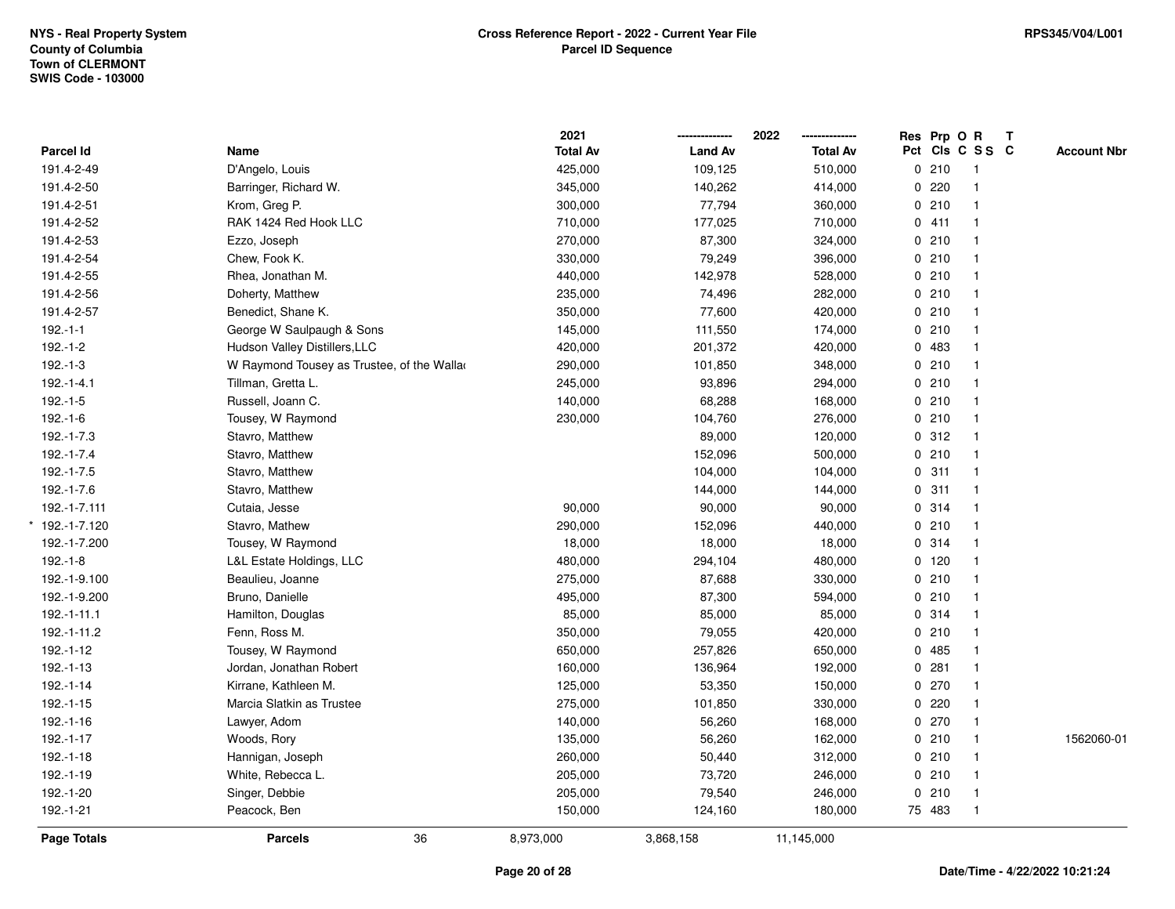|                |                                            | 2021            |                | 2022            | Res Prp O R |                          | T |                    |
|----------------|--------------------------------------------|-----------------|----------------|-----------------|-------------|--------------------------|---|--------------------|
| Parcel Id      | Name                                       | <b>Total Av</b> | <b>Land Av</b> | <b>Total Av</b> |             | Pct Cls C S S C          |   | <b>Account Nbr</b> |
| 191.4-2-49     | D'Angelo, Louis                            | 425,000         | 109,125        | 510,000         | 0210        | $\overline{\phantom{1}}$ |   |                    |
| 191.4-2-50     | Barringer, Richard W.                      | 345,000         | 140,262        | 414,000         | 0.220       | $\mathbf{1}$             |   |                    |
| 191.4-2-51     | Krom, Greg P.                              | 300,000         | 77,794         | 360,000         | 0210        | $\mathbf{1}$             |   |                    |
| 191.4-2-52     | RAK 1424 Red Hook LLC                      | 710,000         | 177,025        | 710,000         | 0411        | $\mathbf{1}$             |   |                    |
| 191.4-2-53     | Ezzo, Joseph                               | 270,000         | 87,300         | 324,000         | 0210        | $\mathbf{1}$             |   |                    |
| 191.4-2-54     | Chew, Fook K.                              | 330,000         | 79,249         | 396,000         | 0210        | $\mathbf{1}$             |   |                    |
| 191.4-2-55     | Rhea, Jonathan M.                          | 440,000         | 142,978        | 528,000         | 0210        | $\mathbf{1}$             |   |                    |
| 191.4-2-56     | Doherty, Matthew                           | 235,000         | 74,496         | 282,000         | 0210        | $\mathbf{1}$             |   |                    |
| 191.4-2-57     | Benedict, Shane K.                         | 350,000         | 77,600         | 420,000         | 0210        | $\mathbf{1}$             |   |                    |
| $192.-1-1$     | George W Saulpaugh & Sons                  | 145,000         | 111,550        | 174,000         | 0210        | $\mathbf{1}$             |   |                    |
| $192.-1-2$     | Hudson Valley Distillers, LLC              | 420,000         | 201,372        | 420,000         | 0 483       | $\mathbf{1}$             |   |                    |
| $192.-1-3$     | W Raymond Tousey as Trustee, of the Wallar | 290,000         | 101,850        | 348,000         | 0210        |                          |   |                    |
| $192.-1-4.1$   | Tillman, Gretta L.                         | 245,000         | 93,896         | 294,000         | 0210        |                          |   |                    |
| $192.-1-5$     | Russell, Joann C.                          | 140,000         | 68,288         | 168,000         | 0210        | $\mathbf{1}$             |   |                    |
| $192.-1-6$     | Tousey, W Raymond                          | 230,000         | 104,760        | 276,000         | 0210        | $\mathbf{1}$             |   |                    |
| $192.-1-7.3$   | Stavro, Matthew                            |                 | 89,000         | 120,000         | 0.312       | $\mathbf{1}$             |   |                    |
| 192.-1-7.4     | Stavro, Matthew                            |                 | 152,096        | 500,000         | 0210        | $\mathbf{1}$             |   |                    |
| $192.-1-7.5$   | Stavro, Matthew                            |                 | 104,000        | 104,000         | 0.311       | $\mathbf{1}$             |   |                    |
| 192.-1-7.6     | Stavro, Matthew                            |                 | 144,000        | 144,000         | 0.311       | $\mathbf{1}$             |   |                    |
| 192.-1-7.111   | Cutaia, Jesse                              | 90,000          | 90,000         | 90,000          | 0 314       | $\mathbf 1$              |   |                    |
| * 192.-1-7.120 | Stavro, Mathew                             | 290,000         | 152,096        | 440,000         | 0210        | $\mathbf{1}$             |   |                    |
| 192.-1-7.200   | Tousey, W Raymond                          | 18,000          | 18,000         | 18,000          | 0.314       | $\mathbf{1}$             |   |                    |
| $192.-1-8$     | L&L Estate Holdings, LLC                   | 480,000         | 294,104        | 480,000         | $0$ 120     | $\mathbf{1}$             |   |                    |
| 192.-1-9.100   | Beaulieu, Joanne                           | 275,000         | 87,688         | 330,000         | 0210        | $\mathbf{1}$             |   |                    |
| 192.-1-9.200   | Bruno, Danielle                            | 495,000         | 87,300         | 594,000         | 0210        | $\mathbf{1}$             |   |                    |
| 192.-1-11.1    | Hamilton, Douglas                          | 85,000          | 85,000         | 85,000          | 0.314       | $\mathbf 1$              |   |                    |
| 192.-1-11.2    | Fenn, Ross M.                              | 350,000         | 79,055         | 420,000         | 0210        |                          |   |                    |
| $192.-1-12$    | Tousey, W Raymond                          | 650,000         | 257,826        | 650,000         | 0 485       | $\mathbf 1$              |   |                    |
| 192.-1-13      | Jordan, Jonathan Robert                    | 160,000         | 136,964        | 192,000         | 0.281       | $\mathbf{1}$             |   |                    |
| $192.-1-14$    | Kirrane, Kathleen M.                       | 125,000         | 53,350         | 150,000         | 0270        | $\mathbf{1}$             |   |                    |
| $192.-1-15$    | Marcia Slatkin as Trustee                  | 275,000         | 101,850        | 330,000         | 0.220       | $\mathbf{1}$             |   |                    |
| 192.-1-16      | Lawyer, Adom                               | 140,000         | 56,260         | 168,000         | 0270        | $\mathbf{1}$             |   |                    |
| 192.-1-17      | Woods, Rory                                | 135,000         | 56,260         | 162,000         | 0210        | $\mathbf{1}$             |   | 1562060-01         |
| $192.-1-18$    | Hannigan, Joseph                           | 260,000         | 50,440         | 312,000         | 0210        | $\mathbf 1$              |   |                    |
| 192.-1-19      | White, Rebecca L.                          | 205,000         | 73,720         | 246,000         | 0210        | $\mathbf{1}$             |   |                    |
| 192.-1-20      | Singer, Debbie                             | 205,000         | 79,540         | 246,000         | 0210        | $\mathbf{1}$             |   |                    |
| 192.-1-21      | Peacock, Ben                               | 150,000         | 124,160        | 180,000         | 75 483      | $\mathbf{1}$             |   |                    |
| Page Totals    | 36<br><b>Parcels</b>                       | 8,973,000       | 3,868,158      | 11,145,000      |             |                          |   |                    |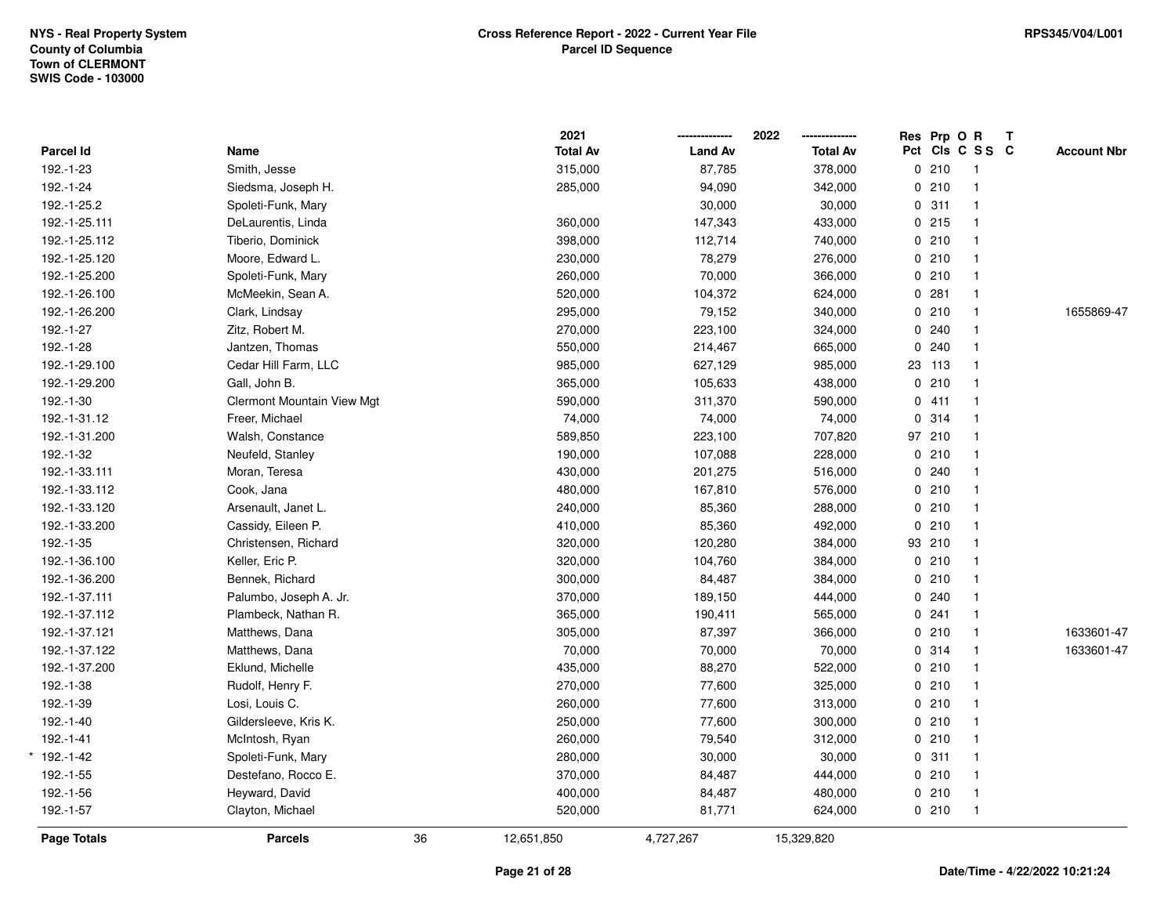|               |                                   |    | 2021            |                | 2022<br>-------------- |     | Res Prp O R |                | Т |                    |
|---------------|-----------------------------------|----|-----------------|----------------|------------------------|-----|-------------|----------------|---|--------------------|
| Parcel Id     | Name                              |    | <b>Total Av</b> | <b>Land Av</b> | <b>Total Av</b>        | Pct |             | CIS C S S C    |   | <b>Account Nbr</b> |
| 192.-1-23     | Smith, Jesse                      |    | 315,000         | 87,785         | 378,000                |     | 0210        | $\overline{1}$ |   |                    |
| 192.-1-24     | Siedsma, Joseph H.                |    | 285,000         | 94,090         | 342,000                |     | 0210        | $\mathbf{1}$   |   |                    |
| 192.-1-25.2   | Spoleti-Funk, Mary                |    |                 | 30,000         | 30,000                 |     | 0.311       | $\mathbf{1}$   |   |                    |
| 192.-1-25.111 | DeLaurentis, Linda                |    | 360,000         | 147,343        | 433,000                |     | 0215        | $\mathbf{1}$   |   |                    |
| 192.-1-25.112 | Tiberio, Dominick                 |    | 398,000         | 112,714        | 740,000                |     | 0210        | $\mathbf{1}$   |   |                    |
| 192.-1-25.120 | Moore, Edward L.                  |    | 230,000         | 78,279         | 276,000                |     | 0210        | $\mathbf{1}$   |   |                    |
| 192.-1-25.200 | Spoleti-Funk, Mary                |    | 260,000         | 70,000         | 366,000                |     | 0210        | $\mathbf{1}$   |   |                    |
| 192.-1-26.100 | McMeekin, Sean A.                 |    | 520,000         | 104,372        | 624,000                |     | 0.281       | $\mathbf{1}$   |   |                    |
| 192.-1-26.200 | Clark, Lindsay                    |    | 295,000         | 79,152         | 340,000                |     | 0210        | $\mathbf{1}$   |   | 1655869-47         |
| 192.-1-27     | Zitz, Robert M.                   |    | 270,000         | 223,100        | 324,000                |     | 0.240       | $\mathbf{1}$   |   |                    |
| 192.-1-28     | Jantzen, Thomas                   |    | 550,000         | 214,467        | 665,000                |     | 0.240       | 1              |   |                    |
| 192.-1-29.100 | Cedar Hill Farm, LLC              |    | 985,000         | 627,129        | 985,000                |     | 23 113      | 1              |   |                    |
| 192.-1-29.200 | Gall, John B.                     |    | 365,000         | 105,633        | 438,000                |     | 0210        |                |   |                    |
| 192.-1-30     | <b>Clermont Mountain View Mgt</b> |    | 590,000         | 311,370        | 590,000                |     | 0411        | $\mathbf{1}$   |   |                    |
| 192.-1-31.12  | Freer, Michael                    |    | 74,000          | 74,000         | 74,000                 |     | 0.314       | $\mathbf{1}$   |   |                    |
| 192.-1-31.200 | Walsh, Constance                  |    | 589,850         | 223,100        | 707,820                |     | 97 210      | $\mathbf{1}$   |   |                    |
| 192.-1-32     | Neufeld, Stanley                  |    | 190,000         | 107,088        | 228,000                |     | 0210        | $\mathbf{1}$   |   |                    |
| 192.-1-33.111 | Moran, Teresa                     |    | 430,000         | 201,275        | 516,000                |     | 0.240       | 1              |   |                    |
| 192.-1-33.112 | Cook, Jana                        |    | 480,000         | 167,810        | 576,000                |     | 0210        | $\mathbf{1}$   |   |                    |
| 192.-1-33.120 | Arsenault, Janet L.               |    | 240,000         | 85,360         | 288,000                |     | 0210        | 1              |   |                    |
| 192.-1-33.200 | Cassidy, Eileen P.                |    | 410,000         | 85,360         | 492,000                |     | 0210        | $\mathbf{1}$   |   |                    |
| 192.-1-35     | Christensen, Richard              |    | 320,000         | 120,280        | 384,000                |     | 93 210      | $\mathbf{1}$   |   |                    |
| 192.-1-36.100 | Keller, Eric P.                   |    | 320,000         | 104,760        | 384,000                |     | 0210        | $\mathbf{1}$   |   |                    |
| 192.-1-36.200 | Bennek, Richard                   |    | 300,000         | 84,487         | 384,000                |     | 0210        | $\mathbf{1}$   |   |                    |
| 192.-1-37.111 | Palumbo, Joseph A. Jr.            |    | 370,000         | 189,150        | 444,000                |     | 0.240       | $\mathbf{1}$   |   |                    |
| 192.-1-37.112 | Plambeck, Nathan R.               |    | 365,000         | 190,411        | 565,000                |     | 0.241       | $\mathbf{1}$   |   |                    |
| 192.-1-37.121 | Matthews, Dana                    |    | 305,000         | 87,397         | 366,000                |     | 0210        | 1              |   | 1633601-47         |
| 192.-1-37.122 | Matthews, Dana                    |    | 70,000          | 70,000         | 70,000                 |     | 0.314       | $\mathbf{1}$   |   | 1633601-47         |
| 192.-1-37.200 | Eklund, Michelle                  |    | 435,000         | 88,270         | 522,000                |     | 0210        | $\mathbf{1}$   |   |                    |
| 192.-1-38     | Rudolf, Henry F.                  |    | 270,000         | 77,600         | 325,000                |     | 0210        | $\mathbf{1}$   |   |                    |
| 192.-1-39     | Losi, Louis C.                    |    | 260,000         | 77,600         | 313,000                |     | 0210        | $\mathbf{1}$   |   |                    |
| 192.-1-40     | Gildersleeve, Kris K.             |    | 250,000         | 77,600         | 300,000                |     | 0210        | 1              |   |                    |
| 192.-1-41     | McIntosh, Ryan                    |    | 260,000         | 79,540         | 312,000                |     | 0210        | 1              |   |                    |
| $*192.-1-42$  | Spoleti-Funk, Mary                |    | 280,000         | 30,000         | 30,000                 |     | 0.311       | 1              |   |                    |
| 192.-1-55     | Destefano, Rocco E.               |    | 370,000         | 84,487         | 444,000                |     | 0210        | $\mathbf{1}$   |   |                    |
| 192.-1-56     | Heyward, David                    |    | 400,000         | 84,487         | 480,000                |     | 0210        | $\mathbf{1}$   |   |                    |
| 192.-1-57     | Clayton, Michael                  |    | 520,000         | 81,771         | 624,000                |     | 0210        | $\mathbf{1}$   |   |                    |
| Page Totals   | <b>Parcels</b>                    | 36 | 12,651,850      | 4,727,267      | 15,329,820             |     |             |                |   |                    |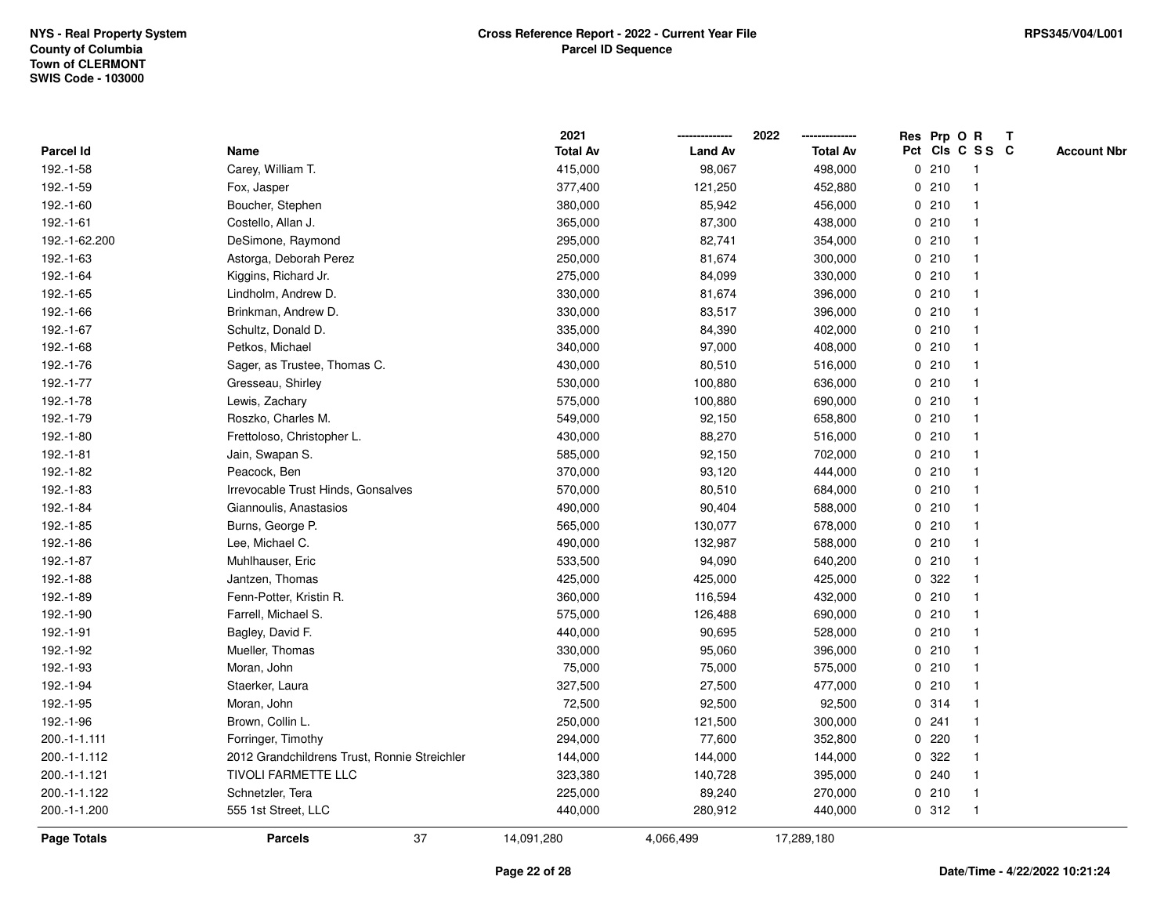|                    |                                              | 2021            |                | 2022            | Res Prp O R     |       |                | $\mathbf{T}$ |                    |
|--------------------|----------------------------------------------|-----------------|----------------|-----------------|-----------------|-------|----------------|--------------|--------------------|
| Parcel Id          | Name                                         | <b>Total Av</b> | <b>Land Av</b> | <b>Total Av</b> | Pct Cls C S S C |       |                |              | <b>Account Nbr</b> |
| 192.-1-58          | Carey, William T.                            | 415,000         | 98,067         | 498,000         |                 | 0210  | -1             |              |                    |
| 192.-1-59          | Fox, Jasper                                  | 377,400         | 121,250        | 452,880         | 0               | 210   |                |              |                    |
| 192.-1-60          | Boucher, Stephen                             | 380,000         | 85,942         | 456,000         |                 | 0210  |                |              |                    |
| 192.-1-61          | Costello, Allan J.                           | 365,000         | 87,300         | 438,000         | 0               | 210   | -1             |              |                    |
| 192.-1-62.200      | DeSimone, Raymond                            | 295,000         | 82,741         | 354,000         |                 | 0210  | $\mathbf{1}$   |              |                    |
| 192.-1-63          | Astorga, Deborah Perez                       | 250,000         | 81,674         | 300,000         |                 | 0210  | -1             |              |                    |
| 192.-1-64          | Kiggins, Richard Jr.                         | 275,000         | 84,099         | 330,000         |                 | 0210  |                |              |                    |
| 192.-1-65          | Lindholm, Andrew D.                          | 330,000         | 81,674         | 396,000         |                 | 0210  |                |              |                    |
| 192.-1-66          | Brinkman, Andrew D.                          | 330,000         | 83,517         | 396,000         |                 | 0210  |                |              |                    |
| 192.-1-67          | Schultz, Donald D.                           | 335,000         | 84,390         | 402,000         |                 | 0210  |                |              |                    |
| 192.-1-68          | Petkos, Michael                              | 340,000         | 97,000         | 408,000         |                 | 0210  | -1             |              |                    |
| 192.-1-76          | Sager, as Trustee, Thomas C.                 | 430,000         | 80,510         | 516,000         |                 | 0210  | $\mathbf{1}$   |              |                    |
| 192.-1-77          | Gresseau, Shirley                            | 530,000         | 100,880        | 636,000         |                 | 0210  |                |              |                    |
| 192.-1-78          | Lewis, Zachary                               | 575,000         | 100,880        | 690,000         |                 | 0210  |                |              |                    |
| 192.-1-79          | Roszko, Charles M.                           | 549,000         | 92,150         | 658,800         |                 | 0210  |                |              |                    |
| 192.-1-80          | Frettoloso, Christopher L.                   | 430,000         | 88,270         | 516,000         |                 | 0210  |                |              |                    |
| 192.-1-81          | Jain, Swapan S.                              | 585,000         | 92,150         | 702,000         | 0               | 210   |                |              |                    |
| 192.-1-82          | Peacock, Ben                                 | 370,000         | 93,120         | 444,000         | 0               | 210   | -1             |              |                    |
| 192.-1-83          | Irrevocable Trust Hinds, Gonsalves           | 570,000         | 80,510         | 684,000         |                 | 0210  | -1             |              |                    |
| 192.-1-84          | Giannoulis, Anastasios                       | 490,000         | 90,404         | 588,000         |                 | 0210  |                |              |                    |
| 192.-1-85          | Burns, George P.                             | 565,000         | 130,077        | 678,000         |                 | 0210  |                |              |                    |
| 192.-1-86          | Lee, Michael C.                              | 490,000         | 132,987        | 588,000         |                 | 0210  |                |              |                    |
| 192.-1-87          | Muhlhauser, Eric                             | 533,500         | 94,090         | 640,200         |                 | 0210  |                |              |                    |
| 192.-1-88          | Jantzen, Thomas                              | 425,000         | 425,000        | 425,000         | $\mathbf 0$     | 322   |                |              |                    |
| 192.-1-89          | Fenn-Potter, Kristin R.                      | 360,000         | 116,594        | 432,000         | 0               | 210   | -1             |              |                    |
| 192.-1-90          | Farrell, Michael S.                          | 575,000         | 126,488        | 690,000         |                 | 0210  |                |              |                    |
| 192.-1-91          | Bagley, David F.                             | 440,000         | 90,695         | 528,000         |                 | 0210  |                |              |                    |
| 192.-1-92          | Mueller, Thomas                              | 330,000         | 95,060         | 396,000         |                 | 0210  |                |              |                    |
| 192.-1-93          | Moran, John                                  | 75,000          | 75,000         | 575,000         |                 | 0210  |                |              |                    |
| 192.-1-94          | Staerker, Laura                              | 327,500         | 27,500         | 477,000         | 0               | 210   |                |              |                    |
| 192.-1-95          | Moran, John                                  | 72,500          | 92,500         | 92,500          | 0               | 314   | $\overline{1}$ |              |                    |
| 192.-1-96          | Brown, Collin L.                             | 250,000         | 121,500        | 300,000         | 0               | 241   | -1             |              |                    |
| 200.-1-1.111       | Forringer, Timothy                           | 294,000         | 77,600         | 352,800         |                 | 0.220 |                |              |                    |
| 200.-1-1.112       | 2012 Grandchildrens Trust, Ronnie Streichler | 144,000         | 144,000        | 144,000         |                 | 0 322 |                |              |                    |
| 200.-1-1.121       | <b>TIVOLI FARMETTE LLC</b>                   | 323,380         | 140,728        | 395,000         |                 | 0.240 |                |              |                    |
| 200.-1-1.122       | Schnetzler, Tera                             | 225,000         | 89,240         | 270,000         |                 | 0210  | -1             |              |                    |
| 200.-1-1.200       | 555 1st Street, LLC                          | 440,000         | 280,912        | 440,000         |                 | 0.312 | -1             |              |                    |
| <b>Page Totals</b> | 37<br><b>Parcels</b>                         | 14,091,280      | 4,066,499      | 17,289,180      |                 |       |                |              |                    |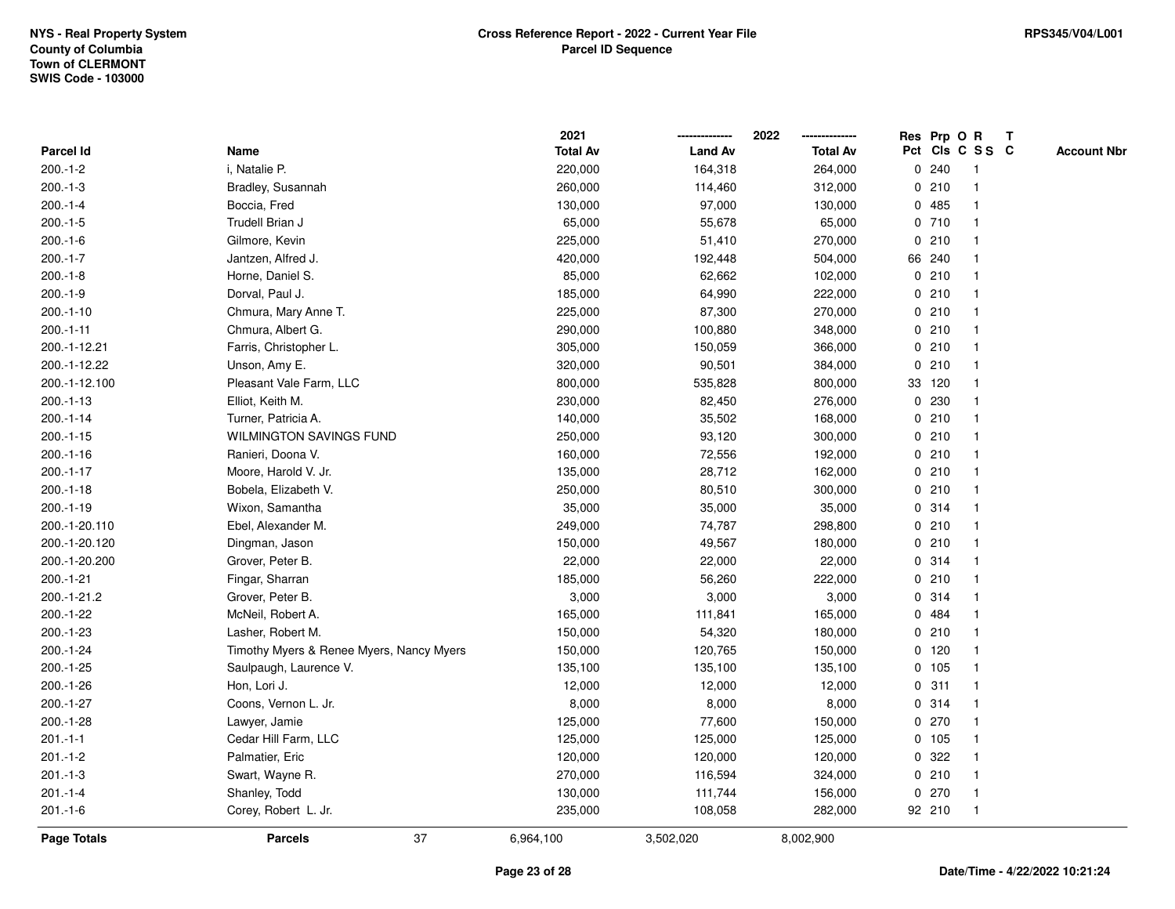|               |                                          | 2021            |                | 2022            |         | Res Prp O R             | T |                    |
|---------------|------------------------------------------|-----------------|----------------|-----------------|---------|-------------------------|---|--------------------|
| Parcel Id     | Name                                     | <b>Total Av</b> | <b>Land Av</b> | <b>Total Av</b> |         | Pct Cls C S S C         |   | <b>Account Nbr</b> |
| $200.-1-2$    | i, Natalie P.                            | 220,000         | 164,318        | 264,000         | 0.240   | -1                      |   |                    |
| $200.-1-3$    | Bradley, Susannah                        | 260,000         | 114,460        | 312,000         | 0210    | $\overline{\mathbf{1}}$ |   |                    |
| $200.-1-4$    | Boccia, Fred                             | 130,000         | 97,000         | 130,000         | 0.485   | 1                       |   |                    |
| $200.-1-5$    | Trudell Brian J                          | 65,000          | 55,678         | 65,000          | 0710    |                         |   |                    |
| $200.-1-6$    | Gilmore, Kevin                           | 225,000         | 51,410         | 270,000         | 0210    |                         |   |                    |
| $200.-1-7$    | Jantzen, Alfred J.                       | 420,000         | 192,448        | 504,000         | 66 240  |                         |   |                    |
| $200.-1-8$    | Horne, Daniel S.                         | 85,000          | 62,662         | 102,000         | 0210    |                         |   |                    |
| $200.-1-9$    | Dorval, Paul J.                          | 185,000         | 64,990         | 222,000         | 0210    | -1                      |   |                    |
| $200.-1-10$   | Chmura, Mary Anne T.                     | 225,000         | 87,300         | 270,000         | 0210    | -1                      |   |                    |
| $200.-1-11$   | Chmura, Albert G.                        | 290,000         | 100,880        | 348,000         | 0210    | -1                      |   |                    |
| 200.-1-12.21  | Farris, Christopher L.                   | 305,000         | 150,059        | 366,000         | 0210    |                         |   |                    |
| 200.-1-12.22  | Unson, Amy E.                            | 320,000         | 90,501         | 384,000         | 0210    |                         |   |                    |
| 200.-1-12.100 | Pleasant Vale Farm, LLC                  | 800,000         | 535,828        | 800,000         | 33 120  |                         |   |                    |
| $200.-1-13$   | Elliot, Keith M.                         | 230,000         | 82,450         | 276,000         | 0 230   |                         |   |                    |
| $200.-1-14$   | Turner, Patricia A.                      | 140,000         | 35,502         | 168,000         | 0210    | -1                      |   |                    |
| $200.-1-15$   | <b>WILMINGTON SAVINGS FUND</b>           | 250,000         | 93,120         | 300,000         | 0210    | -1                      |   |                    |
| $200.-1-16$   | Ranieri, Doona V.                        | 160,000         | 72,556         | 192,000         | 0210    | -1                      |   |                    |
| $200.-1-17$   | Moore, Harold V. Jr.                     | 135,000         | 28,712         | 162,000         | 0210    |                         |   |                    |
| $200.-1-18$   | Bobela, Elizabeth V.                     | 250,000         | 80,510         | 300,000         | 0210    |                         |   |                    |
| $200.-1-19$   | Wixon, Samantha                          | 35,000          | 35,000         | 35,000          | 0.314   |                         |   |                    |
| 200.-1-20.110 | Ebel, Alexander M.                       | 249,000         | 74,787         | 298,800         | 0210    |                         |   |                    |
| 200.-1-20.120 | Dingman, Jason                           | 150,000         | 49,567         | 180,000         | 0210    | -1                      |   |                    |
| 200.-1-20.200 | Grover, Peter B.                         | 22,000          | 22,000         | 22,000          | 0.314   | -1                      |   |                    |
| $200.-1-21$   | Fingar, Sharran                          | 185,000         | 56,260         | 222,000         | 0210    | -1                      |   |                    |
| 200.-1-21.2   | Grover, Peter B.                         | 3,000           | 3,000          | 3,000           | 0.314   |                         |   |                    |
| $200.-1-22$   | McNeil, Robert A.                        | 165,000         | 111,841        | 165,000         | 0 484   |                         |   |                    |
| 200.-1-23     | Lasher, Robert M.                        | 150,000         | 54,320         | 180,000         | 0210    |                         |   |                    |
| 200.-1-24     | Timothy Myers & Renee Myers, Nancy Myers | 150,000         | 120,765        | 150,000         | $0$ 120 |                         |   |                    |
| $200.-1-25$   | Saulpaugh, Laurence V.                   | 135,100         | 135,100        | 135,100         | 0 105   | -1                      |   |                    |
| 200.-1-26     | Hon, Lori J.                             | 12,000          | 12,000         | 12,000          | 0.311   | -1                      |   |                    |
| 200.-1-27     | Coons, Vernon L. Jr.                     | 8,000           | 8,000          | 8,000           | 0.314   | -1                      |   |                    |
| $200.-1-28$   | Lawyer, Jamie                            | 125,000         | 77,600         | 150,000         | 0270    |                         |   |                    |
| $201 - 1 - 1$ | Cedar Hill Farm, LLC                     | 125,000         | 125,000        | 125,000         | 0 105   |                         |   |                    |
| $201.-1-2$    | Palmatier, Eric                          | 120,000         | 120,000        | 120,000         | 0 322   |                         |   |                    |
| $201 - 1 - 3$ | Swart, Wayne R.                          | 270,000         | 116,594        | 324,000         | 0210    | -1                      |   |                    |
| $201 - 1 - 4$ | Shanley, Todd                            | 130,000         | 111,744        | 156,000         | 0270    | $\overline{\mathbf{1}}$ |   |                    |
| $201.-1-6$    | Corey, Robert L. Jr.                     | 235,000         | 108,058        | 282,000         | 92 210  | $\overline{1}$          |   |                    |
| Page Totals   | 37<br><b>Parcels</b>                     | 6,964,100       | 3,502,020      | 8,002,900       |         |                         |   |                    |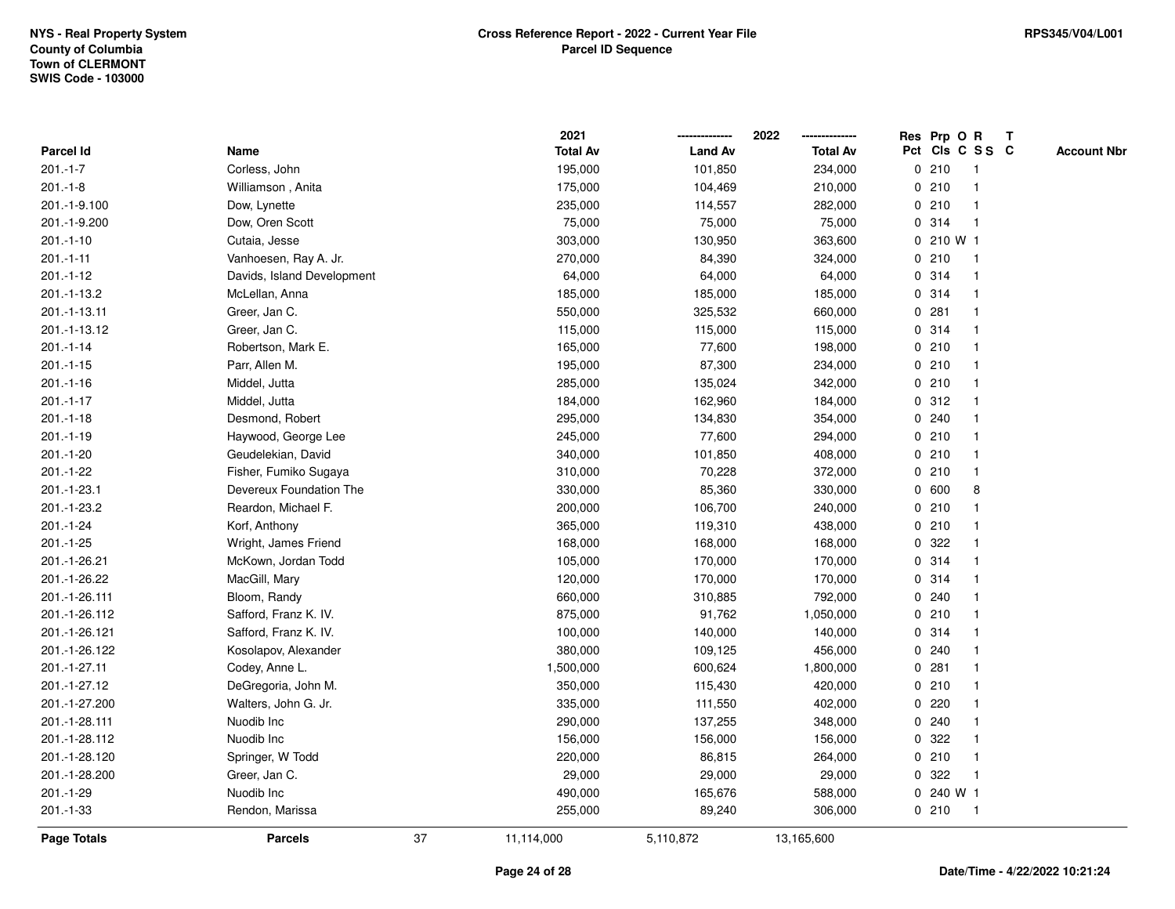|                    |                            |    | 2021            |                | 2022            | Res Prp O R     |           |                | Т |                    |
|--------------------|----------------------------|----|-----------------|----------------|-----------------|-----------------|-----------|----------------|---|--------------------|
| Parcel Id          | Name                       |    | <b>Total Av</b> | <b>Land Av</b> | <b>Total Av</b> | Pct Cls C S S C |           |                |   | <b>Account Nbr</b> |
| $201.-1-7$         | Corless, John              |    | 195,000         | 101,850        | 234,000         | 0210            |           | $\mathbf{1}$   |   |                    |
| $201 - 1 - 8$      | Williamson, Anita          |    | 175,000         | 104,469        | 210,000         | 0210            |           | 1              |   |                    |
| 201.-1-9.100       | Dow, Lynette               |    | 235,000         | 114,557        | 282,000         | 0210            |           | $\mathbf 1$    |   |                    |
| 201.-1-9.200       | Dow, Oren Scott            |    | 75,000          | 75,000         | 75,000          | 0 314           |           | -1             |   |                    |
| $201 - 1 - 10$     | Cutaia, Jesse              |    | 303,000         | 130,950        | 363,600         |                 | 0 210 W 1 |                |   |                    |
| $201 - 1 - 11$     | Vanhoesen, Ray A. Jr.      |    | 270,000         | 84,390         | 324,000         | 0210            |           |                |   |                    |
| $201.-1-12$        | Davids, Island Development |    | 64,000          | 64,000         | 64,000          | 0.314           |           | $\mathbf{1}$   |   |                    |
| 201.-1-13.2        | McLellan, Anna             |    | 185,000         | 185,000        | 185,000         | 0.314           |           | $\mathbf{1}$   |   |                    |
| 201.-1-13.11       | Greer, Jan C.              |    | 550,000         | 325,532        | 660,000         | 0.281           |           | $\mathbf 1$    |   |                    |
| 201.-1-13.12       | Greer, Jan C.              |    | 115,000         | 115,000        | 115,000         | 0.314           |           | 1              |   |                    |
| $201 - 1 - 14$     | Robertson, Mark E.         |    | 165,000         | 77,600         | 198,000         | 0210            |           | $\mathbf 1$    |   |                    |
| $201.-1-15$        | Parr, Allen M.             |    | 195,000         | 87,300         | 234,000         | 0210            |           |                |   |                    |
| $201.-1-16$        | Middel, Jutta              |    | 285,000         | 135,024        | 342,000         | 0210            |           |                |   |                    |
| $201 - 1 - 17$     | Middel, Jutta              |    | 184,000         | 162,960        | 184,000         | 0.312           |           | $\mathbf 1$    |   |                    |
| $201 - 1 - 18$     | Desmond, Robert            |    | 295,000         | 134,830        | 354,000         | 0.240           |           | $\mathbf 1$    |   |                    |
| $201.-1-19$        | Haywood, George Lee        |    | 245,000         | 77,600         | 294,000         | 0210            |           | $\mathbf{1}$   |   |                    |
| 201.-1-20          | Geudelekian, David         |    | 340,000         | 101,850        | 408,000         | 0210            |           | $\mathbf{1}$   |   |                    |
| 201.-1-22          | Fisher, Fumiko Sugaya      |    | 310,000         | 70,228         | 372,000         | 0210            |           | $\mathbf 1$    |   |                    |
| 201.-1-23.1        | Devereux Foundation The    |    | 330,000         | 85,360         | 330,000         | 0 600           |           | 8              |   |                    |
| 201.-1-23.2        | Reardon, Michael F.        |    | 200,000         | 106,700        | 240,000         | 0210            |           |                |   |                    |
| 201.-1-24          | Korf, Anthony              |    | 365,000         | 119,310        | 438,000         | 0210            |           |                |   |                    |
| 201.-1-25          | Wright, James Friend       |    | 168,000         | 168,000        | 168,000         | 0.322           |           |                |   |                    |
| 201.-1-26.21       | McKown, Jordan Todd        |    | 105,000         | 170,000        | 170,000         | 0.314           |           | $\mathbf{1}$   |   |                    |
| 201.-1-26.22       | MacGill, Mary              |    | 120,000         | 170,000        | 170,000         | 0.314           |           | $\mathbf 1$    |   |                    |
| 201.-1-26.111      | Bloom, Randy               |    | 660,000         | 310,885        | 792,000         | 0.240           |           | $\mathbf 1$    |   |                    |
| 201.-1-26.112      | Safford, Franz K. IV.      |    | 875,000         | 91,762         | 1,050,000       | 0210            |           |                |   |                    |
| 201.-1-26.121      | Safford, Franz K. IV.      |    | 100,000         | 140,000        | 140,000         | 0.314           |           |                |   |                    |
| 201.-1-26.122      | Kosolapov, Alexander       |    | 380,000         | 109,125        | 456,000         | 0.240           |           |                |   |                    |
| 201.-1-27.11       | Codey, Anne L.             |    | 1,500,000       | 600,624        | 1,800,000       | 0.281           |           | $\mathbf 1$    |   |                    |
| 201.-1-27.12       | DeGregoria, John M.        |    | 350,000         | 115,430        | 420,000         | 0210            |           | 1              |   |                    |
| 201.-1-27.200      | Walters, John G. Jr.       |    | 335,000         | 111,550        | 402,000         | 0               | 220       | 1              |   |                    |
| 201.-1-28.111      | Nuodib Inc                 |    | 290,000         | 137,255        | 348,000         | 0.240           |           | $\mathbf 1$    |   |                    |
| 201.-1-28.112      | Nuodib Inc                 |    | 156,000         | 156,000        | 156,000         | 0.322           |           |                |   |                    |
| 201.-1-28.120      | Springer, W Todd           |    | 220,000         | 86,815         | 264,000         | 0210            |           |                |   |                    |
| 201.-1-28.200      | Greer, Jan C.              |    | 29,000          | 29,000         | 29,000          | 0               | 322       | 1              |   |                    |
| 201.-1-29          | Nuodib Inc                 |    | 490,000         | 165,676        | 588,000         |                 | 0 240 W 1 |                |   |                    |
| 201.-1-33          | Rendon, Marissa            |    | 255,000         | 89,240         | 306,000         | 0210            |           | $\overline{1}$ |   |                    |
| <b>Page Totals</b> | <b>Parcels</b>             | 37 | 11,114,000      | 5,110,872      | 13,165,600      |                 |           |                |   |                    |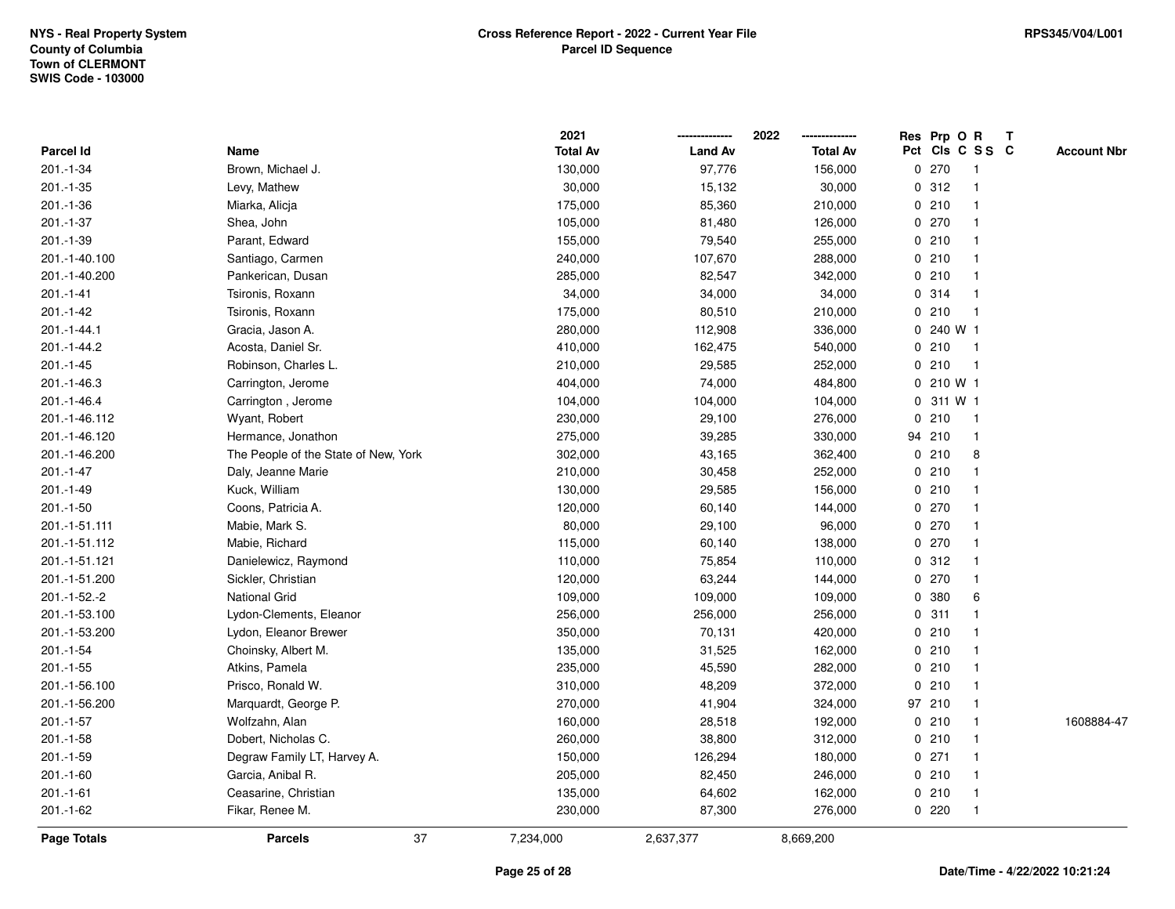|                  |                                      | 2021            |                | 2022            |          | Res Prp O R     |                | Т |                    |
|------------------|--------------------------------------|-----------------|----------------|-----------------|----------|-----------------|----------------|---|--------------------|
| <b>Parcel Id</b> | Name                                 | <b>Total Av</b> | <b>Land Av</b> | <b>Total Av</b> |          | Pct Cls C S S C |                |   | <b>Account Nbr</b> |
| 201.-1-34        | Brown, Michael J.                    | 130,000         | 97,776         | 156,000         |          | 0270            | $\overline{1}$ |   |                    |
| 201.-1-35        | Levy, Mathew                         | 30,000          | 15,132         | 30,000          |          | 0.312           | $\mathbf{1}$   |   |                    |
| 201.-1-36        | Miarka, Alicja                       | 175,000         | 85,360         | 210,000         |          | 0210            | $\mathbf{1}$   |   |                    |
| 201.-1-37        | Shea, John                           | 105,000         | 81,480         | 126,000         |          | 0270            | -1             |   |                    |
| 201.-1-39        | Parant, Edward                       | 155,000         | 79,540         | 255,000         |          | 0210            | 1              |   |                    |
| 201.-1-40.100    | Santiago, Carmen                     | 240,000         | 107,670        | 288,000         |          | 0210            | -1             |   |                    |
| 201.-1-40.200    | Pankerican, Dusan                    | 285,000         | 82,547         | 342,000         |          | 0210            | $\mathbf{1}$   |   |                    |
| 201.-1-41        | Tsironis, Roxann                     | 34,000          | 34,000         | 34,000          | 0        | 314             | $\mathbf{1}$   |   |                    |
| 201.-1-42        | Tsironis, Roxann                     | 175,000         | 80,510         | 210,000         |          | 0210            | $\overline{1}$ |   |                    |
| 201.-1-44.1      | Gracia, Jason A.                     | 280,000         | 112,908        | 336,000         |          | 0240 W1         |                |   |                    |
| 201.-1-44.2      | Acosta, Daniel Sr.                   | 410,000         | 162,475        | 540,000         |          | 0210            | $\overline{1}$ |   |                    |
| $201 - 1 - 45$   | Robinson, Charles L.                 | 210,000         | 29,585         | 252,000         |          | 0210            | $\overline{1}$ |   |                    |
| 201.-1-46.3      | Carrington, Jerome                   | 404,000         | 74,000         | 484,800         |          | 0 210 W 1       |                |   |                    |
| 201.-1-46.4      | Carrington, Jerome                   | 104,000         | 104,000        | 104,000         |          | 0 311 W 1       |                |   |                    |
| 201.-1-46.112    | Wyant, Robert                        | 230,000         | 29,100         | 276,000         | 0        | 210             | $\overline{1}$ |   |                    |
| 201.-1-46.120    | Hermance, Jonathon                   | 275,000         | 39,285         | 330,000         | 94       | 210             | $\mathbf{1}$   |   |                    |
| 201.-1-46.200    | The People of the State of New, York | 302,000         | 43,165         | 362,400         |          | 0210            | 8              |   |                    |
| 201.-1-47        | Daly, Jeanne Marie                   | 210,000         | 30,458         | 252,000         |          | 0210            | $\mathbf{1}$   |   |                    |
| 201.-1-49        | Kuck, William                        | 130,000         | 29,585         | 156,000         |          | 0210            | -1             |   |                    |
| 201.-1-50        | Coons, Patricia A.                   | 120,000         | 60,140         | 144,000         |          | 0270            | 1              |   |                    |
| 201.-1-51.111    | Mabie, Mark S.                       | 80,000          | 29,100         | 96,000          |          | 0270            | -1             |   |                    |
| 201.-1-51.112    | Mabie, Richard                       | 115,000         | 60,140         | 138,000         |          | 0270            | $\mathbf{1}$   |   |                    |
| 201.-1-51.121    | Danielewicz, Raymond                 | 110,000         | 75,854         | 110,000         | 0        | 312             | $\mathbf 1$    |   |                    |
| 201.-1-51.200    | Sickler, Christian                   | 120,000         | 63,244         | 144,000         | $\Omega$ | 270             | $\mathbf 1$    |   |                    |
| 201.-1-52.-2     | <b>National Grid</b>                 | 109,000         | 109,000        | 109,000         | 0        | 380             | 6              |   |                    |
| 201.-1-53.100    | Lydon-Clements, Eleanor              | 256,000         | 256,000        | 256,000         |          | 0.311           |                |   |                    |
| 201.-1-53.200    | Lydon, Eleanor Brewer                | 350,000         | 70,131         | 420,000         |          | 0210            |                |   |                    |
| $201.-1-54$      | Choinsky, Albert M.                  | 135,000         | 31,525         | 162,000         |          | 0210            | -1             |   |                    |
| $201 - 1 - 55$   | Atkins, Pamela                       | 235,000         | 45,590         | 282,000         |          | 0210            | -1             |   |                    |
| 201.-1-56.100    | Prisco, Ronald W.                    | 310,000         | 48,209         | 372,000         | 0        | 210             | -1             |   |                    |
| 201.-1-56.200    | Marquardt, George P.                 | 270,000         | 41,904         | 324,000         |          | 97 210          | $\mathbf{1}$   |   |                    |
| $201.-1-57$      | Wolfzahn, Alan                       | 160,000         | 28,518         | 192,000         |          | 0210            | $\mathbf{1}$   |   | 1608884-47         |
| $201.-1-58$      | Dobert, Nicholas C.                  | 260,000         | 38,800         | 312,000         |          | 0210            | -1             |   |                    |
| 201.-1-59        | Degraw Family LT, Harvey A.          | 150,000         | 126,294        | 180,000         |          | 0271            | -1             |   |                    |
| 201.-1-60        | Garcia, Anibal R.                    | 205,000         | 82,450         | 246,000         |          | 0210            | -1             |   |                    |
| $201 - 1 - 61$   | Ceasarine, Christian                 | 135,000         | 64,602         | 162,000         |          | 0210            | $\mathbf{1}$   |   |                    |
| 201.-1-62        | Fikar, Renee M.                      | 230,000         | 87,300         | 276,000         |          | 0220            | $\mathbf{1}$   |   |                    |
| Page Totals      | 37<br><b>Parcels</b>                 | 7,234,000       | 2,637,377      | 8,669,200       |          |                 |                |   |                    |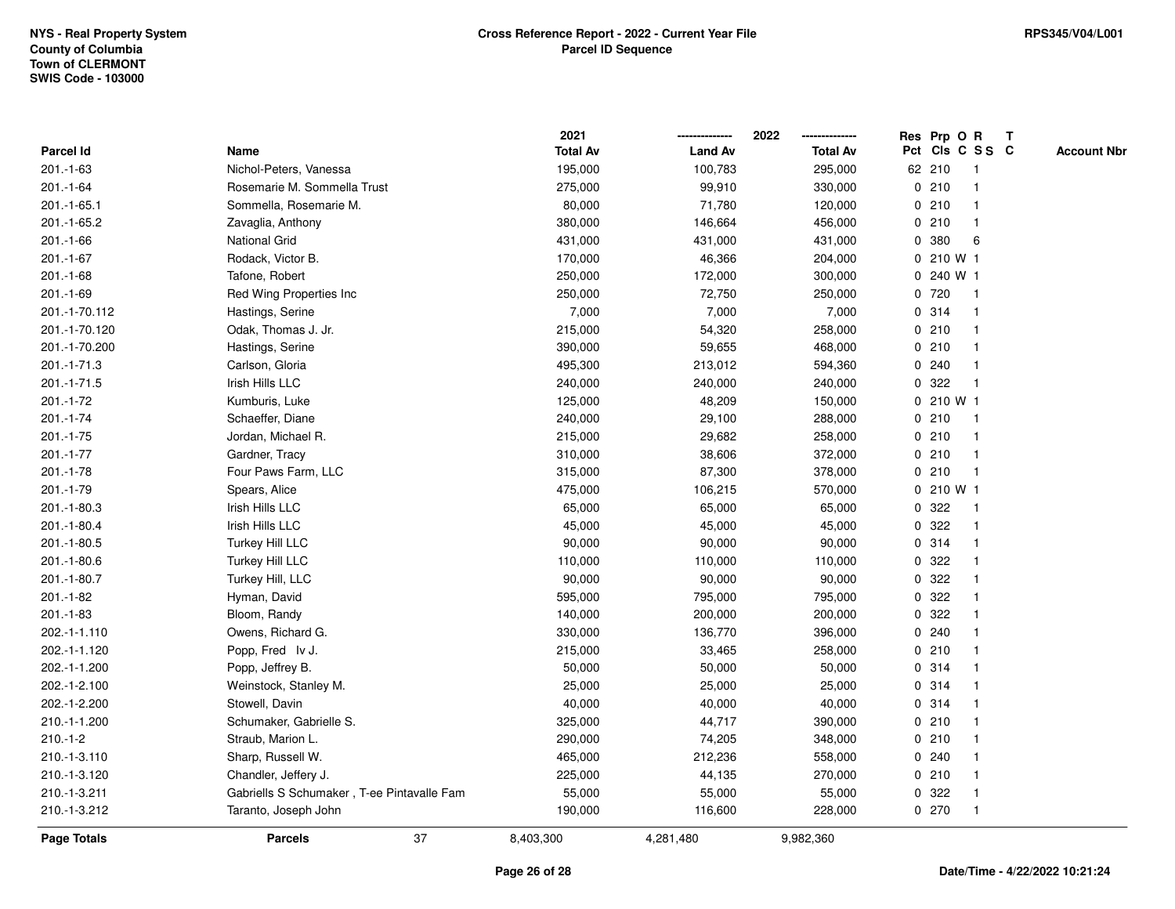|                |                                            | 2021            |                | 2022            | Res Prp O R<br>Т                      |
|----------------|--------------------------------------------|-----------------|----------------|-----------------|---------------------------------------|
| Parcel Id      | Name                                       | <b>Total Av</b> | <b>Land Av</b> | <b>Total Av</b> | Pct Cls C S S C<br><b>Account Nbr</b> |
| $201.-1-63$    | Nichol-Peters, Vanessa                     | 195,000         | 100,783        | 295,000         | 62 210<br>$\mathbf{1}$                |
| $201 - 1 - 64$ | Rosemarie M. Sommella Trust                | 275,000         | 99,910         | 330,000         | 0210<br>1                             |
| 201.-1-65.1    | Sommella, Rosemarie M.                     | 80,000          | 71,780         | 120,000         | 0210<br>$\mathbf 1$                   |
| 201.-1-65.2    | Zavaglia, Anthony                          | 380,000         | 146,664        | 456,000         | 0210<br>-1                            |
| $201 - 1 - 66$ | National Grid                              | 431,000         | 431,000        | 431,000         | 0 380<br>6                            |
| 201.-1-67      | Rodack, Victor B.                          | 170,000         | 46,366         | 204,000         | 0 210 W 1                             |
| $201.-1-68$    | Tafone, Robert                             | 250,000         | 172,000        | 300,000         | 0 240 W 1                             |
| 201.-1-69      | Red Wing Properties Inc                    | 250,000         | 72,750         | 250,000         | 0720<br>$\mathbf{1}$                  |
| 201.-1-70.112  | Hastings, Serine                           | 7,000           | 7,000          | 7,000           | 0.314<br>1                            |
| 201.-1-70.120  | Odak, Thomas J. Jr.                        | 215,000         | 54,320         | 258,000         | 0210<br>1                             |
| 201.-1-70.200  | Hastings, Serine                           | 390,000         | 59,655         | 468,000         | 0210<br>$\mathbf 1$                   |
| 201.-1-71.3    | Carlson, Gloria                            | 495,300         | 213,012        | 594,360         | 0.240                                 |
| 201.-1-71.5    | Irish Hills LLC                            | 240,000         | 240,000        | 240,000         | 0.322                                 |
| 201.-1-72      | Kumburis, Luke                             | 125,000         | 48,209         | 150,000         | 0 210 W 1                             |
| 201.-1-74      | Schaeffer, Diane                           | 240,000         | 29,100         | 288,000         | 0210<br>1                             |
| $201.-1-75$    | Jordan, Michael R.                         | 215,000         | 29,682         | 258,000         | 0210<br>$\mathbf{1}$                  |
| 201.-1-77      | Gardner, Tracy                             | 310,000         | 38,606         | 372,000         | 0210<br>$\mathbf{1}$                  |
| 201.-1-78      | Four Paws Farm, LLC                        | 315,000         | 87,300         | 378,000         | 0210<br>$\mathbf 1$                   |
| 201.-1-79      | Spears, Alice                              | 475,000         | 106,215        | 570,000         | 0210W1                                |
| 201.-1-80.3    | Irish Hills LLC                            | 65,000          | 65,000         | 65,000          | 0.322                                 |
| 201.-1-80.4    | Irish Hills LLC                            | 45,000          | 45,000         | 45,000          | 0.322<br>$\mathbf{1}$                 |
| 201.-1-80.5    | <b>Turkey Hill LLC</b>                     | 90,000          | 90,000         | 90,000          | 0.314<br>1                            |
| 201.-1-80.6    | Turkey Hill LLC                            | 110,000         | 110,000        | 110,000         | 322<br>0<br>1                         |
| 201.-1-80.7    | Turkey Hill, LLC                           | 90,000          | 90,000         | 90,000          | 322<br>0<br>$\mathbf 1$               |
| 201.-1-82      | Hyman, David                               | 595,000         | 795,000        | 795,000         | 0.322<br>$\mathbf 1$                  |
| $201.-1-83$    | Bloom, Randy                               | 140,000         | 200,000        | 200,000         | 0.322                                 |
| 202.-1-1.110   | Owens, Richard G.                          | 330,000         | 136,770        | 396,000         | 0.240                                 |
| 202.-1-1.120   | Popp, Fred Iv J.                           | 215,000         | 33,465         | 258,000         | 0210<br>$\mathbf 1$                   |
| 202.-1-1.200   | Popp, Jeffrey B.                           | 50,000          | 50,000         | 50,000          | 0.314<br>$\mathbf 1$                  |
| 202.-1-2.100   | Weinstock, Stanley M.                      | 25,000          | 25,000         | 25,000          | 0.314<br>1                            |
| 202.-1-2.200   | Stowell, Davin                             | 40,000          | 40,000         | 40,000          | 0.314<br>1                            |
| 210.-1-1.200   | Schumaker, Gabrielle S.                    | 325,000         | 44,717         | 390,000         | 0210<br>1                             |
| $210.-1-2$     | Straub, Marion L.                          | 290,000         | 74,205         | 348,000         | 0210                                  |
| 210.-1-3.110   | Sharp, Russell W.                          | 465,000         | 212,236        | 558,000         | 0.240                                 |
| 210.-1-3.120   | Chandler, Jeffery J.                       | 225,000         | 44,135         | 270,000         | 0210<br>$\mathbf 1$                   |
| 210.-1-3.211   | Gabriells S Schumaker, T-ee Pintavalle Fam | 55,000          | 55,000         | 55,000          | 0.322<br>$\mathbf 1$                  |
| 210.-1-3.212   | Taranto, Joseph John                       | 190,000         | 116,600        | 228,000         | 0270<br>$\mathbf{1}$                  |
| Page Totals    | 37<br><b>Parcels</b>                       | 8,403,300       | 4,281,480      | 9,982,360       |                                       |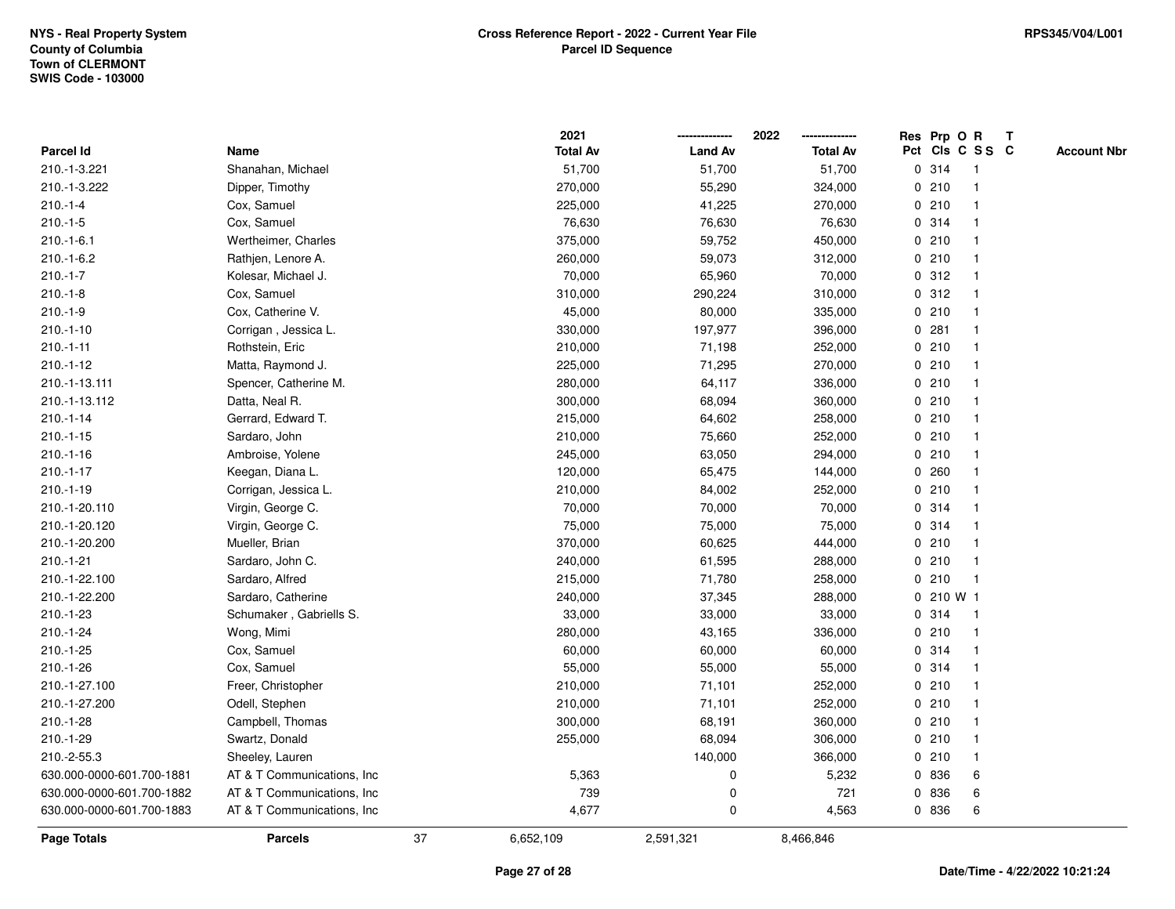| <b>Page Totals</b>        | <b>Parcels</b>              | 37 | 6,652,109               | 2,591,321      | 8,466,846               |   |              |                                |   |                    |
|---------------------------|-----------------------------|----|-------------------------|----------------|-------------------------|---|--------------|--------------------------------|---|--------------------|
| 630.000-0000-601.700-1883 | AT & T Communications, Inc. |    | 4,677                   | $\pmb{0}$      | 4,563                   |   | 0 836        | 6                              |   |                    |
| 630.000-0000-601.700-1882 | AT & T Communications, Inc. |    | 739                     | $\mathbf 0$    | 721                     |   | 0 836        | 6                              |   |                    |
| 630.000-0000-601.700-1881 | AT & T Communications, Inc  |    | 5,363                   | 0              | 5,232                   |   | 0 836        | 6                              |   |                    |
| 210.-2-55.3               | Sheeley, Lauren             |    |                         | 140,000        | 366,000                 |   | 0210         | -1                             |   |                    |
| 210.-1-29                 | Swartz, Donald              |    | 255,000                 | 68,094         | 306,000                 |   | 0210         | -1                             |   |                    |
| $210.-1-28$               | Campbell, Thomas            |    | 300,000                 | 68,191         | 360,000                 |   | 0210         | -1                             |   |                    |
| 210.-1-27.200             | Odell, Stephen              |    | 210,000                 | 71,101         | 252,000                 |   | 0210         | 1                              |   |                    |
| 210.-1-27.100             | Freer, Christopher          |    | 210,000                 | 71,101         | 252,000                 |   | 0210         | $\mathbf 1$                    |   |                    |
| $210.-1-26$               | Cox, Samuel                 |    | 55,000                  | 55,000         | 55,000                  |   | 0 314        | $\mathbf 1$                    |   |                    |
| 210.-1-25                 | Cox, Samuel                 |    | 60,000                  | 60,000         | 60,000                  |   | 0.314        |                                |   |                    |
| $210.-1-24$               | Wong, Mimi                  |    | 280,000                 | 43,165         | 336,000                 |   | 0210         |                                |   |                    |
| $210.-1-23$               | Schumaker, Gabriells S.     |    | 33,000                  | 33,000         | 33,000                  |   | 0.314        | 1                              |   |                    |
| 210.-1-22.200             | Sardaro, Catherine          |    | 240,000                 | 37,345         | 288,000                 |   | $0, 210$ W 1 |                                |   |                    |
| 210.-1-22.100             | Sardaro, Alfred             |    | 215,000                 | 71,780         | 258,000                 |   | 0210         | $\mathbf{1}$                   |   |                    |
| $210.-1-21$               | Sardaro, John C.            |    | 240,000                 | 61,595         | 288,000                 |   | 0210         | $\mathbf{1}$                   |   |                    |
| 210.-1-20.200             | Mueller, Brian              |    | 370,000                 | 60,625         | 444,000                 |   | 0210         | -1                             |   |                    |
| 210.-1-20.120             | Virgin, George C.           |    | 75,000                  | 75,000         | 75,000                  |   | 0.314        |                                |   |                    |
| 210.-1-20.110             | Virgin, George C.           |    | 70,000                  | 70,000         | 70,000                  |   | 0.314        |                                |   |                    |
| $210.-1-19$               | Corrigan, Jessica L.        |    | 210,000                 | 84,002         | 252,000                 |   | 0210         |                                |   |                    |
| $210.-1-17$               | Keegan, Diana L.            |    | 120,000                 | 65,475         | 144,000                 |   | 0.260        | -1                             |   |                    |
| $210.-1-16$               | Ambroise, Yolene            |    | 245,000                 | 63,050         | 294,000                 |   | 0210         | -1                             |   |                    |
| $210.-1-15$               | Sardaro, John               |    | 210,000                 | 75,660         | 252,000                 |   | 0210         | $\mathbf{1}$                   |   |                    |
| $210.-1-14$               | Gerrard, Edward T.          |    | 215,000                 | 64,602         | 258,000                 |   | 0210         | $\mathbf 1$                    |   |                    |
| 210.-1-13.112             | Datta, Neal R.              |    | 300,000                 | 68,094         | 360,000                 |   | 0210         | $\mathbf 1$                    |   |                    |
| 210.-1-13.111             | Spencer, Catherine M.       |    | 280,000                 | 64,117         | 336,000                 |   | 0210         |                                |   |                    |
| $210.-1-12$               | Matta, Raymond J.           |    | 225,000                 | 71,295         | 270,000                 |   | 0210         |                                |   |                    |
| $210.-1-11$               | Rothstein, Eric             |    | 210,000                 | 71,198         | 252,000                 |   | 0210         | -1                             |   |                    |
| $210.-1-10$               | Corrigan, Jessica L.        |    | 330,000                 | 197,977        | 396,000                 |   | 0.281        | $\mathbf 1$                    |   |                    |
| $210.-1-9$                | Cox, Catherine V.           |    | 45,000                  | 80,000         | 335,000                 |   | 0210         | $\mathbf{1}$                   |   |                    |
| $210.-1-8$                | Cox, Samuel                 |    | 310,000                 | 290,224        | 310,000                 |   | 0.312        | $\mathbf 1$                    |   |                    |
| $210.-1-7$                | Kolesar, Michael J.         |    | 70,000                  | 65,960         | 70,000                  |   | 0.312        | $\mathbf 1$                    |   |                    |
| $210.-1-6.2$              | Rathjen, Lenore A.          |    | 260,000                 | 59,073         | 312,000                 |   | 0210         |                                |   |                    |
| $210.-1-6.1$              | Wertheimer, Charles         |    | 375,000                 | 59,752         | 450,000                 |   | 0210         |                                |   |                    |
| $210.-1-5$                | Cox, Samuel                 |    | 76,630                  | 76,630         | 76,630                  |   | 0.314        | 1                              |   |                    |
| $210.-1-4$                | Cox, Samuel                 |    | 225,000                 | 41,225         | 270,000                 |   | 0210         | $\mathbf 1$                    |   |                    |
| 210.-1-3.222              | Dipper, Timothy             |    | 270,000                 | 55,290         | 324,000                 | 0 | 210          | $\mathbf 1$                    |   |                    |
| 210.-1-3.221              | Shanahan, Michael           |    | 51,700                  | 51,700         | 51,700                  |   | 0 314        | $\mathbf{1}$                   |   |                    |
| Parcel Id                 | Name                        |    | 2021<br><b>Total Av</b> | <b>Land Av</b> | 2022<br><b>Total Av</b> |   |              | Res Prp O R<br>Pct Cls C S S C | Т | <b>Account Nbr</b> |
|                           |                             |    |                         |                |                         |   |              |                                |   |                    |